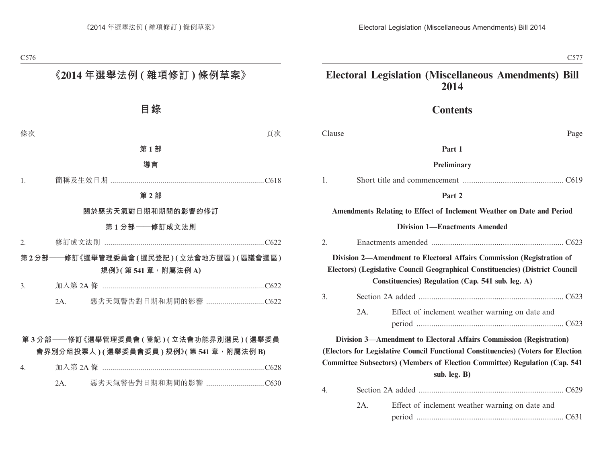# **Contents**

| Clause | Page |
|--------|------|
|--------|------|

# **Part 1**

#### **Preliminary**

|--|--|--|

#### **Part 2**

#### **Amendments Relating to Effect of Inclement Weather on Date and Period**

#### **Division 1—Enactments Amended**

| 2. |          |                                                                                                                                                                                                             |  |
|----|----------|-------------------------------------------------------------------------------------------------------------------------------------------------------------------------------------------------------------|--|
|    |          | Division 2—Amendment to Electoral Affairs Commission (Registration of<br>Electors) (Legislative Council Geographical Constituencies) (District Council<br>Constituencies) Regulation (Cap. 541 sub. leg. A) |  |
| 3. |          |                                                                                                                                                                                                             |  |
|    | 2A.      | Effect of inclement weather warning on date and                                                                                                                                                             |  |
|    |          | Division 3—Amendment to Electoral Affairs Commission (Registration)                                                                                                                                         |  |
|    |          | (Electors for Legislative Council Functional Constituencies) (Voters for Election                                                                                                                           |  |
|    |          | <b>Committee Subsectors) (Members of Election Committee) Regulation (Cap. 541)</b>                                                                                                                          |  |
|    |          | sub. leg. B)                                                                                                                                                                                                |  |
| 4. |          |                                                                                                                                                                                                             |  |
|    | $2A_{-}$ | Effect of inclement weather warning on date and                                                                                                                                                             |  |

| 2A | Effect of inclement weather warning on date and |  |
|----|-------------------------------------------------|--|
|    |                                                 |  |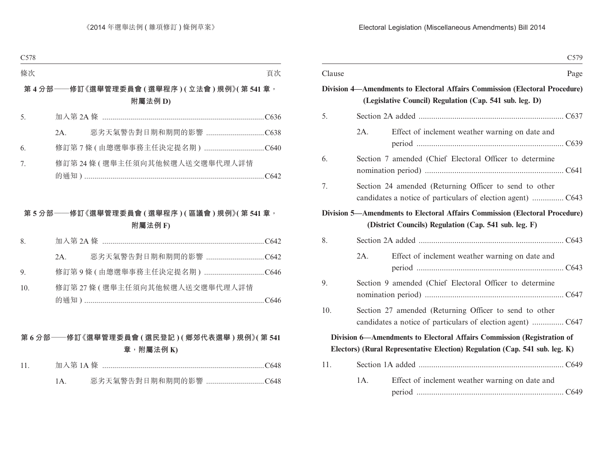|        |                                                                                                                       | C <sub>579</sub> |
|--------|-----------------------------------------------------------------------------------------------------------------------|------------------|
| Clause |                                                                                                                       | Page             |
|        | Division 4—Amendments to Electoral Affairs Commission (Electoral Procedure)                                           |                  |
|        | (Legislative Council) Regulation (Cap. 541 sub. leg. D)                                                               |                  |
| 5.     |                                                                                                                       |                  |
|        | $2A$ .<br>Effect of inclement weather warning on date and                                                             |                  |
| 6.     | Section 7 amended (Chief Electoral Officer to determine                                                               |                  |
| 7.     | Section 24 amended (Returning Officer to send to other                                                                |                  |
|        | <b>Division 5—Amendments to Electoral Affairs Commission (Electoral Procedure)</b>                                    |                  |
|        | (District Councils) Regulation (Cap. 541 sub. leg. F)                                                                 |                  |
| 8.     |                                                                                                                       |                  |
|        | $2A$ .<br>Effect of inclement weather warning on date and                                                             |                  |
| 9.     | Section 9 amended (Chief Electoral Officer to determine                                                               |                  |
| 10.    | Section 27 amended (Returning Officer to send to other<br>candidates a notice of particulars of election agent)  C647 |                  |
|        | Division 6-Amendments to Electoral Affairs Commission (Registration of                                                |                  |
|        | Electors) (Rural Representative Election) Regulation (Cap. 541 sub. leg. K)                                           |                  |
| 11.    |                                                                                                                       |                  |
|        | 1A.<br>Effect of inclement weather warning on date and                                                                |                  |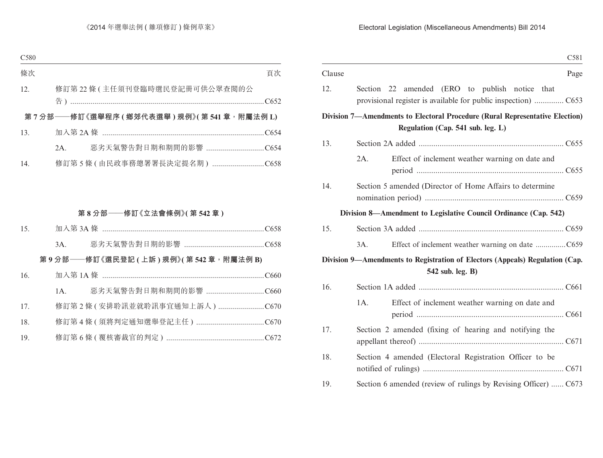|        |                                                                                                                  | C581 |
|--------|------------------------------------------------------------------------------------------------------------------|------|
| Clause |                                                                                                                  | Page |
| 12.    | Section 22 amended (ERO to publish notice that<br>provisional register is available for public inspection)  C653 |      |
|        | Division 7—Amendments to Electoral Procedure (Rural Representative Election)                                     |      |
|        | Regulation (Cap. 541 sub. leg. L)                                                                                |      |
| 13.    |                                                                                                                  |      |
|        | $2A$ .<br>Effect of inclement weather warning on date and                                                        |      |
| 14.    | Section 5 amended (Director of Home Affairs to determine                                                         |      |
|        | Division 8—Amendment to Legislative Council Ordinance (Cap. 542)                                                 |      |
| 15.    |                                                                                                                  |      |
|        | Effect of inclement weather warning on date C659<br>3A.                                                          |      |
|        | Division 9—Amendments to Registration of Electors (Appeals) Regulation (Cap.                                     |      |
|        | 542 sub. leg. B)                                                                                                 |      |
| 16.    |                                                                                                                  |      |
|        | 1A.<br>Effect of inclement weather warning on date and                                                           |      |
| 17.    | Section 2 amended (fixing of hearing and notifying the                                                           |      |
| 18.    | Section 4 amended (Electoral Registration Officer to be                                                          |      |
| 19.    | Section 6 amended (review of rulings by Revising Officer)  C673                                                  |      |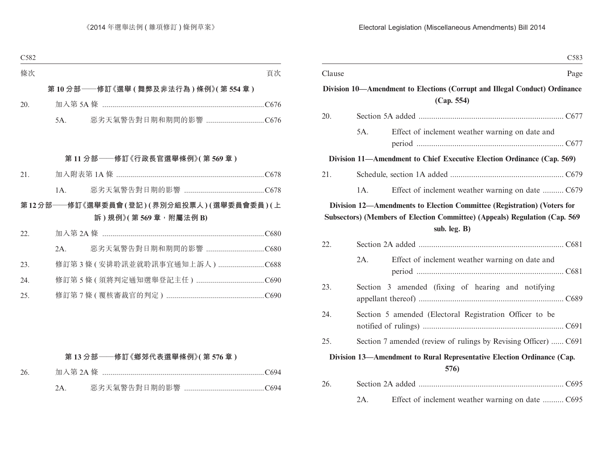|        |        |                                                                                                                                                                       | C <sub>583</sub> |
|--------|--------|-----------------------------------------------------------------------------------------------------------------------------------------------------------------------|------------------|
| Clause |        |                                                                                                                                                                       | Page             |
|        |        | Division 10—Amendment to Elections (Corrupt and Illegal Conduct) Ordinance<br>(Cap. 554)                                                                              |                  |
| 20.    |        |                                                                                                                                                                       |                  |
|        | 5A.    | Effect of inclement weather warning on date and                                                                                                                       |                  |
|        |        | Division 11—Amendment to Chief Executive Election Ordinance (Cap. 569)                                                                                                |                  |
| 21.    |        |                                                                                                                                                                       |                  |
|        | $1A$ . | Effect of inclement weather warning on date  C679                                                                                                                     |                  |
|        |        | Division 12-Amendments to Election Committee (Registration) (Voters for<br>Subsectors) (Members of Election Committee) (Appeals) Regulation (Cap. 569<br>sub. leg. B) |                  |
| 22.    |        |                                                                                                                                                                       |                  |
|        | $2A$ . | Effect of inclement weather warning on date and                                                                                                                       |                  |
| 23.    |        | Section 3 amended (fixing of hearing and notifying                                                                                                                    |                  |
| 24.    |        | Section 5 amended (Electoral Registration Officer to be                                                                                                               |                  |
| 25.    |        | Section 7 amended (review of rulings by Revising Officer)  C691                                                                                                       |                  |
|        |        | Division 13—Amendment to Rural Representative Election Ordinance (Cap.<br>576)                                                                                        |                  |
| 26.    |        |                                                                                                                                                                       |                  |
|        | 2A.    | Effect of inclement weather warning on date  C695                                                                                                                     |                  |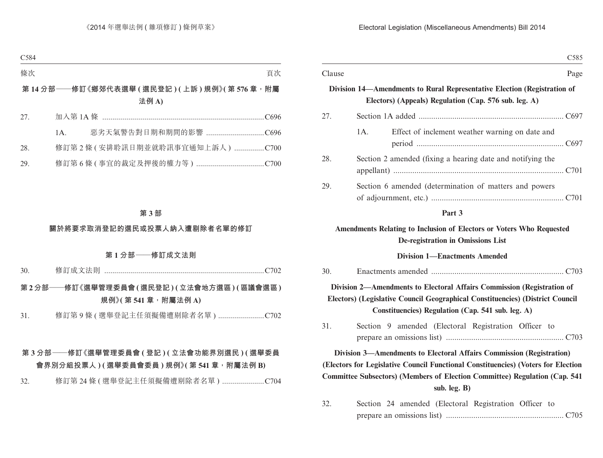|        | C <sub>585</sub>                                                                                                                                                                                             |  |
|--------|--------------------------------------------------------------------------------------------------------------------------------------------------------------------------------------------------------------|--|
| Clause | Page                                                                                                                                                                                                         |  |
|        | Division 14—Amendments to Rural Representative Election (Registration of<br>Electors) (Appeals) Regulation (Cap. 576 sub. leg. A)                                                                            |  |
| 27.    |                                                                                                                                                                                                              |  |
|        | Effect of inclement weather warning on date and<br>1A.                                                                                                                                                       |  |
| 28.    | Section 2 amended (fixing a hearing date and notifying the                                                                                                                                                   |  |
| 29.    | Section 6 amended (determination of matters and powers                                                                                                                                                       |  |
|        | Part 3                                                                                                                                                                                                       |  |
|        | Amendments Relating to Inclusion of Electors or Voters Who Requested<br>De-registration in Omissions List                                                                                                    |  |
|        | <b>Division 1-Enactments Amended</b>                                                                                                                                                                         |  |
| 30.    |                                                                                                                                                                                                              |  |
|        | Division 2-Amendments to Electoral Affairs Commission (Registration of<br>Electors) (Legislative Council Geographical Constituencies) (District Council<br>Constituencies) Regulation (Cap. 541 sub. leg. A) |  |
| 31.    | Section 9 amended (Electoral Registration Officer to                                                                                                                                                         |  |
|        | Division 3—Amendments to Electoral Affairs Commission (Registration)                                                                                                                                         |  |
|        | (Electors for Legislative Council Functional Constituencies) (Voters for Election<br>Committee Subsectors) (Members of Election Committee) Regulation (Cap. 541                                              |  |
|        | sub. leg. B)                                                                                                                                                                                                 |  |
| 32.    | Section 24 amended (Electoral Registration Officer to                                                                                                                                                        |  |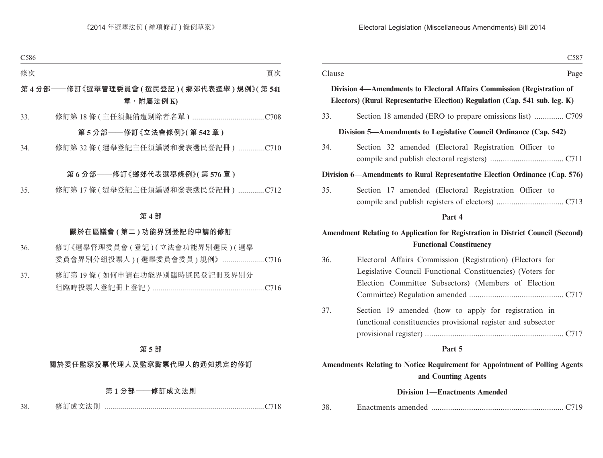|        | C <sub>587</sub>                                                                                                                                                               |
|--------|--------------------------------------------------------------------------------------------------------------------------------------------------------------------------------|
| Clause | Page                                                                                                                                                                           |
|        | Division 4-Amendments to Electoral Affairs Commission (Registration of<br>Electors) (Rural Representative Election) Regulation (Cap. 541 sub. leg. K)                          |
| 33.    |                                                                                                                                                                                |
|        | Division 5—Amendments to Legislative Council Ordinance (Cap. 542)                                                                                                              |
| 34.    | Section 32 amended (Electoral Registration Officer to                                                                                                                          |
|        | Division 6—Amendments to Rural Representative Election Ordinance (Cap. 576)                                                                                                    |
| 35.    | Section 17 amended (Electoral Registration Officer to                                                                                                                          |
|        | Part 4                                                                                                                                                                         |
|        | Amendment Relating to Application for Registration in District Council (Second)<br><b>Functional Constituency</b>                                                              |
| 36.    | Electoral Affairs Commission (Registration) (Electors for<br>Legislative Council Functional Constituencies) (Voters for<br>Election Committee Subsectors) (Members of Election |
| 37.    | Section 19 amended (how to apply for registration in<br>functional constituencies provisional register and subsector                                                           |
|        | Part 5                                                                                                                                                                         |
|        | Amendments Relating to Notice Requirement for Appointment of Polling Agents<br>and Counting Agents                                                                             |

|  | <b>Division 1—Enactments Amended</b> |  |
|--|--------------------------------------|--|
|--|--------------------------------------|--|

| 38. |  |  |  |
|-----|--|--|--|
|-----|--|--|--|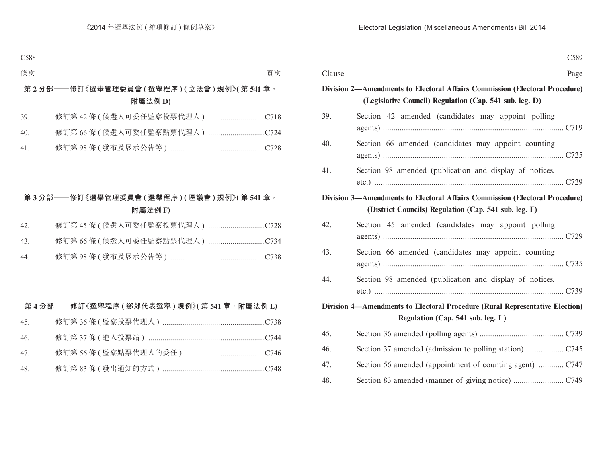|        | C589                                                                               |
|--------|------------------------------------------------------------------------------------|
| Clause | Page                                                                               |
|        | <b>Division 2—Amendments to Electoral Affairs Commission (Electoral Procedure)</b> |
|        | (Legislative Council) Regulation (Cap. 541 sub. leg. D)                            |
| 39.    | Section 42 amended (candidates may appoint polling                                 |
| 40.    | Section 66 amended (candidates may appoint counting                                |
| 41.    | Section 98 amended (publication and display of notices,                            |
|        | Division 3-Amendments to Electoral Affairs Commission (Electoral Procedure)        |
|        | (District Councils) Regulation (Cap. 541 sub. leg. F)                              |
| 42.    | Section 45 amended (candidates may appoint polling                                 |
| 43.    | Section 66 amended (candidates may appoint counting                                |
| 44.    | Section 98 amended (publication and display of notices,                            |
|        | Division 4—Amendments to Electoral Procedure (Rural Representative Election)       |
|        | Regulation (Cap. 541 sub. leg. L)                                                  |
| 45.    |                                                                                    |
| 46.    |                                                                                    |
| 47.    |                                                                                    |
| 48.    |                                                                                    |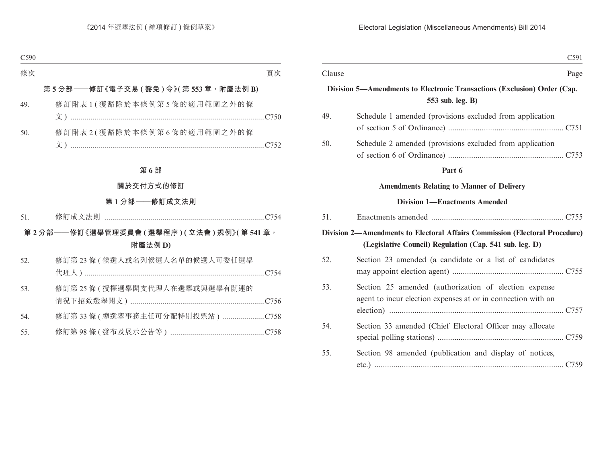|        |                                                                                                                       | C591 |
|--------|-----------------------------------------------------------------------------------------------------------------------|------|
| Clause |                                                                                                                       | Page |
|        | Division 5-Amendments to Electronic Transactions (Exclusion) Order (Cap.<br>553 sub. leg. B)                          |      |
| 49.    | Schedule 1 amended (provisions excluded from application                                                              |      |
| 50.    | Schedule 2 amended (provisions excluded from application                                                              |      |
|        | Part 6                                                                                                                |      |
|        | <b>Amendments Relating to Manner of Delivery</b>                                                                      |      |
|        | <b>Division 1—Enactments Amended</b>                                                                                  |      |
| 51.    |                                                                                                                       |      |
|        | <b>Division 2—Amendments to Electoral Affairs Commission (Electoral Procedure)</b>                                    |      |
|        | (Legislative Council) Regulation (Cap. 541 sub. leg. D)                                                               |      |
| 52.    | Section 23 amended (a candidate or a list of candidates                                                               |      |
| 53.    | Section 25 amended (authorization of election expense<br>agent to incur election expenses at or in connection with an |      |
| 54.    | Section 33 amended (Chief Electoral Officer may allocate                                                              |      |
| 55.    | Section 98 amended (publication and display of notices,                                                               |      |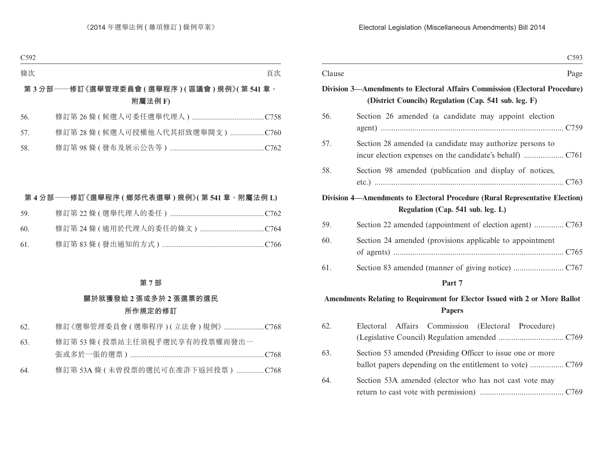|        | C593                                                                                                                                 |
|--------|--------------------------------------------------------------------------------------------------------------------------------------|
| Clause | Page                                                                                                                                 |
|        | Division 3—Amendments to Electoral Affairs Commission (Electoral Procedure)<br>(District Councils) Regulation (Cap. 541 sub. leg. F) |
| 56.    | Section 26 amended (a candidate may appoint election                                                                                 |
| 57.    | Section 28 amended (a candidate may authorize persons to                                                                             |
| 58.    | Section 98 amended (publication and display of notices,                                                                              |
|        | <b>Division 4—Amendments to Electoral Procedure (Rural Representative Election)</b>                                                  |
|        | Regulation (Cap. 541 sub. leg. L)                                                                                                    |
| 59.    |                                                                                                                                      |
| 60.    | Section 24 amended (provisions applicable to appointment                                                                             |
| 61.    |                                                                                                                                      |
|        | Part 7                                                                                                                               |
|        | Amendments Relating to Requirement for Elector Issued with 2 or More Ballot<br><b>Papers</b>                                         |
| 62.    | Affairs<br>Commission (Electoral Procedure)<br>Electoral                                                                             |
| 63.    | Section 53 amended (Presiding Officer to issue one or more<br>ballot papers depending on the entitlement to vote)  C769              |
| 64.    | Section 53A amended (elector who has not cast vote may                                                                               |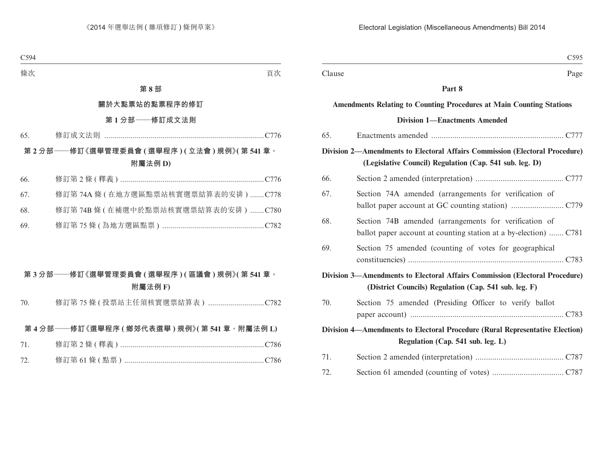|                                                                                                                   | C <sub>595</sub>                                                                                                                              |  |  |
|-------------------------------------------------------------------------------------------------------------------|-----------------------------------------------------------------------------------------------------------------------------------------------|--|--|
| Clause                                                                                                            | Page                                                                                                                                          |  |  |
|                                                                                                                   | Part 8                                                                                                                                        |  |  |
|                                                                                                                   | <b>Amendments Relating to Counting Procedures at Main Counting Stations</b>                                                                   |  |  |
|                                                                                                                   | <b>Division 1-Enactments Amended</b>                                                                                                          |  |  |
| 65.                                                                                                               |                                                                                                                                               |  |  |
|                                                                                                                   | <b>Division 2—Amendments to Electoral Affairs Commission (Electoral Procedure)</b><br>(Legislative Council) Regulation (Cap. 541 sub. leg. D) |  |  |
| 66.                                                                                                               |                                                                                                                                               |  |  |
| 67.                                                                                                               | Section 74A amended (arrangements for verification of                                                                                         |  |  |
| 68.                                                                                                               | Section 74B amended (arrangements for verification of<br>ballot paper account at counting station at a by-election)  C781                     |  |  |
| 69.                                                                                                               | Section 75 amended (counting of votes for geographical                                                                                        |  |  |
|                                                                                                                   | <b>Division 3—Amendments to Electoral Affairs Commission (Electoral Procedure)</b><br>(District Councils) Regulation (Cap. 541 sub. leg. F)   |  |  |
| 70.                                                                                                               | Section 75 amended (Presiding Officer to verify ballot                                                                                        |  |  |
| Division 4—Amendments to Electoral Procedure (Rural Representative Election)<br>Regulation (Cap. 541 sub. leg. L) |                                                                                                                                               |  |  |
| 71.                                                                                                               |                                                                                                                                               |  |  |
| 72.                                                                                                               |                                                                                                                                               |  |  |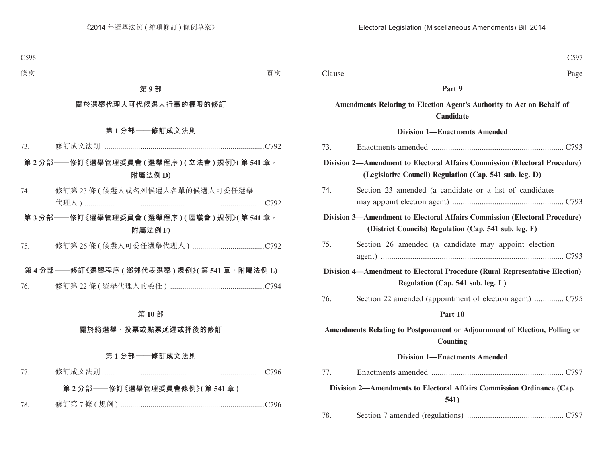|        | C597                                                                                                                                  |
|--------|---------------------------------------------------------------------------------------------------------------------------------------|
| Clause | Page                                                                                                                                  |
|        | Part 9                                                                                                                                |
|        | Amendments Relating to Election Agent's Authority to Act on Behalf of<br>Candidate                                                    |
|        | <b>Division 1-Enactments Amended</b>                                                                                                  |
| 73.    |                                                                                                                                       |
|        | Division 2-Amendment to Electoral Affairs Commission (Electoral Procedure)<br>(Legislative Council) Regulation (Cap. 541 sub. leg. D) |
| 74.    | Section 23 amended (a candidate or a list of candidates                                                                               |
|        | Division 3—Amendment to Electoral Affairs Commission (Electoral Procedure)<br>(District Councils) Regulation (Cap. 541 sub. leg. F)   |
| 75.    | Section 26 amended (a candidate may appoint election                                                                                  |
|        | Division 4—Amendment to Electoral Procedure (Rural Representative Election)<br>Regulation (Cap. 541 sub. leg. L)                      |
| 76.    |                                                                                                                                       |
|        | Part 10                                                                                                                               |
|        | Amendments Relating to Postponement or Adjournment of Election, Polling or<br><b>Counting</b>                                         |
|        | <b>Division 1—Enactments Amended</b>                                                                                                  |
| 77.    |                                                                                                                                       |
|        | Division 2-Amendments to Electoral Affairs Commission Ordinance (Cap.<br>541)                                                         |
| 78.    |                                                                                                                                       |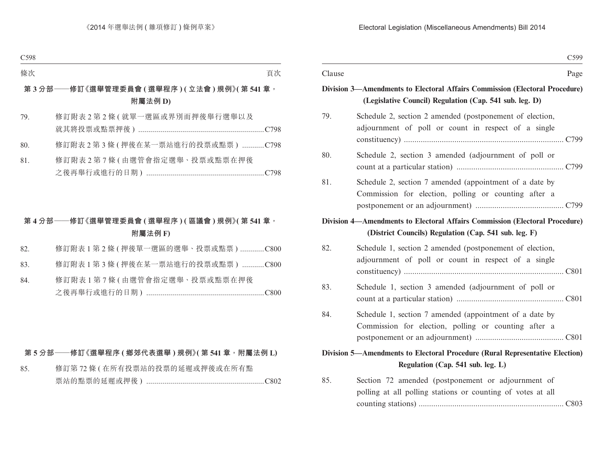|                                   |                                                                                                                                        | C599 |
|-----------------------------------|----------------------------------------------------------------------------------------------------------------------------------------|------|
| Clause                            |                                                                                                                                        | Page |
|                                   | Division 3—Amendments to Electoral Affairs Commission (Electoral Procedure)<br>(Legislative Council) Regulation (Cap. 541 sub. leg. D) |      |
| 79.                               | Schedule 2, section 2 amended (postponement of election,<br>adjournment of poll or count in respect of a single                        |      |
| 80.                               | Schedule 2, section 3 amended (adjournment of poll or                                                                                  |      |
| 81.                               | Schedule 2, section 7 amended (appointment of a date by<br>Commission for election, polling or counting after a                        |      |
|                                   | Division 4—Amendments to Electoral Affairs Commission (Electoral Procedure)<br>(District Councils) Regulation (Cap. 541 sub. leg. F)   |      |
| 82.                               | Schedule 1, section 2 amended (postponement of election,<br>adjournment of poll or count in respect of a single                        |      |
| 83.                               | Schedule 1, section 3 amended (adjournment of poll or                                                                                  |      |
| 84.                               | Schedule 1, section 7 amended (appointment of a date by<br>Commission for election, polling or counting after a                        |      |
|                                   | Division 5—Amendments to Electoral Procedure (Rural Representative Election)                                                           |      |
| Regulation (Cap. 541 sub. leg. L) |                                                                                                                                        |      |
| 85.                               | Section 72 amended (postponement or adjournment of<br>polling at all polling stations or counting of votes at all                      |      |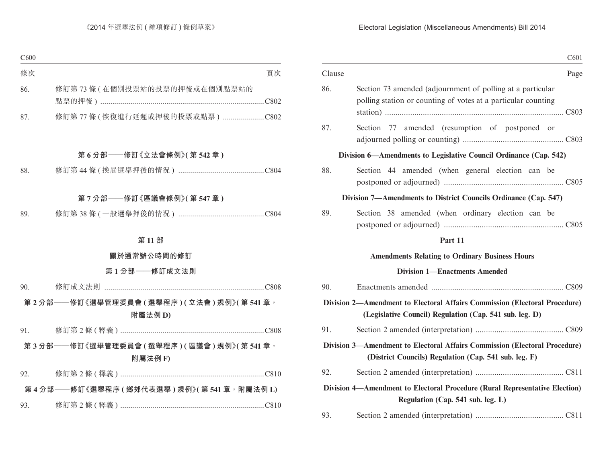|        | C601                                                                                                                                  |
|--------|---------------------------------------------------------------------------------------------------------------------------------------|
| Clause | Page                                                                                                                                  |
| 86.    | Section 73 amended (adjournment of polling at a particular<br>polling station or counting of votes at a particular counting           |
| 87.    | amended (resumption of postponed or<br>Section 77                                                                                     |
|        | Division 6—Amendments to Legislative Council Ordinance (Cap. 542)                                                                     |
| 88.    | Section 44 amended (when general election can be                                                                                      |
|        | Division 7-Amendments to District Councils Ordinance (Cap. 547)                                                                       |
| 89.    | Section 38 amended (when ordinary election can be                                                                                     |
|        | Part 11                                                                                                                               |
|        | <b>Amendments Relating to Ordinary Business Hours</b>                                                                                 |
|        | <b>Division 1-Enactments Amended</b>                                                                                                  |
| 90.    |                                                                                                                                       |
|        | Division 2—Amendment to Electoral Affairs Commission (Electoral Procedure)<br>(Legislative Council) Regulation (Cap. 541 sub. leg. D) |
| 91.    |                                                                                                                                       |
|        | Division 3-Amendment to Electoral Affairs Commission (Electoral Procedure)<br>(District Councils) Regulation (Cap. 541 sub. leg. F)   |
| 92.    |                                                                                                                                       |
|        | Division 4—Amendment to Electoral Procedure (Rural Representative Election)<br>Regulation (Cap. 541 sub. leg. L)                      |
| 93.    |                                                                                                                                       |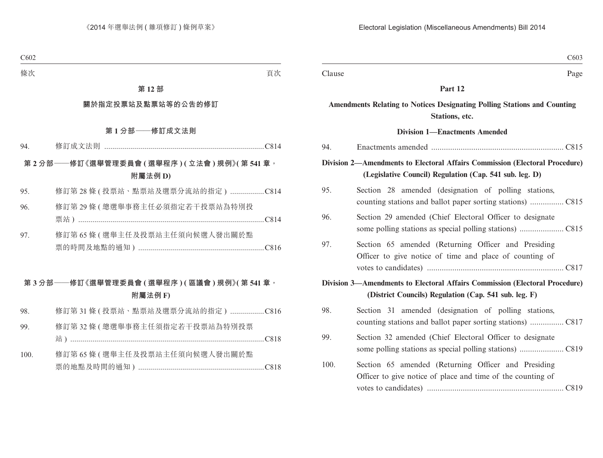|        | C <sub>6</sub> 03                                                                                                                             |
|--------|-----------------------------------------------------------------------------------------------------------------------------------------------|
| Clause | Page                                                                                                                                          |
|        | Part 12                                                                                                                                       |
|        | <b>Amendments Relating to Notices Designating Polling Stations and Counting</b><br>Stations, etc.                                             |
|        | <b>Division 1-Enactments Amended</b>                                                                                                          |
| 94.    |                                                                                                                                               |
|        | <b>Division 2—Amendments to Electoral Affairs Commission (Electoral Procedure)</b><br>(Legislative Council) Regulation (Cap. 541 sub. leg. D) |
| 95.    | Section 28 amended (designation of polling stations,                                                                                          |
| 96.    | Section 29 amended (Chief Electoral Officer to designate                                                                                      |
| 97.    | Section 65 amended (Returning Officer and Presiding<br>Officer to give notice of time and place of counting of                                |
|        | Division 3-Amendments to Electoral Affairs Commission (Electoral Procedure)                                                                   |
|        | (District Councils) Regulation (Cap. 541 sub. leg. F)                                                                                         |
| 98.    | Section 31 amended (designation of polling stations,                                                                                          |
| 99.    | Section 32 amended (Chief Electoral Officer to designate                                                                                      |
| 100.   | Section 65 amended (Returning Officer and Presiding<br>Officer to give notice of place and time of the counting of                            |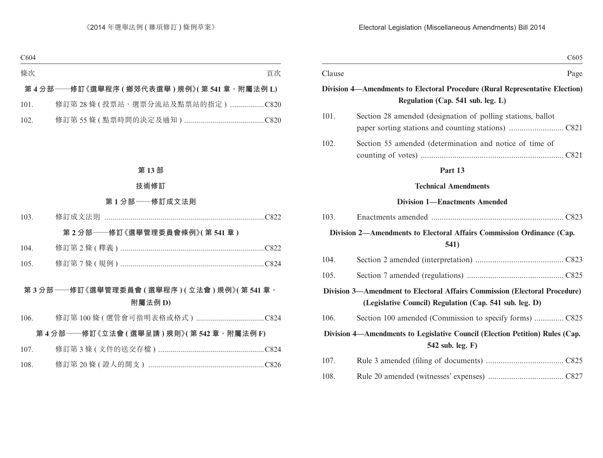|        |                                                                                                  | C605 |  |  |
|--------|--------------------------------------------------------------------------------------------------|------|--|--|
| Clause |                                                                                                  | Page |  |  |
|        | Division 4—Amendments to Electoral Procedure (Rural Representative Election)                     |      |  |  |
|        | Regulation (Cap. 541 sub. leg. L)                                                                |      |  |  |
| 101.   | Section 28 amended (designation of polling stations, ballot                                      |      |  |  |
| 102.   | Section 55 amended (determination and notice of time of                                          |      |  |  |
|        | Part 13                                                                                          |      |  |  |
|        | <b>Technical Amendments</b>                                                                      |      |  |  |
|        | <b>Division 1-Enactments Amended</b>                                                             |      |  |  |
| 103.   |                                                                                                  |      |  |  |
|        | Division 2—Amendments to Electoral Affairs Commission Ordinance (Cap.                            |      |  |  |
|        | 541)                                                                                             |      |  |  |
| 104.   |                                                                                                  |      |  |  |
| 105.   |                                                                                                  |      |  |  |
|        | Division 3-Amendment to Electoral Affairs Commission (Electoral Procedure)                       |      |  |  |
|        | (Legislative Council) Regulation (Cap. 541 sub. leg. D)                                          |      |  |  |
| 106.   | Section 100 amended (Commission to specify forms) C825                                           |      |  |  |
|        | Division 4—Amendments to Legislative Council (Election Petition) Rules (Cap.<br>542 sub. leg. F) |      |  |  |
| 107.   |                                                                                                  |      |  |  |
| 108.   |                                                                                                  |      |  |  |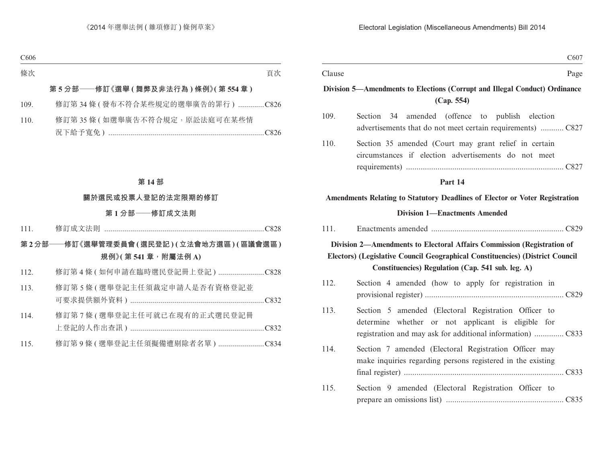|        | C607                                                                                                                                                                                                         |
|--------|--------------------------------------------------------------------------------------------------------------------------------------------------------------------------------------------------------------|
| Clause | Page                                                                                                                                                                                                         |
|        | Division 5—Amendments to Elections (Corrupt and Illegal Conduct) Ordinance<br>(Cap. 554)                                                                                                                     |
| 109.   | Section<br>34 amended (offence to publish election<br>advertisements that do not meet certain requirements)  C827                                                                                            |
| 110.   | Section 35 amended (Court may grant relief in certain<br>circumstances if election advertisements do not meet                                                                                                |
|        | Part 14                                                                                                                                                                                                      |
|        | Amendments Relating to Statutory Deadlines of Elector or Voter Registration                                                                                                                                  |
|        | <b>Division 1—Enactments Amended</b>                                                                                                                                                                         |
| 111.   |                                                                                                                                                                                                              |
|        | Division 2-Amendments to Electoral Affairs Commission (Registration of<br>Electors) (Legislative Council Geographical Constituencies) (District Council<br>Constituencies) Regulation (Cap. 541 sub. leg. A) |
| 112.   | Section 4 amended (how to apply for registration in                                                                                                                                                          |
| 113.   | Section 5 amended (Electoral Registration Officer to<br>determine whether or not applicant is eligible for                                                                                                   |
| 114.   | Section 7 amended (Electoral Registration Officer may<br>make inquiries regarding persons registered in the existing                                                                                         |
| 115.   | Section 9 amended (Electoral Registration Officer to                                                                                                                                                         |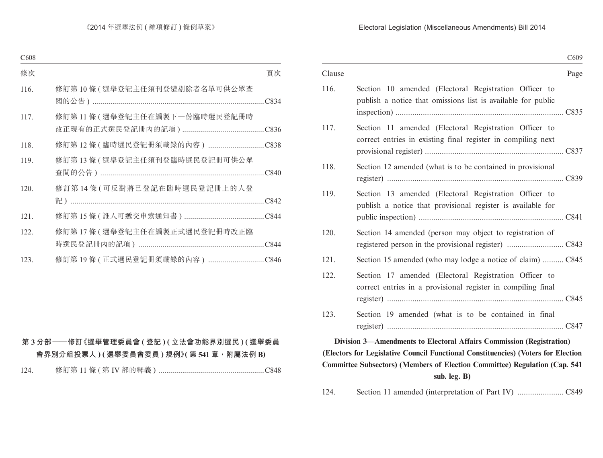|        | C <sub>609</sub>                                                                                                      |  |  |
|--------|-----------------------------------------------------------------------------------------------------------------------|--|--|
| Clause | Page                                                                                                                  |  |  |
| 116.   | Section 10 amended (Electoral Registration Officer to<br>publish a notice that omissions list is available for public |  |  |
| 117.   | Section 11 amended (Electoral Registration Officer to<br>correct entries in existing final register in compiling next |  |  |
| 118.   | Section 12 amended (what is to be contained in provisional                                                            |  |  |
| 119.   | Section 13 amended (Electoral Registration Officer to<br>publish a notice that provisional register is available for  |  |  |
| 120.   | Section 14 amended (person may object to registration of                                                              |  |  |
| 121.   | Section 15 amended (who may lodge a notice of claim)  C845                                                            |  |  |
| 122.   | Section 17 amended (Electoral Registration Officer to<br>correct entries in a provisional register in compiling final |  |  |
| 123.   | Section 19 amended (what is to be contained in final                                                                  |  |  |
|        | Division 3—Amendments to Electoral Affairs Commission (Registration)                                                  |  |  |
|        | (Electors for Legislative Council Functional Constituencies) (Voters for Election                                     |  |  |
|        | Committee Subsectors) (Members of Election Committee) Regulation (Cap. 541                                            |  |  |

**sub. leg. B)**

124. Section 11 amended (interpretation of Part IV) ...................... C849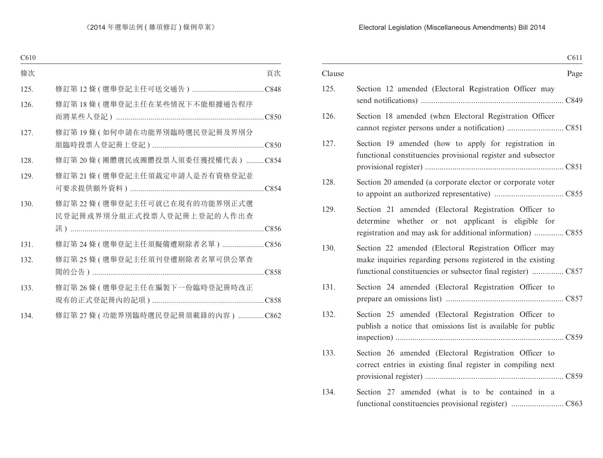|        | C611                                                                                                                  |
|--------|-----------------------------------------------------------------------------------------------------------------------|
| Clause | Page                                                                                                                  |
| 125.   | Section 12 amended (Electoral Registration Officer may                                                                |
| 126.   | Section 18 amended (when Electoral Registration Officer                                                               |
| 127.   | Section 19 amended (how to apply for registration in<br>functional constituencies provisional register and subsector  |
| 128.   | Section 20 amended (a corporate elector or corporate voter                                                            |
| 129.   | Section 21 amended (Electoral Registration Officer to<br>determine whether or not applicant is eligible for           |
| 130.   | Section 22 amended (Electoral Registration Officer may<br>make inquiries regarding persons registered in the existing |
| 131.   | Section 24 amended (Electoral Registration Officer to                                                                 |
| 132.   | Section 25 amended (Electoral Registration Officer to<br>publish a notice that omissions list is available for public |
| 133.   | Section 26 amended (Electoral Registration Officer to<br>correct entries in existing final register in compiling next |
| 134.   | Section 27 amended (what is to be contained in a                                                                      |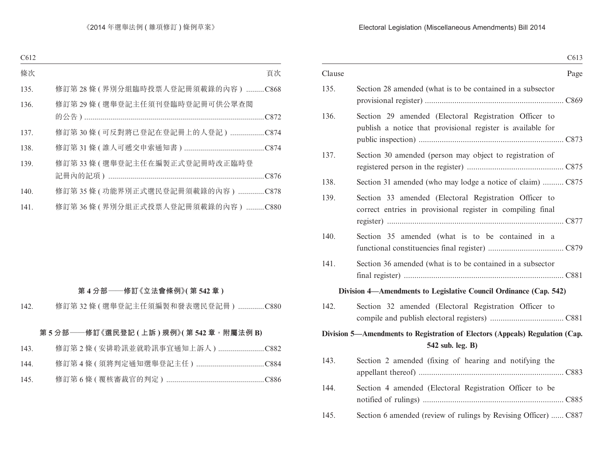|        |                                                                                                                      | C613 |
|--------|----------------------------------------------------------------------------------------------------------------------|------|
| Clause |                                                                                                                      | Page |
| 135.   | Section 28 amended (what is to be contained in a subsector                                                           |      |
| 136.   | Section 29 amended (Electoral Registration Officer to<br>publish a notice that provisional register is available for |      |
| 137.   | Section 30 amended (person may object to registration of                                                             |      |
| 138.   | Section 31 amended (who may lodge a notice of claim)  C875                                                           |      |
| 139.   | Section 33 amended (Electoral Registration Officer to<br>correct entries in provisional register in compiling final  |      |
| 140.   | Section 35 amended (what is to be contained in a                                                                     |      |
| 141.   | Section 36 amended (what is to be contained in a subsector                                                           |      |
|        | Division 4—Amendments to Legislative Council Ordinance (Cap. 542)                                                    |      |
| 142.   | Section 32 amended (Electoral Registration Officer to                                                                |      |
|        | Division 5—Amendments to Registration of Electors (Appeals) Regulation (Cap.<br>542 sub. leg. B)                     |      |
| 143.   | Section 2 amended (fixing of hearing and notifying the                                                               |      |
| 144.   | Section 4 amended (Electoral Registration Officer to be                                                              |      |
| 145.   | Section 6 amended (review of rulings by Revising Officer)  C887                                                      |      |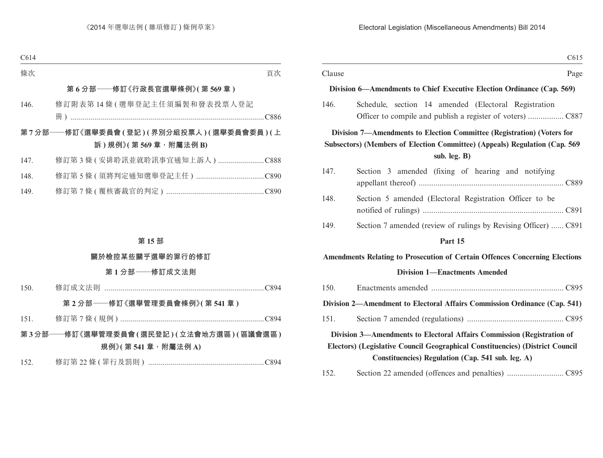|        | C615                                                                                                                                                 |  |
|--------|------------------------------------------------------------------------------------------------------------------------------------------------------|--|
| Clause | Page                                                                                                                                                 |  |
|        | Division 6—Amendments to Chief Executive Election Ordinance (Cap. 569)                                                                               |  |
| 146.   | Schedule, section 14 amended (Electoral Registration                                                                                                 |  |
|        | Division 7—Amendments to Election Committee (Registration) (Voters for<br>Subsectors) (Members of Election Committee) (Appeals) Regulation (Cap. 569 |  |
|        | sub. leg. B)                                                                                                                                         |  |
| 147.   | Section 3 amended (fixing of hearing and notifying                                                                                                   |  |
| 148.   | Section 5 amended (Electoral Registration Officer to be                                                                                              |  |
| 149.   | Section 7 amended (review of rulings by Revising Officer)  C891                                                                                      |  |
|        | Part 15                                                                                                                                              |  |
|        | <b>Amendments Relating to Prosecution of Certain Offences Concerning Elections</b>                                                                   |  |
|        | <b>Division 1—Enactments Amended</b>                                                                                                                 |  |
| 150.   |                                                                                                                                                      |  |
|        | Division 2—Amendment to Electoral Affairs Commission Ordinance (Cap. 541)                                                                            |  |
| 151.   |                                                                                                                                                      |  |
|        | Division 3-Amendments to Electoral Affairs Commission (Registration of                                                                               |  |
|        | Electors) (Legislative Council Geographical Constituencies) (District Council                                                                        |  |

**Constituencies) Regulation (Cap. 541 sub. leg. A)**

| 152. |  |  |  |  |
|------|--|--|--|--|
|------|--|--|--|--|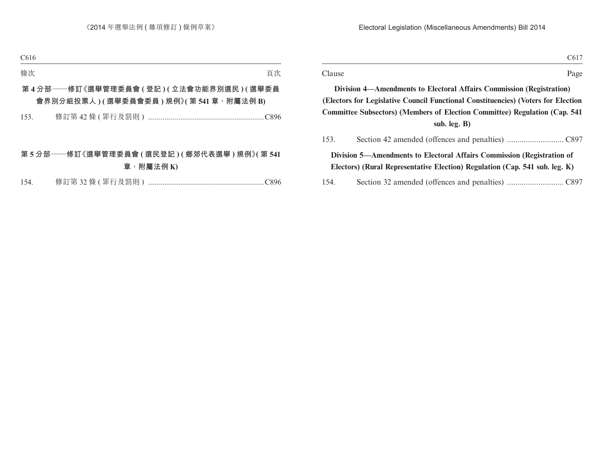| I<br>۰.<br>×<br>. .<br>.<br>$\sim$ |  |
|------------------------------------|--|
|------------------------------------|--|

Clause Page

**Division 4—Amendments to Electoral Affairs Commission (Registration) (Electors for Legislative Council Functional Constituencies) (Voters for Election Committee Subsectors) (Members of Election Committee) Regulation (Cap. 541 sub. leg. B)**

| 153. |                                                                             |
|------|-----------------------------------------------------------------------------|
|      | Division 5—Amendments to Electoral Affairs Commission (Registration of      |
|      | Electors) (Rural Representative Election) Regulation (Cap. 541 sub. leg. K) |
|      |                                                                             |

154. Section 32 amended (offences and penalties) ........................... C897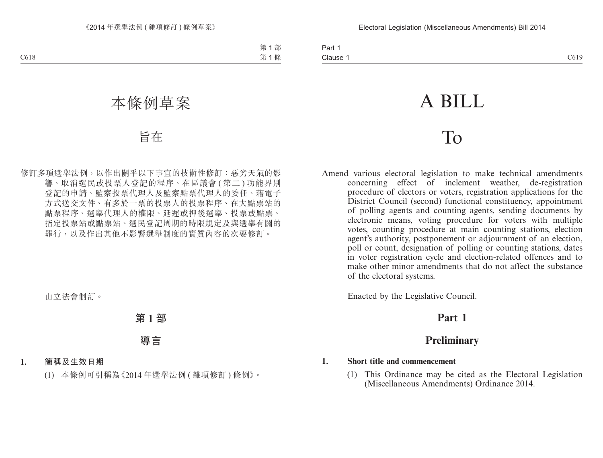# A BILL

# To

Amend various electoral legislation to make technical amendments concerning effect of inclement weather, de-registration procedure of electors or voters, registration applications for the District Council (second) functional constituency, appointment of polling agents and counting agents, sending documents by electronic means, voting procedure for voters with multiple votes, counting procedure at main counting stations, election agent's authority, postponement or adjournment of an election, poll or count, designation of polling or counting stations, dates in voter registration cycle and election-related offences and to make other minor amendments that do not affect the substance of the electoral systems.

Enacted by the Legislative Council.

# **Part 1**

# **Preliminary**

# **1. Short title and commencement**

(1) This Ordinance may be cited as the Electoral Legislation (Miscellaneous Amendments) Ordinance 2014.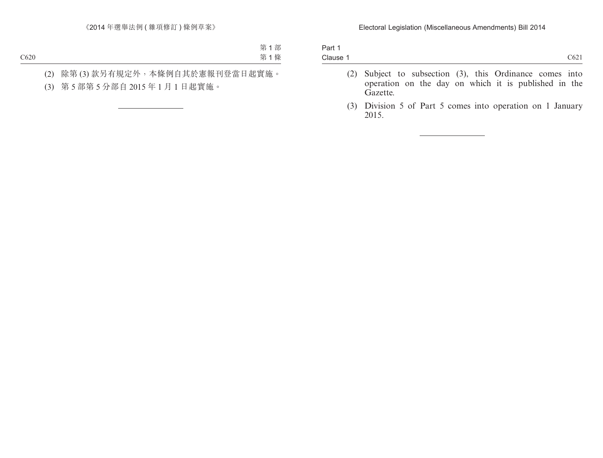| Part 1   |  |  |                  |
|----------|--|--|------------------|
| Clause 1 |  |  | C <sub>621</sub> |
|          |  |  |                  |

- (2) Subject to subsection (3), this Ordinance comes into operation on the day on which it is published in the Gazette.
- (3) Division 5 of Part 5 comes into operation on 1 January 2015.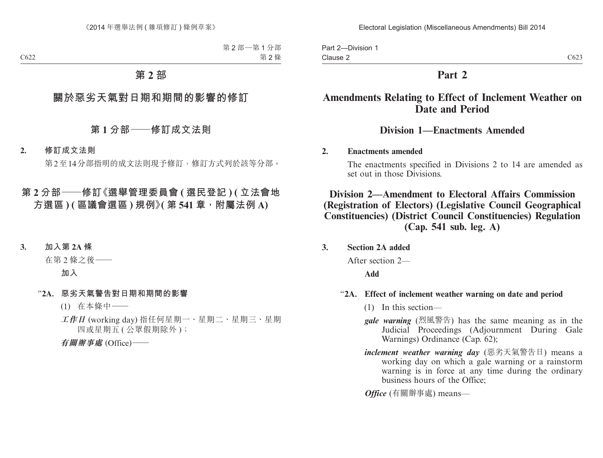Part 2—Division 1 Clause 2

# **Part 2**

# **Amendments Relating to Effect of Inclement Weather on Date and Period**

# **Division 1—Enactments Amended**

# **2. Enactments amended**

The enactments specified in Divisions 2 to 14 are amended as set out in those Divisions.

# **Division 2—Amendment to Electoral Affairs Commission (Registration of Electors) (Legislative Council Geographical Constituencies) (District Council Constituencies) Regulation (Cap. 541 sub. leg. A)**

**3. Section 2A added**

After section 2—

**Add**

# "**2A. Effect of inclement weather warning on date and period**

- (1) In this section—
- *gale warning* (烈風警告) has the same meaning as in the Judicial Proceedings (Adjournment During Gale Warnings) Ordinance (Cap. 62);
- *inclement weather warning day* (惡劣天氣警告日) means a working day on which a gale warning or a rainstorm warning is in force at any time during the ordinary business hours of the Office;

*Office* (有關辦事處) means—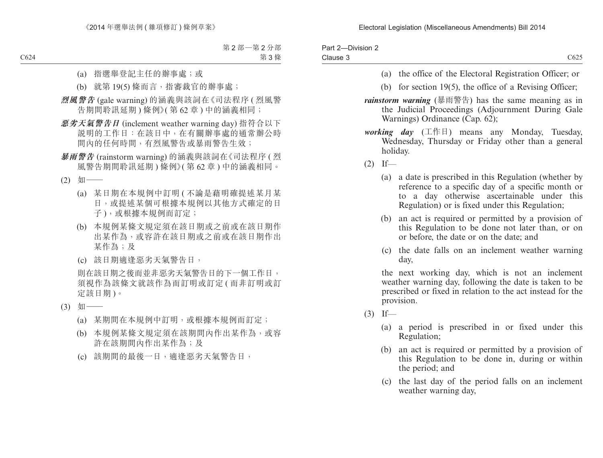| Part 2-Division 2 |                  |
|-------------------|------------------|
| Clause 3          | C <sub>625</sub> |

- (a) the office of the Electoral Registration Officer; or
- (b) for section 19(5), the office of a Revising Officer;
- *rainstorm warning* (暴雨警告) has the same meaning as in the Judicial Proceedings (Adjournment During Gale Warnings) Ordinance (Cap. 62);
- *working day* (工作日) means any Monday, Tuesday, Wednesday, Thursday or Friday other than a general holiday.
- $(2)$  If—
	- (a) a date is prescribed in this Regulation (whether by reference to a specific day of a specific month or to a day otherwise ascertainable under this Regulation) or is fixed under this Regulation;
	- (b) an act is required or permitted by a provision of this Regulation to be done not later than, or on or before, the date or on the date; and
	- (c) the date falls on an inclement weather warning day,

the next working day, which is not an inclement weather warning day, following the date is taken to be prescribed or fixed in relation to the act instead for the provision.

- $(3)$  If—
	- (a) a period is prescribed in or fixed under this Regulation;
	- (b) an act is required or permitted by a provision of this Regulation to be done in, during or within the period; and
	- (c) the last day of the period falls on an inclement weather warning day,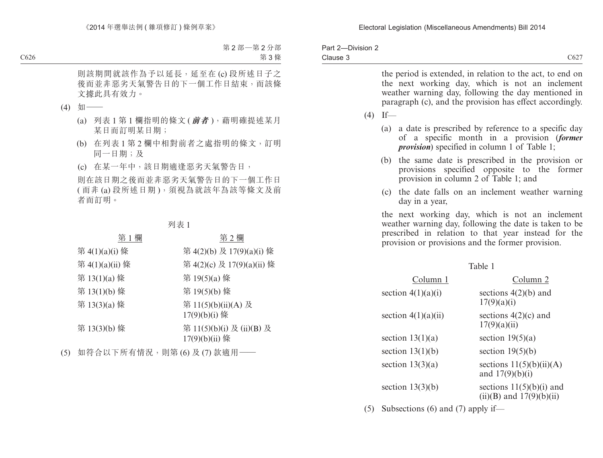| Part 2-Division 2 |                  |
|-------------------|------------------|
| Clause 3          | C <sub>627</sub> |

the period is extended, in relation to the act, to end on the next working day, which is not an inclement weather warning day, following the day mentioned in paragraph (c), and the provision has effect accordingly.  $(4)$  If— (a) a date is prescribed by reference to a specific day of a specific month in a provision (*former provision*) specified in column 1 of Table 1; (b) the same date is prescribed in the provision or provisions specified opposite to the former provision in column 2 of Table 1; and (c) the date falls on an inclement weather warning day in a year, the next working day, which is not an inclement weather warning day, following the date is taken to be prescribed in relation to that year instead for the provision or provisions and the former provision.

| × |  |
|---|--|
|   |  |

| Column 1              | Column 2                                                   |
|-----------------------|------------------------------------------------------------|
| section $4(1)(a)(i)$  | sections $4(2)(b)$ and<br>17(9)(a)(i)                      |
| section $4(1)(a)(ii)$ | sections $4(2)(c)$ and<br>17(9)(a)(ii)                     |
| section $13(1)(a)$    | section $19(5)(a)$                                         |
| section $13(1)(b)$    | section $19(5)(b)$                                         |
| section $13(3)(a)$    | sections $11(5)(b)(ii)(A)$<br>and $17(9)(b)(i)$            |
| section $13(3)(b)$    | sections $11(5)(b)(i)$ and<br>$(ii)(B)$ and $17(9)(b)(ii)$ |

(5) Subsections (6) and (7) apply if—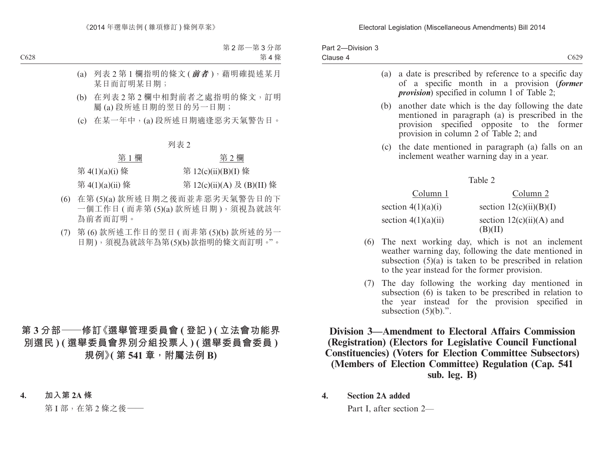| Part 2-Division 3<br>Clause 4 |     |                                               | C629                                                                                                                                                                 |
|-------------------------------|-----|-----------------------------------------------|----------------------------------------------------------------------------------------------------------------------------------------------------------------------|
|                               | (a) |                                               | a date is prescribed by reference to a specific day<br>of a specific month in a provision (former<br><i>provision</i> ) specified in column 1 of Table 2;            |
|                               | (b) | provision in column 2 of Table 2; and         | another date which is the day following the date<br>mentioned in paragraph (a) is prescribed in the<br>provision specified opposite to the former                    |
|                               |     | inclement weather warning day in a year.      | (c) the date mentioned in paragraph (a) falls on an                                                                                                                  |
|                               |     |                                               | Table 2                                                                                                                                                              |
|                               |     | Column 1                                      | Column <sub>2</sub>                                                                                                                                                  |
|                               |     | section $4(1)(a)(i)$                          | section $12(c)(ii)(B)(I)$                                                                                                                                            |
|                               |     | section $4(1)(a)(ii)$                         | section $12(c)(ii)(A)$ and<br>(B)(II)                                                                                                                                |
| (6)                           |     | to the year instead for the former provision. | The next working day, which is not an inclement<br>weather warning day, following the date mentioned in<br>subsection $(5)(a)$ is taken to be prescribed in relation |
| (7)                           |     |                                               | The day following the working day mentioned in<br>subsection (6) is taken to be prescribed in relation to                                                            |

subsection  $(5)(b)$ .". **Division 3—Amendment to Electoral Affairs Commission (Registration) (Electors for Legislative Council Functional Constituencies) (Voters for Election Committee Subsectors)** 

the year instead for the provision specified in

**(Members of Election Committee) Regulation (Cap. 541 sub. leg. B)**

**4. Section 2A added**

Part I, after section 2—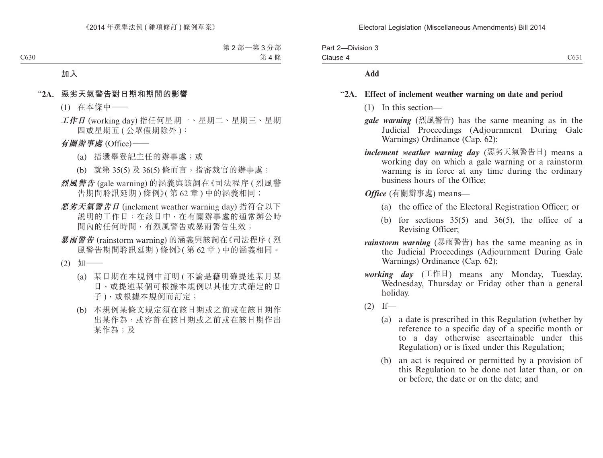| Part 2-Division 3 |      |
|-------------------|------|
| Clause 4          | C631 |

#### **Add**

#### "**2A. Effect of inclement weather warning on date and period**

- (1) In this section—
- *gale warning* (烈風警告) has the same meaning as in the Judicial Proceedings (Adjournment During Gale Warnings) Ordinance (Cap. 62);
- *inclement weather warning day* (惡劣天氣警告日) means a working day on which a gale warning or a rainstorm warning is in force at any time during the ordinary business hours of the Office;
- *Office* (有關辦事處) means—
	- (a) the office of the Electoral Registration Officer; or
	- (b) for sections  $35(5)$  and  $36(5)$ , the office of a Revising Officer;
- *rainstorm warning* (暴雨警告) has the same meaning as in the Judicial Proceedings (Adjournment During Gale Warnings) Ordinance (Cap. 62);
- *working day* (工作日) means any Monday, Tuesday, Wednesday, Thursday or Friday other than a general holiday.
- $(2)$  If—
	- (a) a date is prescribed in this Regulation (whether by reference to a specific day of a specific month or to a day otherwise ascertainable under this Regulation) or is fixed under this Regulation;
	- (b) an act is required or permitted by a provision of this Regulation to be done not later than, or on or before, the date or on the date; and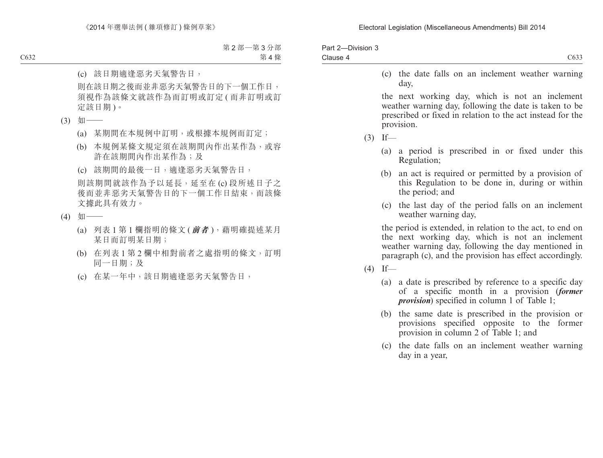| C <sub>6</sub> 33 |
|-------------------|
|                   |

(c) the date falls on an inclement weather warning day,

the next working day, which is not an inclement weather warning day, following the date is taken to be prescribed or fixed in relation to the act instead for the provision.

 $(3)$  If—

- (a) a period is prescribed in or fixed under this Regulation;
- (b) an act is required or permitted by a provision of this Regulation to be done in, during or within the period; and
- (c) the last day of the period falls on an inclement weather warning day,

the period is extended, in relation to the act, to end on the next working day, which is not an inclement weather warning day, following the day mentioned in paragraph (c), and the provision has effect accordingly.

 $(4)$  If—

- (a) a date is prescribed by reference to a specific day of a specific month in a provision (*former provision*) specified in column 1 of Table 1;
- (b) the same date is prescribed in the provision or provisions specified opposite to the former provision in column 2 of Table 1; and
- (c) the date falls on an inclement weather warning day in a year,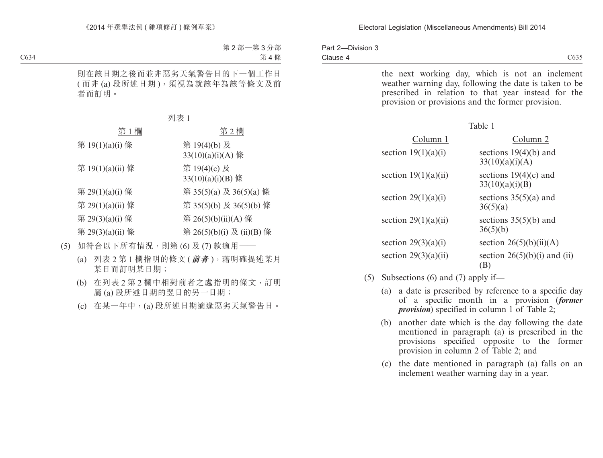|          | Part 2-Division 3 |  |
|----------|-------------------|--|
| Clause 4 |                   |  |

C635

the next working day, which is not an inclement weather warning day, following the date is taken to be prescribed in relation to that year instead for the provision or provisions and the former provision.

|--|--|--|

| Column 1               | Column <sub>2</sub>                        |
|------------------------|--------------------------------------------|
| section $19(1)(a)(i)$  | sections $19(4)(b)$ and<br>33(10)(a)(i)(A) |
| section $19(1)(a)(ii)$ | sections $19(4)(c)$ and<br>33(10)(a)(i)(B) |
| section $29(1)(a)(i)$  | sections $35(5)(a)$ and<br>36(5)(a)        |
| section $29(1)(a)(ii)$ | sections $35(5)(b)$ and<br>36(5)(b)        |
| section $29(3)(a)(i)$  | section $26(5)(b)(ii)(A)$                  |
| section $29(3)(a)(ii)$ | section $26(5)(b)(i)$ and (ii)<br>(B)      |

- (5) Subsections (6) and (7) apply if—
	- (a) a date is prescribed by reference to a specific day of a specific month in a provision (*former provision*) specified in column 1 of Table 2;
	- (b) another date which is the day following the date mentioned in paragraph (a) is prescribed in the provisions specified opposite to the former provision in column 2 of Table 2; and
	- (c) the date mentioned in paragraph (a) falls on an inclement weather warning day in a year.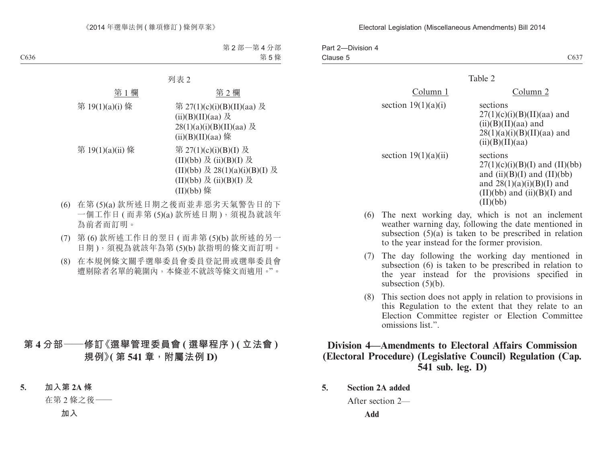| Part 2-Division 4 |                  |
|-------------------|------------------|
| Clause 5          | C63 <sup>7</sup> |

|                        | Table 2                                                                                                                                                       |
|------------------------|---------------------------------------------------------------------------------------------------------------------------------------------------------------|
| Column 1               | Column 2                                                                                                                                                      |
| section $19(1)(a)(i)$  | sections<br>$27(1)(c)(i)(B)(II)(aa)$ and<br>$(ii)(B)(II)(aa)$ and<br>$28(1)(a)(i)(B)(II)(aa)$ and<br>(ii)(B)(II)(aa)                                          |
| section $19(1)(a)(ii)$ | sections<br>$27(1)(c)(i)(B)(I)$ and (II)(bb)<br>and $(ii)(B)(I)$ and $(II)(bb)$<br>and $28(1)(a)(i)(B)(I)$ and<br>$(II)(bb)$ and $(ii)(B)(I)$ and<br>(II)(bb) |

- (6) The next working day, which is not an inclement weather warning day, following the date mentioned in subsection  $(5)(a)$  is taken to be prescribed in relation to the year instead for the former provision.
- (7) The day following the working day mentioned in subsection (6) is taken to be prescribed in relation to the year instead for the provisions specified in subsection (5)(b).
- (8) This section does not apply in relation to provisions in this Regulation to the extent that they relate to an Election Committee register or Election Committee omissions list.".

# **Division 4—Amendments to Electoral Affairs Commission (Electoral Procedure) (Legislative Council) Regulation (Cap. 541 sub. leg. D)**

**5. Section 2A added**

After section 2—

**Add**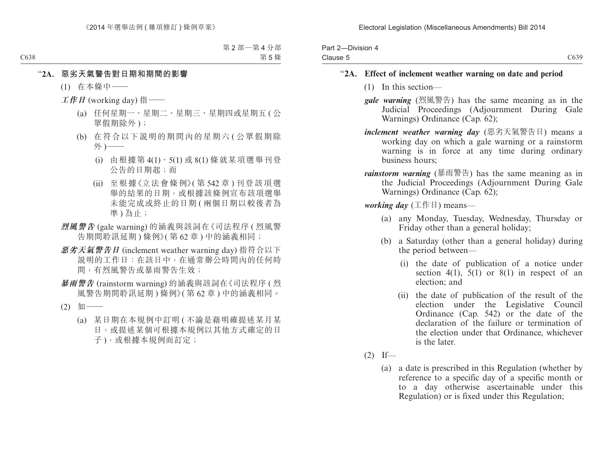| Part 2-Division 4 |      |
|-------------------|------|
| Clause 5          | C639 |

# "**2A. Effect of inclement weather warning on date and period**

- (1) In this section—
- *gale warning* (烈風警告) has the same meaning as in the Judicial Proceedings (Adjournment During Gale Warnings) Ordinance (Cap. 62);
- *inclement weather warning day* (惡劣天氣警告日) means a working day on which a gale warning or a rainstorm warning is in force at any time during ordinary business hours;
- *rainstorm warning* (暴雨警告) has the same meaning as in the Judicial Proceedings (Adjournment During Gale Warnings) Ordinance (Cap. 62);

*working day* (工作日) means—

- (a) any Monday, Tuesday, Wednesday, Thursday or Friday other than a general holiday;
- (b) a Saturday (other than a general holiday) during the period between—
	- (i) the date of publication of a notice under section 4(1), 5(1) or 8(1) in respect of an election; and
	- (ii) the date of publication of the result of the election under the Legislative Council Ordinance (Cap. 542) or the date of the declaration of the failure or termination of the election under that Ordinance, whichever is the later.
- $(2)$  If—
	- (a) a date is prescribed in this Regulation (whether by reference to a specific day of a specific month or to a day otherwise ascertainable under this Regulation) or is fixed under this Regulation;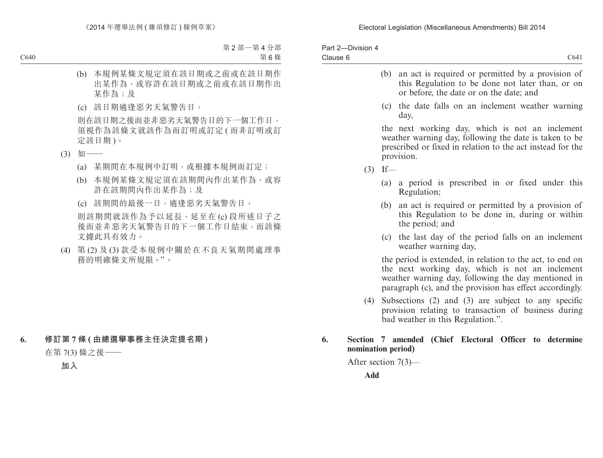| Part 2-Division 4 |                 |
|-------------------|-----------------|
| Clause 6          | C <sub>64</sub> |
|                   |                 |

- (b) an act is required or permitted by a provision of this Regulation to be done not later than, or on or before, the date or on the date; and
- (c) the date falls on an inclement weather warning day,

the next working day, which is not an inclement weather warning day, following the date is taken to be prescribed or fixed in relation to the act instead for the provision.

- $(3)$  If—
	- (a) a period is prescribed in or fixed under this Regulation;
	- (b) an act is required or permitted by a provision of this Regulation to be done in, during or within the period; and
	- (c) the last day of the period falls on an inclement weather warning day,

the period is extended, in relation to the act, to end on the next working day, which is not an inclement weather warning day, following the day mentioned in paragraph (c), and the provision has effect accordingly.

(4) Subsections (2) and (3) are subject to any specific provision relating to transaction of business during bad weather in this Regulation.".

# **6. Section 7 amended (Chief Electoral Officer to determine nomination period)**

After section 7(3)—

**Add**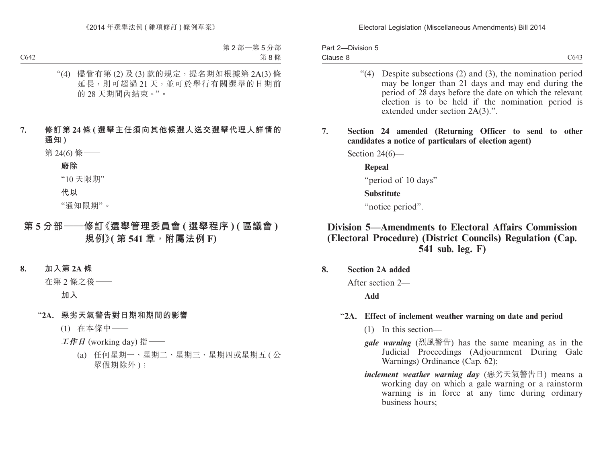| Part 2-Division 5 |                  |
|-------------------|------------------|
| Clause 8          | C <sub>643</sub> |

- "(4) Despite subsections (2) and (3), the nomination period may be longer than 21 days and may end during the period of 28 days before the date on which the relevant election is to be held if the nomination period is extended under section 2A(3).".
- **7. Section 24 amended (Returning Officer to send to other candidates a notice of particulars of election agent)**

Section 24(6)—

**Repeal**

"period of 10 days"

#### **Substitute**

"notice period".

# **Division 5—Amendments to Electoral Affairs Commission (Electoral Procedure) (District Councils) Regulation (Cap. 541 sub. leg. F)**

#### **8. Section 2A added**

After section 2—

**Add**

#### "**2A. Effect of inclement weather warning on date and period**

- (1) In this section—
- *gale warning* (烈風警告) has the same meaning as in the Judicial Proceedings (Adjournment During Gale Warnings) Ordinance (Cap. 62);
- *inclement weather warning day* (惡劣天氣警告日) means a working day on which a gale warning or a rainstorm warning is in force at any time during ordinary business hours;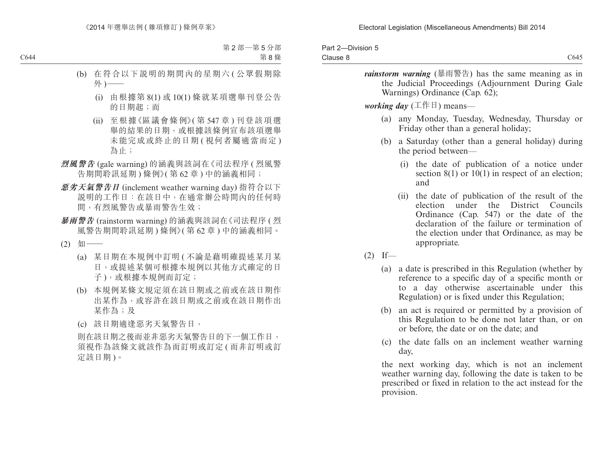| Part 2-Division 5<br>Clause 8 | C645                                                                                                                                                                                                                                    |
|-------------------------------|-----------------------------------------------------------------------------------------------------------------------------------------------------------------------------------------------------------------------------------------|
|                               | <i>rainstorm warning</i> (暴雨警告) has the same meaning as in<br>the Judicial Proceedings (Adjournment During Gale<br>Warnings) Ordinance (Cap. 62);                                                                                       |
|                               | <i>working day</i> ( $\pm$ $\circ$ $\uparrow$ $\uparrow$ ) means—                                                                                                                                                                       |
|                               | (a) any Monday, Tuesday, Wednesday, Thursday or<br>Friday other than a general holiday;                                                                                                                                                 |
| (b)                           | a Saturday (other than a general holiday) during<br>the period between—                                                                                                                                                                 |
|                               | the date of publication of a notice under<br>(1)<br>section $8(1)$ or $10(1)$ in respect of an election;<br>and                                                                                                                         |
|                               | (ii) the date of publication of the result of the<br>under the District Councils<br>election<br>Ordinance (Cap. 547) or the date of the<br>declaration of the failure or termination of<br>the election under that Ordinance, as may be |

appropriate.

- $(2)$  If—
	- (a) a date is prescribed in this Regulation (whether by reference to a specific day of a specific month or to a day otherwise ascertainable under this Regulation) or is fixed under this Regulation;
	- (b) an act is required or permitted by a provision of this Regulation to be done not later than, or on or before, the date or on the date; and
	- (c) the date falls on an inclement weather warning day,

the next working day, which is not an inclement weather warning day, following the date is taken to be prescribed or fixed in relation to the act instead for the provision.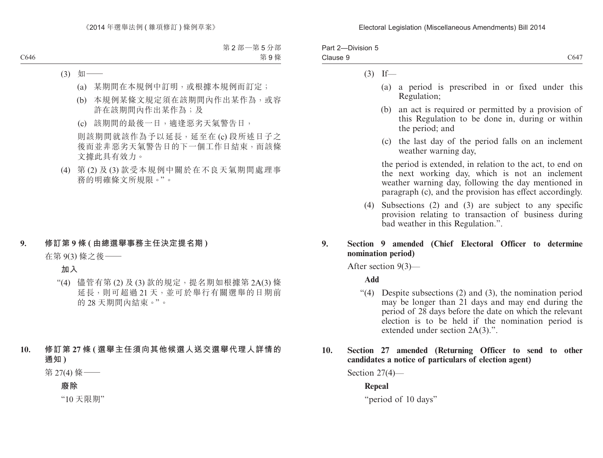| Part 2-Division 5 |                  |
|-------------------|------------------|
| Clause 9          | C <sub>647</sub> |

### $(3)$  If—

- (a) a period is prescribed in or fixed under this Regulation;
- (b) an act is required or permitted by a provision of this Regulation to be done in, during or within the period; and
- (c) the last day of the period falls on an inclement weather warning day,

the period is extended, in relation to the act, to end on the next working day, which is not an inclement weather warning day, following the day mentioned in paragraph (c), and the provision has effect accordingly.

(4) Subsections (2) and (3) are subject to any specific provision relating to transaction of business during bad weather in this Regulation.".

# **9. Section 9 amended (Chief Electoral Officer to determine nomination period)**

After section 9(3)—

# **Add**

"(4) Despite subsections (2) and (3), the nomination period may be longer than 21 days and may end during the period of 28 days before the date on which the relevant election is to be held if the nomination period is extended under section 2A(3).".

# **10. Section 27 amended (Returning Officer to send to other candidates a notice of particulars of election agent)**

Section 27(4)—

**Repeal**

"period of 10 days"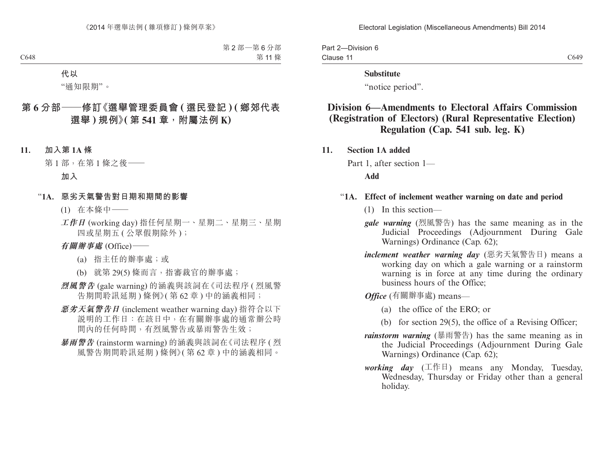#### Electoral Legislation (Miscellaneous Amendments) Bill 2014

Part 2—Division 6 Clause 11

C649

#### **Substitute**

"notice period".

# **Division 6—Amendments to Electoral Affairs Commission (Registration of Electors) (Rural Representative Election) Regulation (Cap. 541 sub. leg. K)**

**11. Section 1A added**

Part 1, after section 1—

**Add**

### "**1A. Effect of inclement weather warning on date and period**

- (1) In this section—
- *gale warning* (烈風警告) has the same meaning as in the Judicial Proceedings (Adjournment During Gale Warnings) Ordinance (Cap. 62);
- *inclement weather warning day* (惡劣天氣警告日) means a working day on which a gale warning or a rainstorm warning is in force at any time during the ordinary business hours of the Office;

*Office* (有關辦事處) means—

- (a) the office of the ERO; or
- (b) for section 29(5), the office of a Revising Officer;
- *rainstorm warning* (暴雨警告) has the same meaning as in the Judicial Proceedings (Adjournment During Gale Warnings) Ordinance (Cap. 62);
- *working day* (工作日) means any Monday, Tuesday, Wednesday, Thursday or Friday other than a general holiday.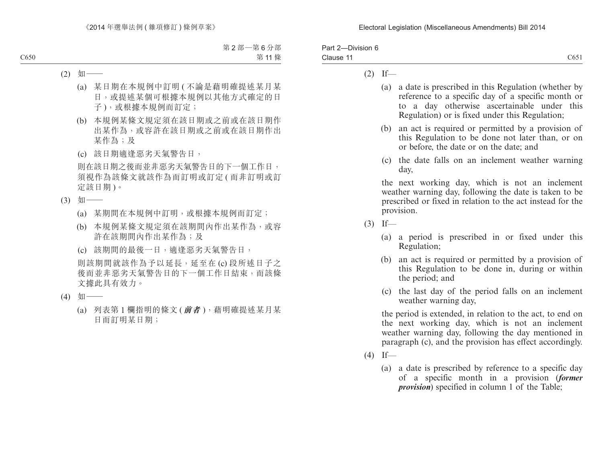| Part 2-Division 6 |                   |
|-------------------|-------------------|
| Clause 11         | C <sub>65</sub> 1 |

### $(2)$  If—

- (a) a date is prescribed in this Regulation (whether by reference to a specific day of a specific month or to a day otherwise ascertainable under this Regulation) or is fixed under this Regulation;
- (b) an act is required or permitted by a provision of this Regulation to be done not later than, or on or before, the date or on the date; and
- (c) the date falls on an inclement weather warning day,

the next working day, which is not an inclement weather warning day, following the date is taken to be prescribed or fixed in relation to the act instead for the provision.

- $(3)$  If—
	- (a) a period is prescribed in or fixed under this Regulation;
	- (b) an act is required or permitted by a provision of this Regulation to be done in, during or within the period; and
	- (c) the last day of the period falls on an inclement weather warning day,

the period is extended, in relation to the act, to end on the next working day, which is not an inclement weather warning day, following the day mentioned in paragraph (c), and the provision has effect accordingly.

- $(4)$  If—
	- (a) a date is prescribed by reference to a specific day of a specific month in a provision (*former provision*) specified in column 1 of the Table;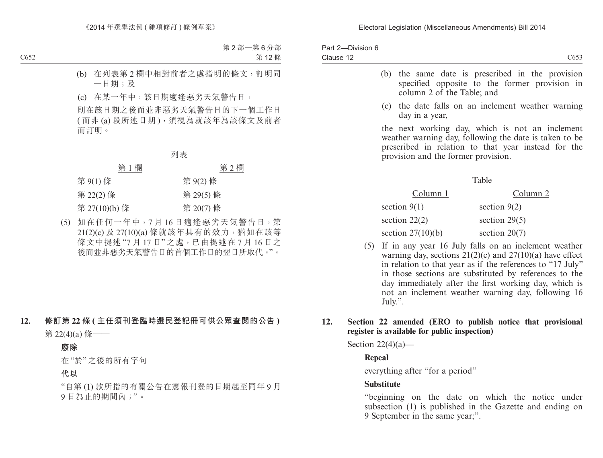| Part 2-Division 6 |      |
|-------------------|------|
| Clause 12         | C653 |
|                   |      |

- (b) the same date is prescribed in the provision specified opposite to the former provision in column 2 of the Table; and
- (c) the date falls on an inclement weather warning day in a year,

the next working day, which is not an inclement weather warning day, following the date is taken to be prescribed in relation to that year instead for the provision and the former provision.

### Table

| Column 1            | Column 2        |
|---------------------|-----------------|
| section $9(1)$      | section $9(2)$  |
| section $22(2)$     | section $29(5)$ |
| section $27(10)(b)$ | section $20(7)$ |

(5) If in any year 16 July falls on an inclement weather warning day, sections  $21(2)(c)$  and  $27(10)(a)$  have effect in relation to that year as if the references to "17 July" in those sections are substituted by references to the day immediately after the first working day, which is not an inclement weather warning day, following 16 July.".

## **12. Section 22 amended (ERO to publish notice that provisional register is available for public inspection)**

Section  $22(4)(a)$ —

## **Repeal**

everything after "for a period"

## **Substitute**

"beginning on the date on which the notice under subsection (1) is published in the Gazette and ending on 9 September in the same year;".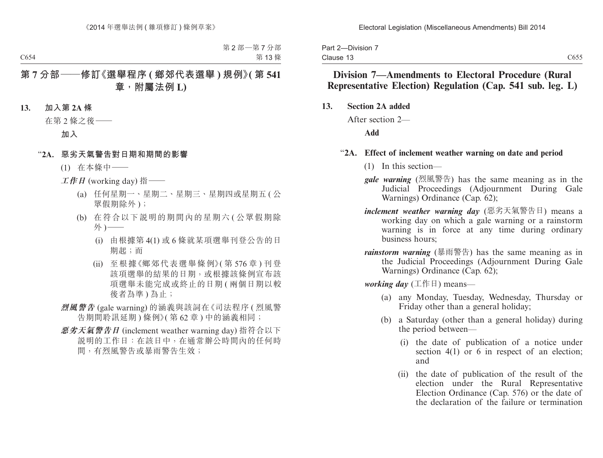|           | Part 2-Division 7 |  |
|-----------|-------------------|--|
| Clause 13 |                   |  |

# **Division 7—Amendments to Electoral Procedure (Rural Representative Election) Regulation (Cap. 541 sub. leg. L)**

**13. Section 2A added**

After section 2—

**Add**

### "**2A. Effect of inclement weather warning on date and period**

- (1) In this section—
- *gale warning* (烈風警告) has the same meaning as in the Judicial Proceedings (Adjournment During Gale Warnings) Ordinance (Cap. 62);
- *inclement weather warning day* (惡劣天氣警告日) means a working day on which a gale warning or a rainstorm warning is in force at any time during ordinary business hours;
- *rainstorm warning* (暴雨警告) has the same meaning as in the Judicial Proceedings (Adjournment During Gale Warnings) Ordinance (Cap. 62);

*working day* (工作日) means—

- (a) any Monday, Tuesday, Wednesday, Thursday or Friday other than a general holiday;
- (b) a Saturday (other than a general holiday) during the period between—
	- (i) the date of publication of a notice under section 4(1) or 6 in respect of an election; and
	- (ii) the date of publication of the result of the election under the Rural Representative Election Ordinance (Cap. 576) or the date of the declaration of the failure or termination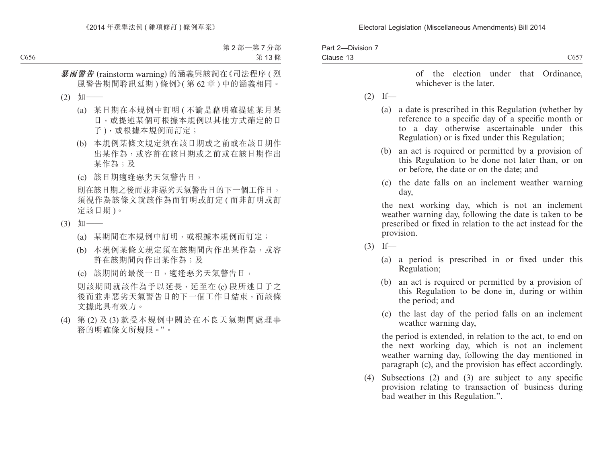### Electoral Legislation (Miscellaneous Amendments) Bill 2014

| Part 2-Division 7<br>Clause 13 | C657                                                                                                                                                                                                                            |
|--------------------------------|---------------------------------------------------------------------------------------------------------------------------------------------------------------------------------------------------------------------------------|
|                                | of the election under that Ordinance,<br>whichever is the later.                                                                                                                                                                |
| (2)                            | $If$ —                                                                                                                                                                                                                          |
|                                | a date is prescribed in this Regulation (whether by<br>(a)<br>reference to a specific day of a specific month or<br>to a day otherwise ascertainable under this<br>Regulation) or is fixed under this Regulation;               |
|                                | an act is required or permitted by a provision of<br>(b)<br>this Regulation to be done not later than, or on<br>or before, the date or on the date; and                                                                         |
|                                | the date falls on an inclement weather warning<br>(c)<br>day,                                                                                                                                                                   |
|                                | the next working day, which is not an inclement<br>weather warning day, following the date is taken to be<br>prescribed or fixed in relation to the act instead for the<br>provision.                                           |
| (3)                            | If                                                                                                                                                                                                                              |
|                                | a period is prescribed in or fixed under this<br>(a)<br>Regulation;                                                                                                                                                             |
|                                | an act is required or permitted by a provision of<br>(b)<br>this Regulation to be done in, during or within<br>the period; and                                                                                                  |
|                                | the last day of the period falls on an inclement<br>(c)<br>weather warning day,                                                                                                                                                 |
|                                | the period is extended, in relation to the act, to end on<br>the next working day, which is not an inclement<br>weather warning day, following the day mentioned in<br>paragraph (c), and the provision has effect accordingly. |
| (4)                            | Subsections $(2)$ and $(3)$ are subject to any specific<br>$\mathcal{F} = \mathcal{F} \cup \mathcal{F}$ and $\mathcal{F} = \mathcal{F} \cup \mathcal{F}$ and $\mathcal{F} = \mathcal{F} \cup \mathcal{F}$                       |

provision relating to transaction of business during bad weather in this Regulation.".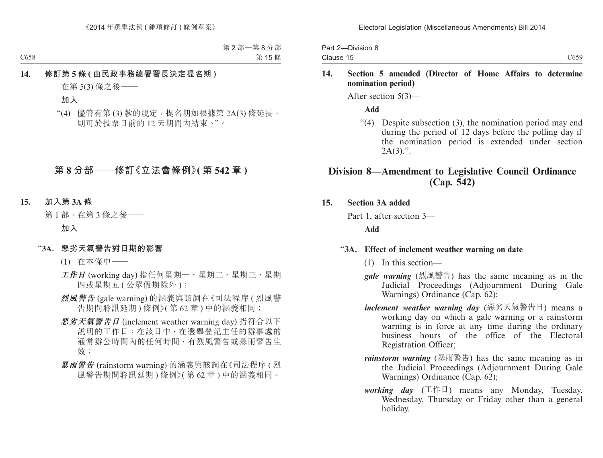|           | Part 2-Division 8 |  |
|-----------|-------------------|--|
| Clause 15 |                   |  |

### **14. Section 5 amended (Director of Home Affairs to determine nomination period)**

After section 5(3)—

**Add**

"(4) Despite subsection (3), the nomination period may end during the period of 12 days before the polling day if the nomination period is extended under section  $2A(3)$ .".

# **Division 8—Amendment to Legislative Council Ordinance (Cap. 542)**

## **15. Section 3A added**

Part 1, after section 3—

# **Add**

## "**3A. Effect of inclement weather warning on date**

- (1) In this section—
- *gale warning* (烈風警告) has the same meaning as in the Judicial Proceedings (Adjournment During Gale Warnings) Ordinance (Cap. 62);
- *inclement weather warning day* (惡劣天氣警告日) means a working day on which a gale warning or a rainstorm warning is in force at any time during the ordinary business hours of the office of the Electoral Registration Officer;
- *rainstorm warning* (暴雨警告) has the same meaning as in the Judicial Proceedings (Adjournment During Gale Warnings) Ordinance (Cap. 62);
- *working day* (工作日) means any Monday, Tuesday, Wednesday, Thursday or Friday other than a general holiday.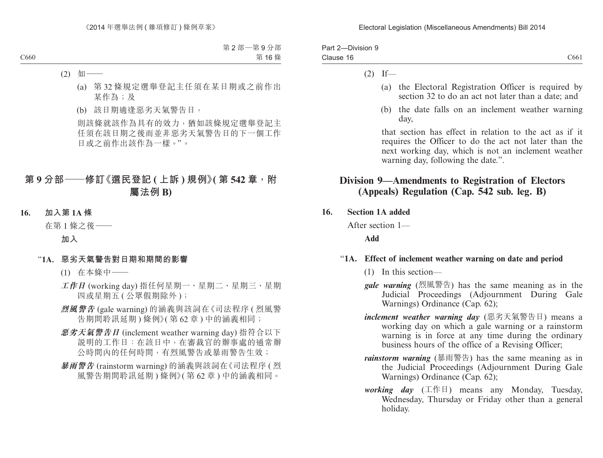| Part 2-Division 9 |                  |
|-------------------|------------------|
| Clause 16         | C <sub>661</sub> |

### $(2)$  If—

- (a) the Electoral Registration Officer is required by section 32 to do an act not later than a date; and
- (b) the date falls on an inclement weather warning day,

that section has effect in relation to the act as if it requires the Officer to do the act not later than the next working day, which is not an inclement weather warning day, following the date.".

# **Division 9—Amendments to Registration of Electors (Appeals) Regulation (Cap. 542 sub. leg. B)**

**16. Section 1A added**

After section 1—

## **Add**

## "**1A. Effect of inclement weather warning on date and period**

- (1) In this section—
- *gale warning* (烈風警告) has the same meaning as in the Judicial Proceedings (Adjournment During Gale Warnings) Ordinance (Cap. 62);
- *inclement weather warning day* (惡劣天氣警告日) means a working day on which a gale warning or a rainstorm warning is in force at any time during the ordinary business hours of the office of a Revising Officer;
- *rainstorm warning* (暴雨警告) has the same meaning as in the Judicial Proceedings (Adjournment During Gale Warnings) Ordinance (Cap. 62);
- *working day* (工作日) means any Monday, Tuesday, Wednesday, Thursday or Friday other than a general holiday.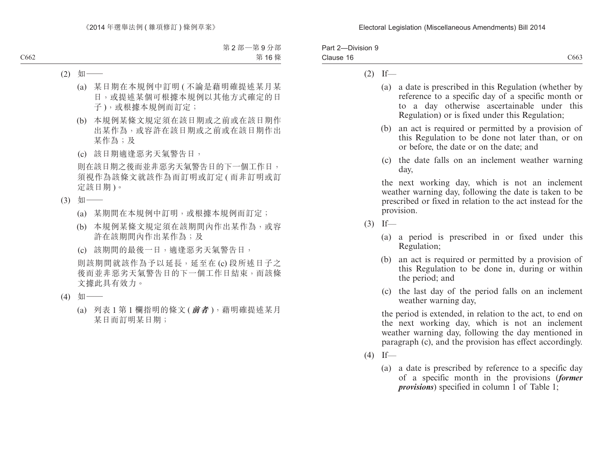| Part 2-Division 9 |                  |
|-------------------|------------------|
| Clause 16         | C <sub>663</sub> |

### $(2)$  If—

- (a) a date is prescribed in this Regulation (whether by reference to a specific day of a specific month or to a day otherwise ascertainable under this Regulation) or is fixed under this Regulation;
- (b) an act is required or permitted by a provision of this Regulation to be done not later than, or on or before, the date or on the date; and
- (c) the date falls on an inclement weather warning day,

the next working day, which is not an inclement weather warning day, following the date is taken to be prescribed or fixed in relation to the act instead for the provision.

- $(3)$  If—
	- (a) a period is prescribed in or fixed under this Regulation;
	- (b) an act is required or permitted by a provision of this Regulation to be done in, during or within the period; and
	- (c) the last day of the period falls on an inclement weather warning day,

the period is extended, in relation to the act, to end on the next working day, which is not an inclement weather warning day, following the day mentioned in paragraph (c), and the provision has effect accordingly.

- $(4)$  If—
	- (a) a date is prescribed by reference to a specific day of a specific month in the provisions (*former provisions*) specified in column 1 of Table 1;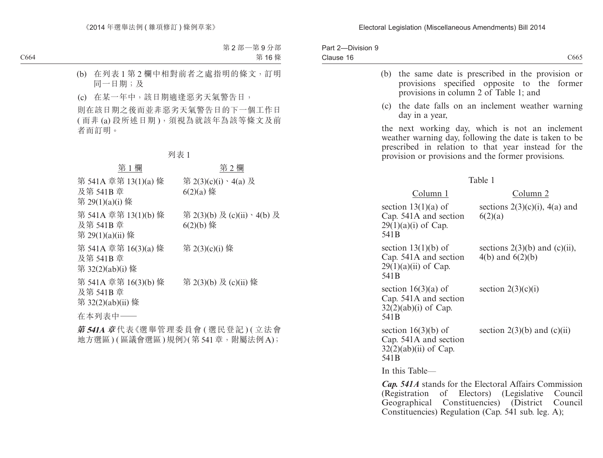| Part 2-Division 9<br>Clause 16 |                  |                                                                           | C665                                                                                                                                                                                                                   |
|--------------------------------|------------------|---------------------------------------------------------------------------|------------------------------------------------------------------------------------------------------------------------------------------------------------------------------------------------------------------------|
|                                | (b)              | provisions in column 2 of Table 1; and                                    | the same date is prescribed in the provision or<br>provisions specified opposite to the<br>former                                                                                                                      |
|                                | (c)              | day in a year,                                                            | the date falls on an inclement weather warning                                                                                                                                                                         |
|                                |                  |                                                                           | the next working day, which is not an inclement<br>weather warning day, following the date is taken to be<br>prescribed in relation to that year instead for the<br>provision or provisions and the former provisions. |
|                                |                  |                                                                           | Table 1                                                                                                                                                                                                                |
|                                |                  | Column 1                                                                  | Column 2                                                                                                                                                                                                               |
|                                | 541 <sub>B</sub> | section $13(1)(a)$ of<br>Cap. 541A and section<br>$29(1)(a)(i)$ of Cap.   | sections $2(3)(c)(i)$ , 4(a) and<br>6(2)(a)                                                                                                                                                                            |
|                                | 541B             | section $13(1)(b)$ of<br>Cap. 541A and section<br>$29(1)(a)(ii)$ of Cap.  | sections $2(3)(b)$ and $(c)(ii)$ ,<br>4(b) and $6(2)(b)$                                                                                                                                                               |
|                                | 541 <sub>B</sub> | section $16(3)(a)$ of<br>Cap. 541A and section<br>$32(2)(ab)(i)$ of Cap.  | section $2(3)(c)(i)$                                                                                                                                                                                                   |
|                                | 541B             | section $16(3)(b)$ of<br>Cap. 541A and section<br>$32(2)(ab)(ii)$ of Cap. | section $2(3)(b)$ and $(c)(ii)$                                                                                                                                                                                        |
|                                |                  | In this Table—                                                            |                                                                                                                                                                                                                        |
|                                |                  |                                                                           | Cap. 541A stands for the Electoral Affairs Commission                                                                                                                                                                  |

(Registration of Electors) (Legislative Council Geographical Constituencies) (District Council Constituencies) Regulation (Cap. 541 sub. leg. A);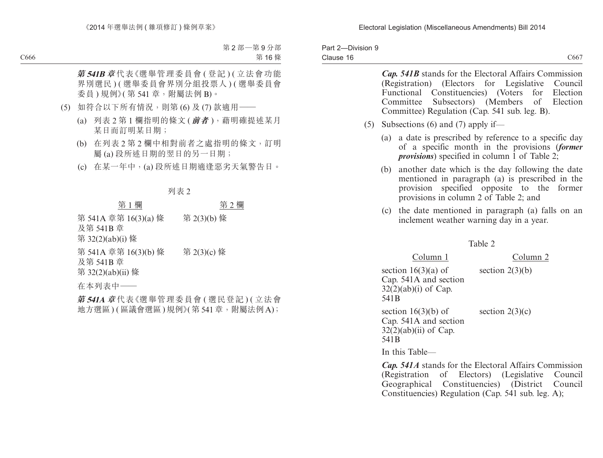|           | Part 2-Division 9 |  |
|-----------|-------------------|--|
| Clause 16 |                   |  |

| (5) | <b>Cap. 541B</b> stands for the Electoral Affairs Commission<br>(Registration)<br>(Electors for<br>Legislative Council<br>Constituencies) (Voters<br>for Election<br>Functional<br>Committee<br>Subsectors) (Members of Election<br>Committee) Regulation (Cap. 541 sub. leg. B).<br>Subsections $(6)$ and $(7)$ apply if— |
|-----|----------------------------------------------------------------------------------------------------------------------------------------------------------------------------------------------------------------------------------------------------------------------------------------------------------------------------|
|     | a date is prescribed by reference to a specific day<br>(a)<br>of a specific month in the provisions (former<br><i>provisions</i> ) specified in column 1 of Table 2;                                                                                                                                                       |
|     | another date which is the day following the date<br>(b)<br>mentioned in paragraph (a) is prescribed in the<br>specified opposite to the<br>provision<br>former<br>provisions in column 2 of Table 2; and                                                                                                                   |
|     | the date mentioned in paragraph (a) falls on an<br>(c)<br>inclement weather warning day in a year.                                                                                                                                                                                                                         |
|     | Table 2                                                                                                                                                                                                                                                                                                                    |
|     | Column 1<br>Column <sub>2</sub>                                                                                                                                                                                                                                                                                            |
|     | section $16(3)(a)$ of<br>section $2(3)(b)$<br>Cap. 541A and section<br>$32(2)(ab)(i)$ of Cap.<br>541B                                                                                                                                                                                                                      |
|     | section $16(3)(b)$ of<br>section $2(3)(c)$<br>Cap. 541A and section<br>$32(2)(ab)(ii)$ of Cap.<br>541B                                                                                                                                                                                                                     |
|     | In this Table—                                                                                                                                                                                                                                                                                                             |
|     | Cap. 541A stands for the Electoral Affairs Commission<br>Electors) (Legislative<br>(Registration<br>of<br>Council<br>Geographical Constituencies) (District<br>Council<br>Constituencies) Regulation (Cap. 541 sub. leg. A);                                                                                               |
|     |                                                                                                                                                                                                                                                                                                                            |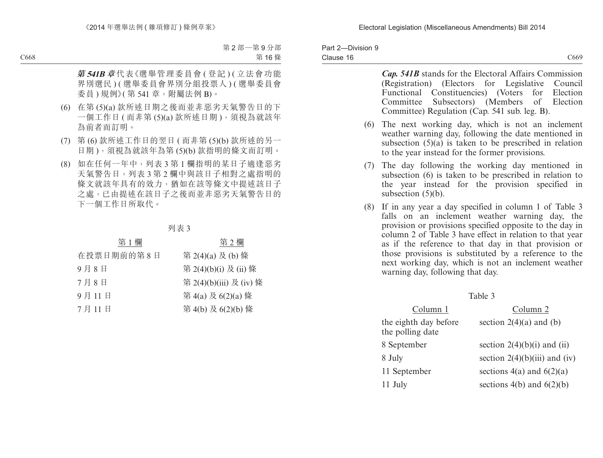|           | Part 2-Division 9 |  |
|-----------|-------------------|--|
| Clause 16 |                   |  |

C<sub>669</sub>

*Cap. 541B* stands for the Electoral Affairs Commission (Registration) (Electors for Legislative Council Functional Constituencies) (Voters for Election Committee Subsectors) (Members of Election Committee) Regulation (Cap. 541 sub. leg. B).

- (6) The next working day, which is not an inclement weather warning day, following the date mentioned in subsection  $(5)(a)$  is taken to be prescribed in relation to the year instead for the former provisions.
- (7) The day following the working day mentioned in subsection (6) is taken to be prescribed in relation to the year instead for the provision specified in subsection (5)(b).
- (8) If in any year a day specified in column 1 of Table 3 falls on an inclement weather warning day, the provision or provisions specified opposite to the day in column 2 of Table 3 have effect in relation to that year as if the reference to that day in that provision or those provisions is substituted by a reference to the next working day, which is not an inclement weather warning day, following that day.

|                                           | таше э                          |
|-------------------------------------------|---------------------------------|
| Column 1                                  | Column 2                        |
| the eighth day before<br>the polling date | section $2(4)(a)$ and (b)       |
| 8 September                               | section $2(4)(b)(i)$ and (ii)   |
| 8 July                                    | section $2(4)(b)(iii)$ and (iv) |
| 11 September                              | sections $4(a)$ and $6(2)(a)$   |
| 11 July                                   | sections $4(b)$ and $6(2)(b)$   |

 $TA<sub>2</sub>$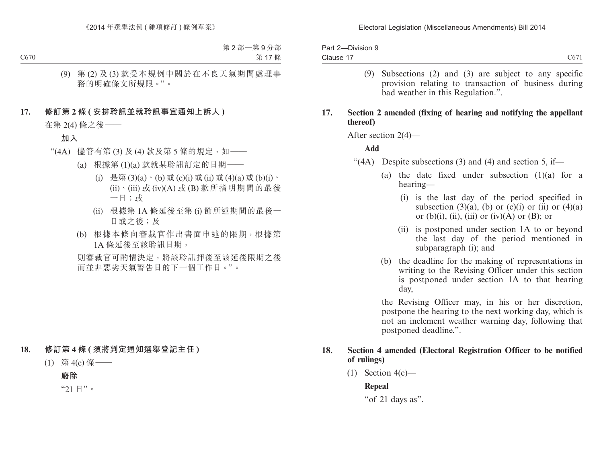| Part 2-Division 9 |                  |
|-------------------|------------------|
| Clause 17         | C <sub>671</sub> |

(9) Subsections (2) and (3) are subject to any specific provision relating to transaction of business during bad weather in this Regulation.".

### **17. Section 2 amended (fixing of hearing and notifying the appellant thereof)**

After section 2(4)—

### **Add**

- "(4A) Despite subsections (3) and (4) and section 5, if—
	- (a) the date fixed under subsection (1)(a) for a hearing—
		- (i) is the last day of the period specified in subsection (3)(a), (b) or (c)(i) or (ii) or (4)(a) or  $(b)(i)$ ,  $(ii)$ ,  $(iii)$  or  $(iv)(A)$  or  $(B)$ ; or
		- (ii) is postponed under section 1A to or beyond the last day of the period mentioned in subparagraph (i); and
	- (b) the deadline for the making of representations in writing to the Revising Officer under this section is postponed under section 1A to that hearing day,

the Revising Officer may, in his or her discretion, postpone the hearing to the next working day, which is not an inclement weather warning day, following that postponed deadline.".

### **18. Section 4 amended (Electoral Registration Officer to be notified of rulings)**

(1) Section  $4(c)$ —

**Repeal**

"of 21 days as".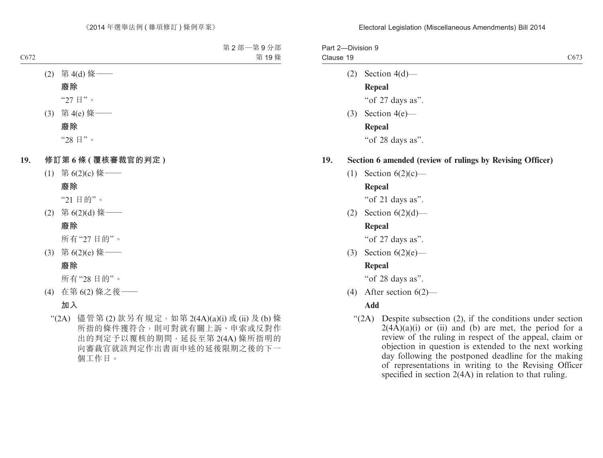| Part 2-Division 9<br>Clause 19 |                                                           | C <sub>673</sub> |
|--------------------------------|-----------------------------------------------------------|------------------|
|                                | $(2)$ Section 4(d)—                                       |                  |
|                                | <b>Repeal</b>                                             |                  |
|                                | "of 27 days as".                                          |                  |
|                                | $(3)$ Section 4(e) —                                      |                  |
|                                | Repeal                                                    |                  |
|                                | "of 28 days as".                                          |                  |
| 19.                            | Section 6 amended (review of rulings by Revising Officer) |                  |
|                                | (1) Section $6(2)(c)$ —                                   |                  |
|                                | Repeal                                                    |                  |
|                                | "of 21 days as".                                          |                  |

(2) Section  $6(2)(d)$ —

## **Repeal**

"of 27 days as".

(3) Section 6(2)(e)—

## **Repeal**

"of 28 days as".

(4) After section 6(2)—

# **Add**

"(2A) Despite subsection (2), if the conditions under section  $2(4\overline{A})(a)(i)$  or (ii) and (b) are met, the period for a review of the ruling in respect of the appeal, claim or objection in question is extended to the next working day following the postponed deadline for the making of representations in writing to the Revising Officer specified in section 2(4A) in relation to that ruling.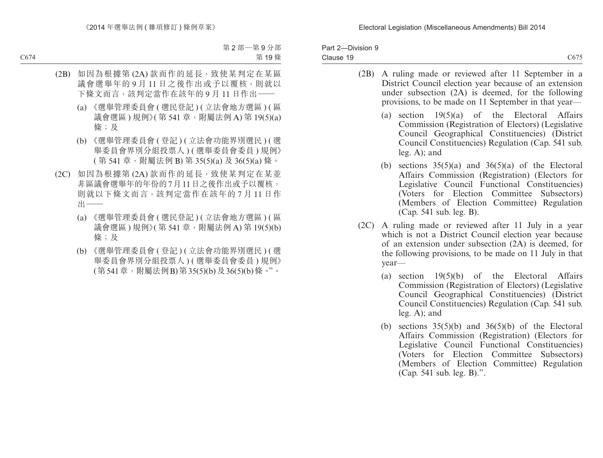| Part 2-Division 9 |      |
|-------------------|------|
| Clause 19         | C675 |

- (2B) A ruling made or reviewed after 11 September in a District Council election year because of an extension under subsection (2A) is deemed, for the following provisions, to be made on 11 September in that year—
	- (a) section  $19(5)(a)$  of the Electoral Affairs Commission (Registration of Electors) (Legislative Council Geographical Constituencies) (District Council Constituencies) Regulation (Cap. 541 sub. leg. A); and
	- (b) sections  $35(5)(a)$  and  $36(5)(a)$  of the Electoral Affairs Commission (Registration) (Electors for Legislative Council Functional Constituencies) (Voters for Election Committee Subsectors) (Members of Election Committee) Regulation (Cap. 541 sub. leg. B).
- (2C) A ruling made or reviewed after 11 July in a year which is not a District Council election year because of an extension under subsection (2A) is deemed, for the following provisions, to be made on 11 July in that year—
	- (a) section 19(5)(b) of the Electoral Affairs Commission (Registration of Electors) (Legislative Council Geographical Constituencies) (District Council Constituencies) Regulation (Cap. 541 sub. leg. A); and
	- (b) sections  $35(5)(b)$  and  $36(5)(b)$  of the Electoral Affairs Commission (Registration) (Electors for Legislative Council Functional Constituencies) (Voters for Election Committee Subsectors) (Members of Election Committee) Regulation (Cap. 541 sub. leg. B).".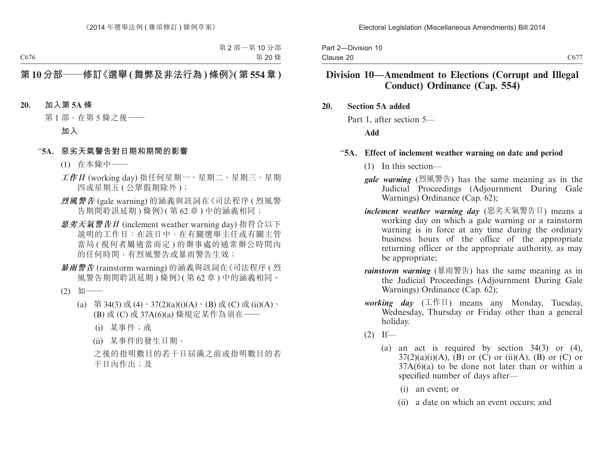|           | Part 2-Division 10 |  |
|-----------|--------------------|--|
| Clause 20 |                    |  |

# **Division 10—Amendment to Elections (Corrupt and Illegal Conduct) Ordinance (Cap. 554)**

### **20. Section 5A added**

Part 1, after section 5—

### **Add**

### "**5A. Effect of inclement weather warning on date and period**

- (1) In this section—
- *gale warning* (烈風警告) has the same meaning as in the Judicial Proceedings (Adjournment During Gale Warnings) Ordinance (Cap. 62);
- *inclement weather warning day* (惡劣天氣警告日) means a working day on which a gale warning or a rainstorm warning is in force at any time during the ordinary business hours of the office of the appropriate returning officer or the appropriate authority, as may be appropriate;
- *rainstorm warning* (暴雨警告) has the same meaning as in the Judicial Proceedings (Adjournment During Gale Warnings) Ordinance (Cap. 62);
- *working day* (工作日) means any Monday, Tuesday, Wednesday, Thursday or Friday other than a general holiday.
- $(2)$  If—
	- (a) an act is required by section 34(3) or (4),  $37(2)(a)(i)(A)$ , (B) or (C) or (ii)(A), (B) or (C) or  $37A(6)(a)$  to be done not later than or within a specified number of days after—
		- (i) an event; or
		- (ii) a date on which an event occurs; and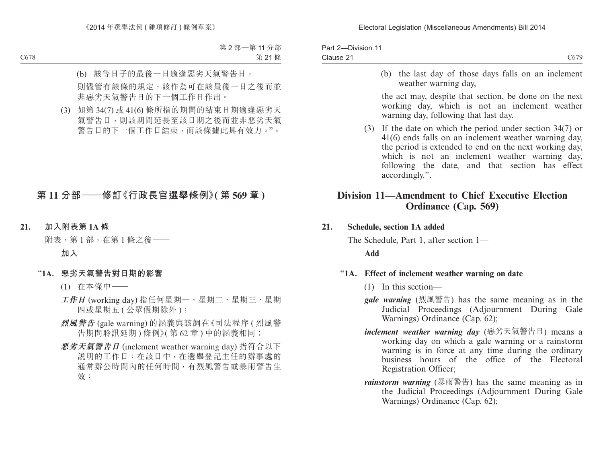| Part 2-Division 11 |                  |
|--------------------|------------------|
| Clause 21          | C <sub>679</sub> |

(b) the last day of those days falls on an inclement weather warning day,

the act may, despite that section, be done on the next working day, which is not an inclement weather warning day, following that last day.

(3) If the date on which the period under section 34(7) or 41(6) ends falls on an inclement weather warning day, the period is extended to end on the next working day, which is not an inclement weather warning day, following the date, and that section has effect accordingly.".

# **Division 11—Amendment to Chief Executive Election Ordinance (Cap. 569)**

### **21. Schedule, section 1A added**

The Schedule, Part 1, after section 1— **Add**

## "**1A. Effect of inclement weather warning on date**

- (1) In this section—
- *gale warning* (烈風警告) has the same meaning as in the Judicial Proceedings (Adjournment During Gale Warnings) Ordinance (Cap. 62);
- *inclement weather warning day* (惡劣天氣警告日) means a working day on which a gale warning or a rainstorm warning is in force at any time during the ordinary business hours of the office of the Electoral Registration Officer;
- *rainstorm warning* (暴雨警告) has the same meaning as in the Judicial Proceedings (Adjournment During Gale Warnings) Ordinance (Cap. 62);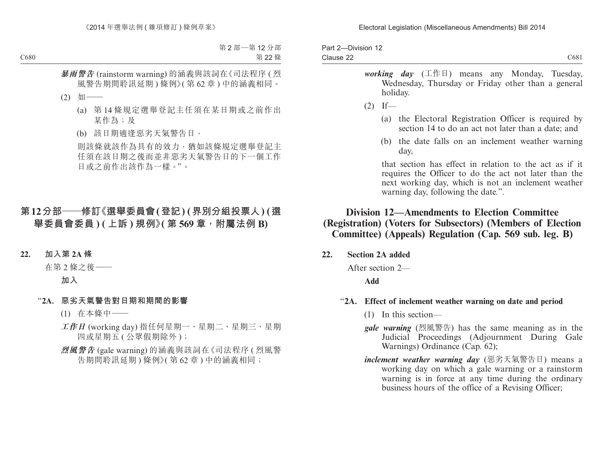| Part 2-Division 12 |      |
|--------------------|------|
| Clause 22          | C681 |

- *working day* (工作日) means any Monday, Tuesday, Wednesday, Thursday or Friday other than a general holiday.
- $(2)$  If—
	- (a) the Electoral Registration Officer is required by section 14 to do an act not later than a date: and
	- (b) the date falls on an inclement weather warning day,

that section has effect in relation to the act as if it requires the Officer to do the act not later than the next working day, which is not an inclement weather warning day, following the date.".

# **Division 12—Amendments to Election Committee (Registration) (Voters for Subsectors) (Members of Election Committee) (Appeals) Regulation (Cap. 569 sub. leg. B)**

**22. Section 2A added**

After section 2—

**Add**

### "**2A. Effect of inclement weather warning on date and period**

- (1) In this section—
- *gale warning* (烈風警告) has the same meaning as in the Judicial Proceedings (Adjournment During Gale Warnings) Ordinance (Cap. 62);
- *inclement weather warning day* (惡劣天氣警告日) means a working day on which a gale warning or a rainstorm warning is in force at any time during the ordinary business hours of the office of a Revising Officer;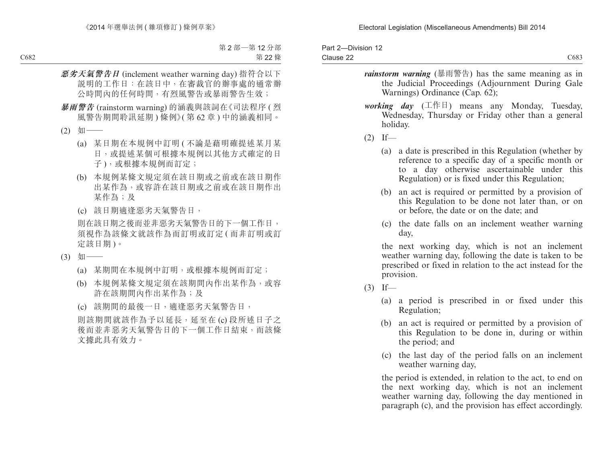| Part 2-Division 12 |                  |
|--------------------|------------------|
| Clause 22          | C <sub>683</sub> |

- *rainstorm warning* (暴雨警告) has the same meaning as in the Judicial Proceedings (Adjournment During Gale Warnings) Ordinance (Cap. 62);
- *working day* (工作日) means any Monday, Tuesday, Wednesday, Thursday or Friday other than a general holiday.
- $(2)$  If—
	- (a) a date is prescribed in this Regulation (whether by reference to a specific day of a specific month or to a day otherwise ascertainable under this Regulation) or is fixed under this Regulation;
	- (b) an act is required or permitted by a provision of this Regulation to be done not later than, or on or before, the date or on the date; and
	- (c) the date falls on an inclement weather warning day,

the next working day, which is not an inclement weather warning day, following the date is taken to be prescribed or fixed in relation to the act instead for the provision.

- $(3)$  If—
	- (a) a period is prescribed in or fixed under this Regulation;
	- (b) an act is required or permitted by a provision of this Regulation to be done in, during or within the period; and
	- (c) the last day of the period falls on an inclement weather warning day,

the period is extended, in relation to the act, to end on the next working day, which is not an inclement weather warning day, following the day mentioned in paragraph (c), and the provision has effect accordingly.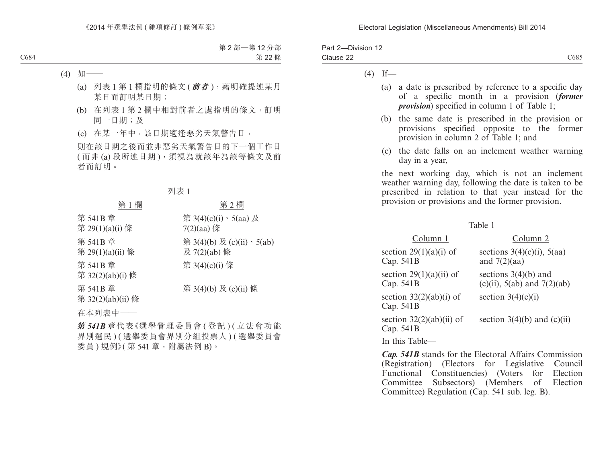| Part 2-Division 12 |                  |
|--------------------|------------------|
| Clause 22          | C <sub>685</sub> |

 $(4)$  If—

- (a) a date is prescribed by reference to a specific day of a specific month in a provision (*former provision*) specified in column 1 of Table 1;
- (b) the same date is prescribed in the provision or provisions specified opposite to the former provision in column 2 of Table 1; and
- (c) the date falls on an inclement weather warning day in a year,

the next working day, which is not an inclement weather warning day, following the date is taken to be prescribed in relation to that year instead for the provision or provisions and the former provision.

#### Table 1

| Column 1                                  | Column 2                                                  |
|-------------------------------------------|-----------------------------------------------------------|
| section $29(1)(a)(i)$ of<br>Cap. 541B     | sections $3(4)(c)(i)$ , $5(aa)$<br>and $7(2)(aa)$         |
| section $29(1)(a)(ii)$ of<br>Cap. 541B    | sections $3(4)(b)$ and<br>(c)(ii), $5(ab)$ and $7(2)(ab)$ |
| section $32(2)(ab)(i)$ of<br>Cap. 541B    | section $3(4)(c)(i)$                                      |
| section $32(2)(ab)(ii)$ of<br>Cap. $541B$ | section $3(4)(b)$ and $(c)(ii)$                           |
| In this Table—                            |                                                           |

*Cap. 541B* stands for the Electoral Affairs Commission (Registration) (Electors for Legislative Council Functional Constituencies) (Voters for Election Committee Subsectors) (Members of Election Committee) Regulation (Cap. 541 sub. leg. B).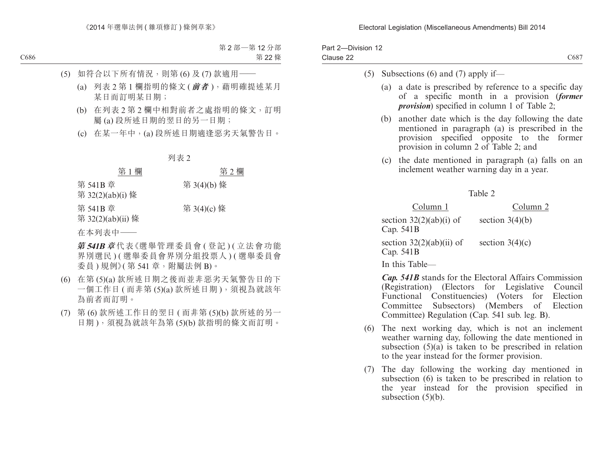| Part 2-Division 12 |      |
|--------------------|------|
| Clause 22          | C687 |

### (5) Subsections (6) and (7) apply if—

- (a) a date is prescribed by reference to a specific day of a specific month in a provision (*former provision*) specified in column 1 of Table 2;
- (b) another date which is the day following the date mentioned in paragraph (a) is prescribed in the provision specified opposite to the former provision in column 2 of Table 2; and
- (c) the date mentioned in paragraph (a) falls on an inclement weather warning day in a year.

Table 2

Column 1 Column 2 section  $32(2)(ab)(i)$  of Cap. 541B section  $3(4)(b)$ section  $32(2)(ab)(ii)$  of section  $3(4)(c)$ Cap. 541B

In this Table—

*Cap. 541B* stands for the Electoral Affairs Commission (Registration) (Electors for Legislative Council Functional Constituencies) (Voters for Election Committee Subsectors) (Members of Election Committee) Regulation (Cap. 541 sub. leg. B).

- (6) The next working day, which is not an inclement weather warning day, following the date mentioned in subsection  $(5)(a)$  is taken to be prescribed in relation to the year instead for the former provision.
- (7) The day following the working day mentioned in subsection (6) is taken to be prescribed in relation to the year instead for the provision specified in subsection  $(5)(b)$ .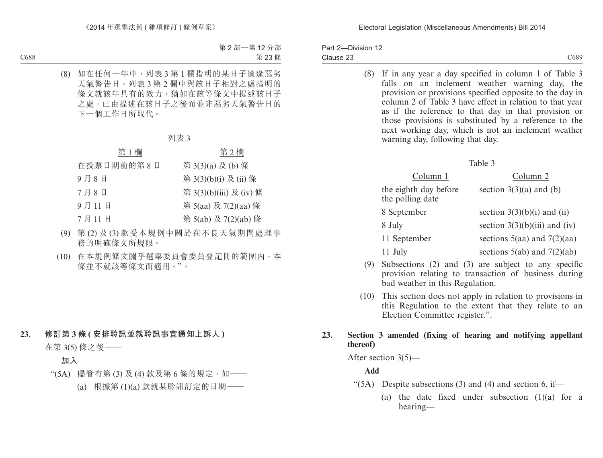| Part 2-Division 12 |                  |
|--------------------|------------------|
| Clause 23          | C <sub>689</sub> |

(8) If in any year a day specified in column 1 of Table 3 falls on an inclement weather warning day, the provision or provisions specified opposite to the day in column 2 of Table 3 have effect in relation to that year as if the reference to that day in that provision or those provisions is substituted by a reference to the next working day, which is not an inclement weather warning day, following that day.

#### Table 3

| Column 1                                  | Column 2                        |
|-------------------------------------------|---------------------------------|
| the eighth day before<br>the polling date | section $3(3)(a)$ and (b)       |
| 8 September                               | section $3(3)(b)(i)$ and (ii)   |
| 8 July                                    | section $3(3)(b)(iii)$ and (iv) |
| 11 September                              | sections $5(aa)$ and $7(2)(aa)$ |
| 11 July                                   | sections $5(ab)$ and $7(2)(ab)$ |

- (9) Subsections (2) and (3) are subject to any specific provision relating to transaction of business during bad weather in this Regulation.
- (10) This section does not apply in relation to provisions in this Regulation to the extent that they relate to an Election Committee register.".

## **23. Section 3 amended (fixing of hearing and notifying appellant thereof)**

After section 3(5)—

## **Add**

- " $(5A)$  Despite subsections (3) and (4) and section 6, if—
	- (a) the date fixed under subsection (1)(a) for a hearing—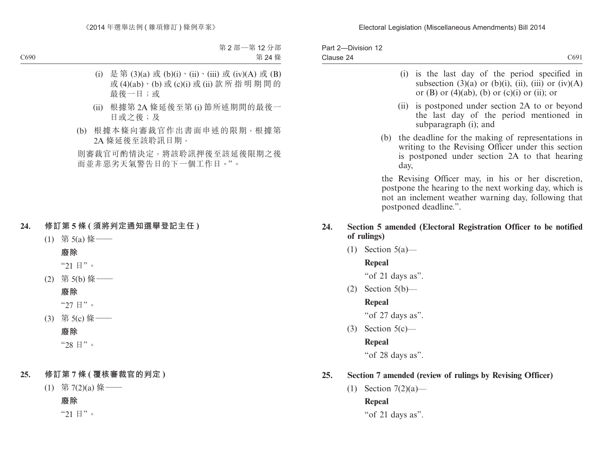|           | Part 2-Division 12 |  |
|-----------|--------------------|--|
| Clause 24 |                    |  |

- (i) is the last day of the period specified in subsection  $(3)(a)$  or  $(b)(i)$ ,  $(ii)$ ,  $(iii)$  or  $(iv)(A)$ or  $(B)$  or  $(4)(ab)$ ,  $(b)$  or  $(c)(i)$  or  $(ii)$ ; or
- (ii) is postponed under section 2A to or beyond the last day of the period mentioned in subparagraph (i); and
- (b) the deadline for the making of representations in writing to the Revising Officer under this section is postponed under section 2A to that hearing day,

the Revising Officer may, in his or her discretion, postpone the hearing to the next working day, which is not an inclement weather warning day, following that postponed deadline.".

### **24. Section 5 amended (Electoral Registration Officer to be notified of rulings)**

 $(1)$  Section 5(a)—

## **Repeal**

"of 21 days as".

 $(2)$  Section 5(b)—

## **Repeal**

"of 27 days as".

 $(3)$  Section 5(c) —

# **Repeal**

"of 28 days as".

# **25. Section 7 amended (review of rulings by Revising Officer)**

(1) Section  $7(2)(a)$ — **Repeal**

"of 21 days as".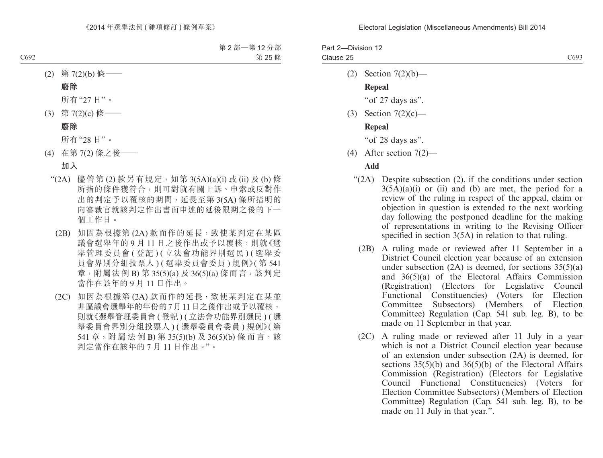Part 2—Division 12 Clause 25

(2) Section 7(2)(b)—

## **Repeal**

"of 27 days as".

(3) Section 7(2)(c)—

### **Repeal**

"of 28 days as".

(4) After section 7(2)—

### **Add**

- "(2A) Despite subsection (2), if the conditions under section  $3(5\overline{A})(a)(i)$  or (ii) and (b) are met, the period for a review of the ruling in respect of the appeal, claim or objection in question is extended to the next working day following the postponed deadline for the making of representations in writing to the Revising Officer specified in section 3(5A) in relation to that ruling.
	- (2B) A ruling made or reviewed after 11 September in a District Council election year because of an extension under subsection  $(2A)$  is deemed, for sections  $35(5)(a)$ and 36(5)(a) of the Electoral Affairs Commission (Registration) (Electors for Legislative Council Functional Constituencies) (Voters for Election Committee Subsectors) (Members of Election Committee) Regulation (Cap. 541 sub. leg. B), to be made on 11 September in that year.
	- (2C) A ruling made or reviewed after 11 July in a year which is not a District Council election year because of an extension under subsection (2A) is deemed, for sections 35(5)(b) and 36(5)(b) of the Electoral Affairs Commission (Registration) (Electors for Legislative Council Functional Constituencies) (Voters for Election Committee Subsectors) (Members of Election Committee) Regulation (Cap. 541 sub. leg. B), to be made on 11 July in that year.".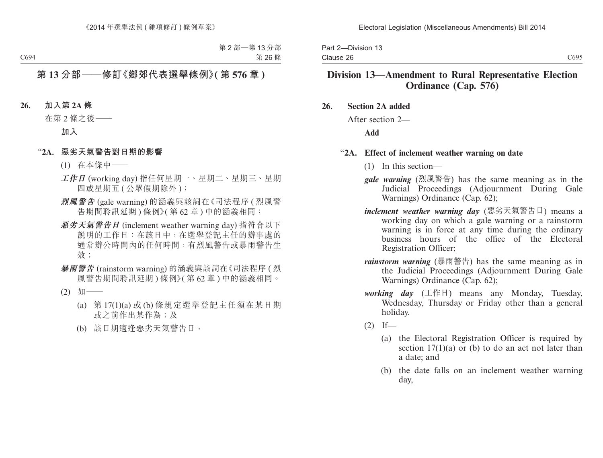Part 2—Division 13 Clause 26

# **Division 13—Amendment to Rural Representative Election Ordinance (Cap. 576)**

- **26. Section 2A added**
	- After section 2—

**Add**

### "**2A. Effect of inclement weather warning on date**

- (1) In this section—
- *gale warning* (烈風警告) has the same meaning as in the Judicial Proceedings (Adjournment During Gale Warnings) Ordinance (Cap. 62);
- *inclement weather warning day* (惡劣天氣警告日) means a working day on which a gale warning or a rainstorm warning is in force at any time during the ordinary business hours of the office of the Electoral Registration Officer;
- *rainstorm warning* (暴雨警告) has the same meaning as in the Judicial Proceedings (Adjournment During Gale Warnings) Ordinance (Cap. 62);
- *working day* (工作日) means any Monday, Tuesday, Wednesday, Thursday or Friday other than a general holiday.

 $(2)$  If—

- (a) the Electoral Registration Officer is required by section  $17(1)(a)$  or (b) to do an act not later than a date; and
- (b) the date falls on an inclement weather warning day,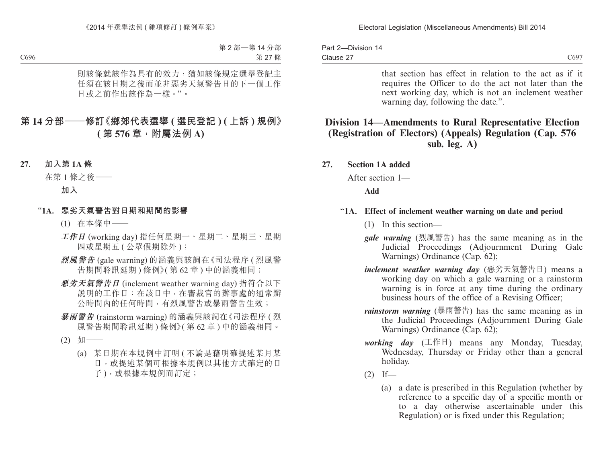| Part 2-Division 14 |  |
|--------------------|--|
| Clause 27          |  |

that section has effect in relation to the act as if it requires the Officer to do the act not later than the next working day, which is not an inclement weather warning day, following the date.".

# **Division 14—Amendments to Rural Representative Election (Registration of Electors) (Appeals) Regulation (Cap. 576 sub. leg. A)**

**27. Section 1A added**

After section 1—

### **Add**

### "**1A. Effect of inclement weather warning on date and period**

- (1) In this section—
- *gale warning* (烈風警告) has the same meaning as in the Judicial Proceedings (Adjournment During Gale Warnings) Ordinance (Cap. 62);
- *inclement weather warning day* (惡劣天氣警告日) means a working day on which a gale warning or a rainstorm warning is in force at any time during the ordinary business hours of the office of a Revising Officer;
- *rainstorm warning* (暴雨警告) has the same meaning as in the Judicial Proceedings (Adjournment During Gale Warnings) Ordinance (Cap. 62);
- *working day* (工作日) means any Monday, Tuesday, Wednesday, Thursday or Friday other than a general holiday.
- $(2)$  If—
	- (a) a date is prescribed in this Regulation (whether by reference to a specific day of a specific month or to a day otherwise ascertainable under this Regulation) or is fixed under this Regulation;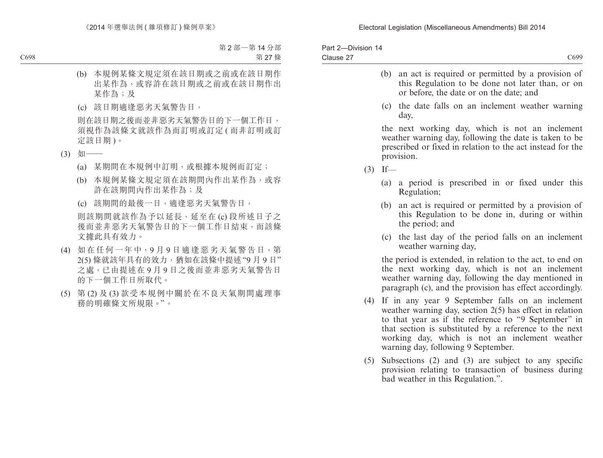| Part 2-Division 14 |      |
|--------------------|------|
| Clause 27          | C699 |

- (b) an act is required or permitted by a provision of this Regulation to be done not later than, or on or before, the date or on the date; and
- (c) the date falls on an inclement weather warning day,

the next working day, which is not an inclement weather warning day, following the date is taken to be prescribed or fixed in relation to the act instead for the provision.

- $(3)$  If—
	- (a) a period is prescribed in or fixed under this Regulation;
	- (b) an act is required or permitted by a provision of this Regulation to be done in, during or within the period; and
	- (c) the last day of the period falls on an inclement weather warning day,

the period is extended, in relation to the act, to end on the next working day, which is not an inclement weather warning day, following the day mentioned in paragraph (c), and the provision has effect accordingly.

- (4) If in any year 9 September falls on an inclement weather warning day, section 2(5) has effect in relation to that year as if the reference to "9 September" in that section is substituted by a reference to the next working day, which is not an inclement weather warning day, following 9 September.
- (5) Subsections (2) and (3) are subject to any specific provision relating to transaction of business during bad weather in this Regulation.".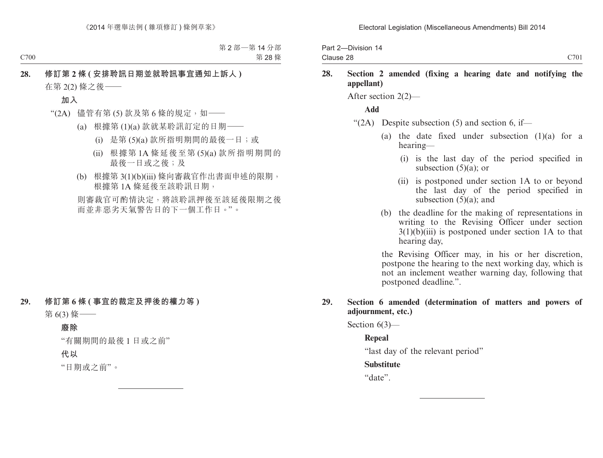Part 2—Division 14 Clause 28

## **28. Section 2 amended (fixing a hearing date and notifying the appellant)**

After section 2(2)—

### **Add**

- " $(2A)$  Despite subsection (5) and section 6, if—
	- (a) the date fixed under subsection  $(1)(a)$  for a hearing—
		- (i) is the last day of the period specified in subsection  $(5)(a)$ ; or
		- (ii) is postponed under section 1A to or beyond the last day of the period specified in subsection  $(5)(a)$ ; and
	- (b) the deadline for the making of representations in writing to the Revising Officer under section  $3(1)(b)(iii)$  is postponed under section 1A to that hearing day,

the Revising Officer may, in his or her discretion, postpone the hearing to the next working day, which is not an inclement weather warning day, following that postponed deadline.".

### **29. Section 6 amended (determination of matters and powers of adjournment, etc.)**

Section 6(3)—

### **Repeal**

"last day of the relevant period"

### **Substitute**

"date".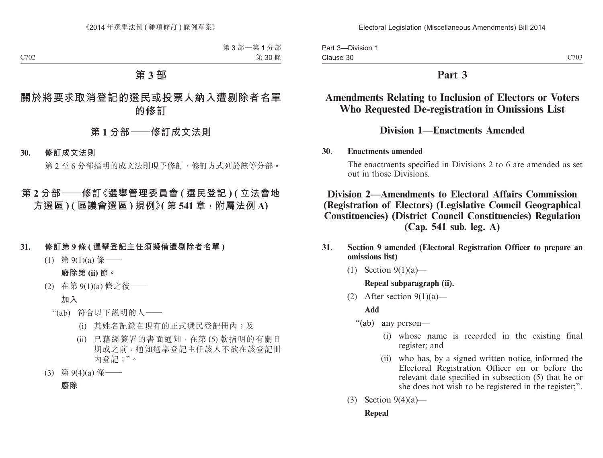Part 3—Division 1 Clause 30

# **Part 3**

# **Amendments Relating to Inclusion of Electors or Voters Who Requested De-registration in Omissions List**

# **Division 1—Enactments Amended**

### **30. Enactments amended**

The enactments specified in Divisions 2 to 6 are amended as set out in those Divisions.

# **Division 2—Amendments to Electoral Affairs Commission (Registration of Electors) (Legislative Council Geographical Constituencies) (District Council Constituencies) Regulation (Cap. 541 sub. leg. A)**

- **31. Section 9 amended (Electoral Registration Officer to prepare an omissions list)**
	- (1) Section  $9(1)(a)$ —

## **Repeal subparagraph (ii).**

(2) After section  $9(1)(a)$ —

**Add**

"(ab) any person—

- (i) whose name is recorded in the existing final register; and
- (ii) who has, by a signed written notice, informed the Electoral Registration Officer on or before the relevant date specified in subsection (5) that he or she does not wish to be registered in the register;".
- (3) Section  $9(4)(a)$ —

### **Repeal**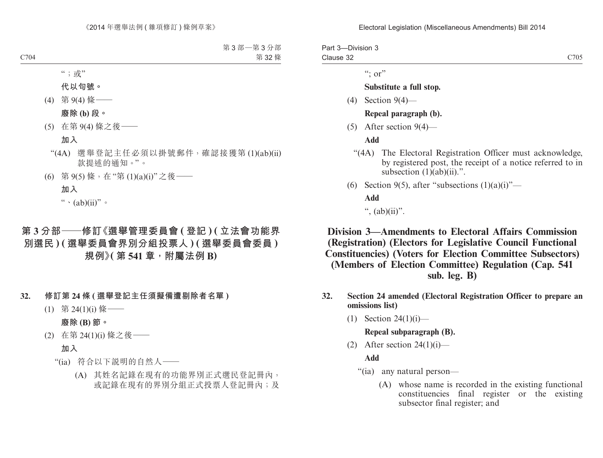#### Electoral Legislation (Miscellaneous Amendments) Bill 2014

Part 3—Division 3 Clause 32 C<sub>705</sub>

 $\cdots$  or"

### **Substitute a full stop.**

(4) Section 9(4)—

### **Repeal paragraph (b).**

(5) After section 9(4)—

**Add**

- "(4A) The Electoral Registration Officer must acknowledge, by registered post, the receipt of a notice referred to in subsection  $(1)(ab)(ii)$ .".
- (6) Section 9(5), after "subsections  $(1)(a)(i)$ "—

**Add**

",  $(ab)(ii)$ ".

**Division 3—Amendments to Electoral Affairs Commission (Registration) (Electors for Legislative Council Functional Constituencies) (Voters for Election Committee Subsectors) (Members of Election Committee) Regulation (Cap. 541 sub. leg. B)**

- **32. Section 24 amended (Electoral Registration Officer to prepare an omissions list)**
	- (1) Section 24(1)(i)—

#### **Repeal subparagraph (B).**

(2) After section  $24(1)(i)$ —

### **Add**

- "(ia) any natural person—
	- (A) whose name is recorded in the existing functional constituencies final register or the existing subsector final register; and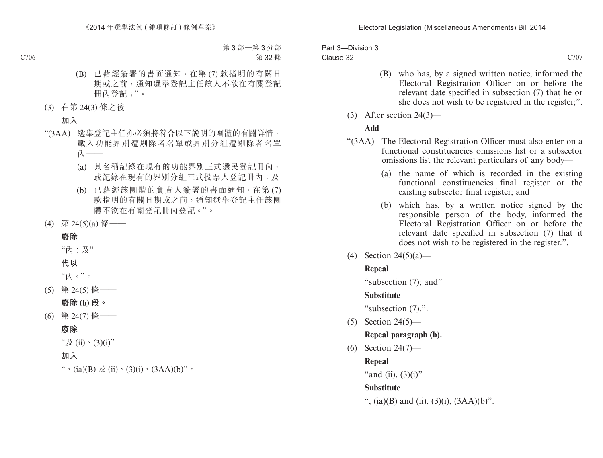| Part 3-Division 3 |      |
|-------------------|------|
| Clause 32         | C707 |

- (B) who has, by a signed written notice, informed the Electoral Registration Officer on or before the relevant date specified in subsection (7) that he or she does not wish to be registered in the register;".
- (3) After section 24(3)—

## **Add**

- "(3AA) The Electoral Registration Officer must also enter on a functional constituencies omissions list or a subsector omissions list the relevant particulars of any body—
	- (a) the name of which is recorded in the existing functional constituencies final register or the existing subsector final register; and
	- (b) which has, by a written notice signed by the responsible person of the body, informed the Electoral Registration Officer on or before the relevant date specified in subsection (7) that it does not wish to be registered in the register.".
- (4) Section 24(5)(a)—

# **Repeal**

"subsection (7); and"

# **Substitute**

"subsection (7).".

(5) Section 24(5)—

# **Repeal paragraph (b).**

(6) Section 24(7)—

# **Repeal**

"and (ii),  $(3)(i)$ "

# **Substitute**

", (ia)(B) and (ii), (3)(i),  $(3AA)(b)$ ".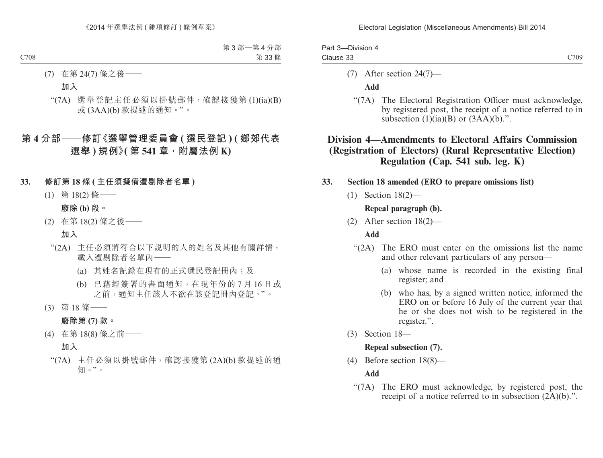#### Electoral Legislation (Miscellaneous Amendments) Bill 2014

| Part 3-Division 4 |      |
|-------------------|------|
| Clause 33         | C709 |

(7) After section 24(7)—

### **Add**

"(7A) The Electoral Registration Officer must acknowledge, by registered post, the receipt of a notice referred to in subsection  $(1)(ia)(B)$  or  $(3AA)(b)$ .".

# **Division 4—Amendments to Electoral Affairs Commission (Registration of Electors) (Rural Representative Election) Regulation (Cap. 541 sub. leg. K)**

## **33. Section 18 amended (ERO to prepare omissions list)**

(1) Section 18(2)—

## **Repeal paragraph (b).**

(2) After section 18(2)—

### **Add**

- "(2A) The ERO must enter on the omissions list the name and other relevant particulars of any person—
	- (a) whose name is recorded in the existing final register; and
	- (b) who has, by a signed written notice, informed the ERO on or before 16 July of the current year that he or she does not wish to be registered in the register.".
- (3) Section 18—

### **Repeal subsection (7).**

(4) Before section 18(8)—

### **Add**

"(7A) The ERO must acknowledge, by registered post, the receipt of a notice referred to in subsection (2A)(b).".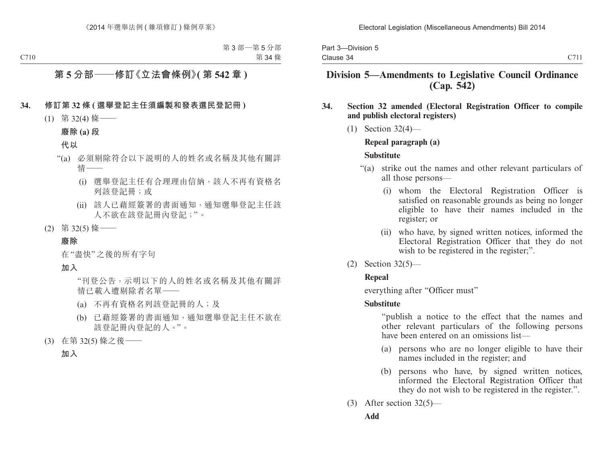|           | Part 3-Division 5 |  |
|-----------|-------------------|--|
| Clause 34 |                   |  |

#### C711

# **Division 5—Amendments to Legislative Council Ordinance (Cap. 542)**

### **34. Section 32 amended (Electoral Registration Officer to compile and publish electoral registers)**

(1) Section 32(4)—

### **Repeal paragraph (a)**

### **Substitute**

- "(a) strike out the names and other relevant particulars of all those persons—
	- (i) whom the Electoral Registration Officer is satisfied on reasonable grounds as being no longer eligible to have their names included in the register; or
	- (ii) who have, by signed written notices, informed the Electoral Registration Officer that they do not wish to be registered in the register;".
- (2) Section 32(5)—

## **Repeal**

everything after "Officer must"

## **Substitute**

"publish a notice to the effect that the names and other relevant particulars of the following persons have been entered on an omissions list—

- (a) persons who are no longer eligible to have their names included in the register; and
- (b) persons who have, by signed written notices, informed the Electoral Registration Officer that they do not wish to be registered in the register.".
- (3) After section  $32(5)$ —

# **Add**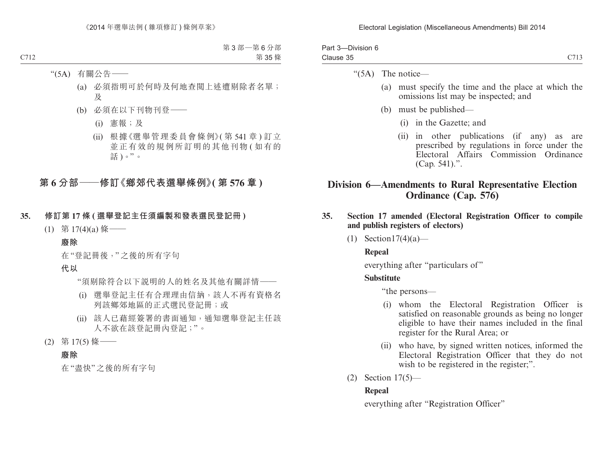| Part 3-Division 6 |      |
|-------------------|------|
| Clause 35         | C713 |

"(5A) The notice—

- (a) must specify the time and the place at which the omissions list may be inspected; and
- (b) must be published—
	- (i) in the Gazette; and
	- (ii) in other publications (if any) as are prescribed by regulations in force under the Electoral Affairs Commission Ordinance (Cap. 541).".

# **Division 6—Amendments to Rural Representative Election Ordinance (Cap. 576)**

- **35. Section 17 amended (Electoral Registration Officer to compile and publish registers of electors)**
	- (1) Section  $17(4)(a)$ —

# **Repeal**

everything after "particulars of"

# **Substitute**

"the persons—

- (i) whom the Electoral Registration Officer is satisfied on reasonable grounds as being no longer eligible to have their names included in the final register for the Rural Area; or
- (ii) who have, by signed written notices, informed the Electoral Registration Officer that they do not wish to be registered in the register;".
- (2) Section 17(5)—

# **Repeal**

everything after "Registration Officer"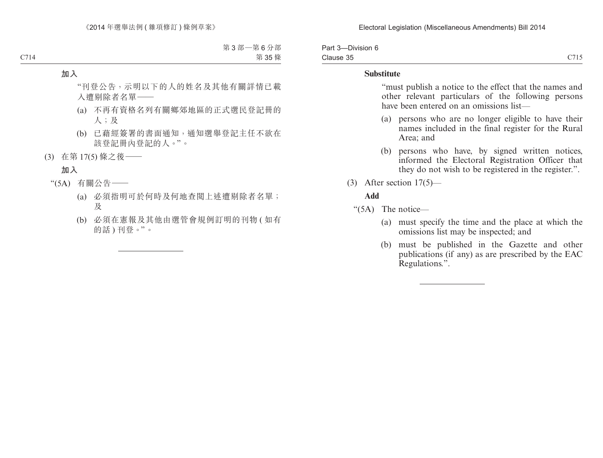| Part 3-Division 6 |      |
|-------------------|------|
| Clause 35         | C715 |

### **Substitute**

 "must publish a notice to the effect that the names and other relevant particulars of the following persons have been entered on an omissions list—

- (a) persons who are no longer eligible to have their names included in the final register for the Rural Area; and
- (b) persons who have, by signed written notices, informed the Electoral Registration Officer that they do not wish to be registered in the register.".
- (3) After section  $17(5)$ —

### **Add**

"(5A) The notice—

- (a) must specify the time and the place at which the omissions list may be inspected; and
- (b) must be published in the Gazette and other publications (if any) as are prescribed by the EAC Regulations.".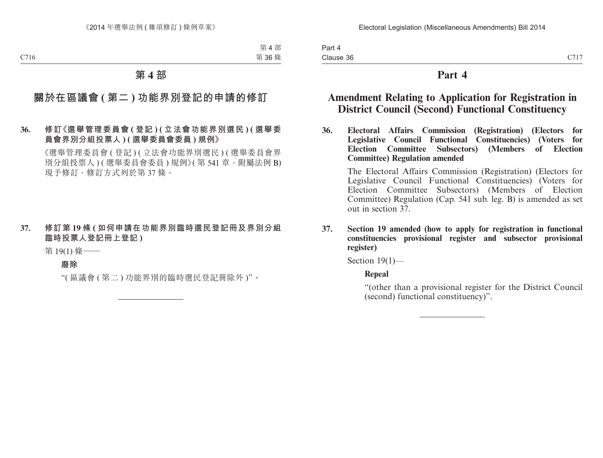Part 4 Clause 36

# **Part 4**

# **Amendment Relating to Application for Registration in District Council (Second) Functional Constituency**

**36. Electoral Affairs Commission (Registration) (Electors for Legislative Council Functional Constituencies) (Voters for Election Committee Subsectors) (Members of Election Committee) Regulation amended**

The Electoral Affairs Commission (Registration) (Electors for Legislative Council Functional Constituencies) (Voters for Election Committee Subsectors) (Members of Election Committee) Regulation (Cap. 541 sub. leg. B) is amended as set out in section 37.

**37. Section 19 amended (how to apply for registration in functional constituencies provisional register and subsector provisional register)**

Section 19(1)—

## **Repeal**

"(other than a provisional register for the District Council (second) functional constituency)".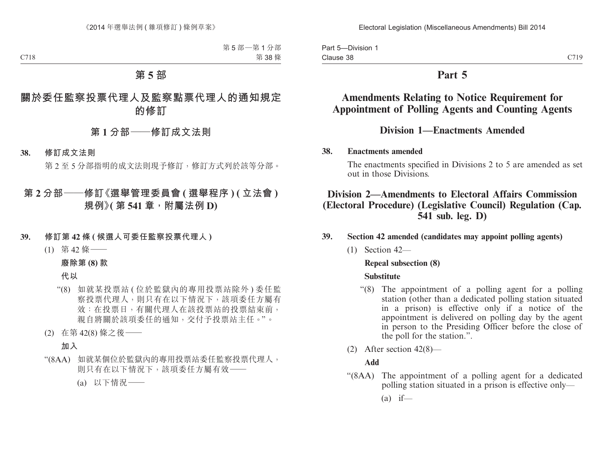Part 5—Division 1 Clause 38

# **Part 5**

# **Amendments Relating to Notice Requirement for Appointment of Polling Agents and Counting Agents**

# **Division 1—Enactments Amended**

### **38. Enactments amended**

The enactments specified in Divisions 2 to 5 are amended as set out in those Divisions.

# **Division 2—Amendments to Electoral Affairs Commission (Electoral Procedure) (Legislative Council) Regulation (Cap. 541 sub. leg. D)**

## **39. Section 42 amended (candidates may appoint polling agents)**

(1) Section 42—

## **Repeal subsection (8)**

### **Substitute**

- "(8) The appointment of a polling agent for a polling station (other than a dedicated polling station situated in a prison) is effective only if a notice of the appointment is delivered on polling day by the agent in person to the Presiding Officer before the close of the poll for the station.".
- (2) After section 42(8)—

## **Add**

- "(8AA) The appointment of a polling agent for a dedicated polling station situated in a prison is effective only—
	- $(a)$  if—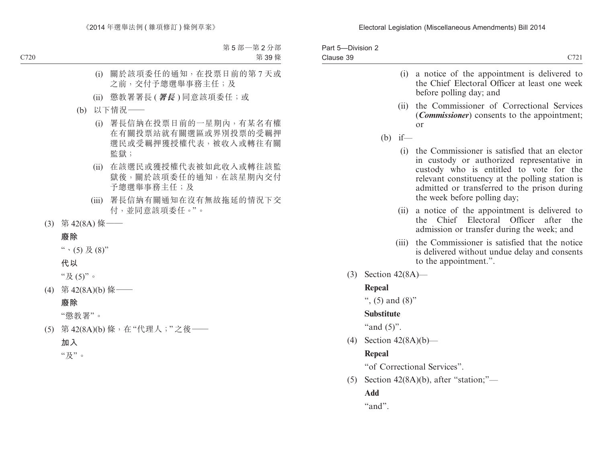| Part 5-Division 2<br>Clause 39 |                       | C721                                                                                                                                                                                                                                                                          |
|--------------------------------|-----------------------|-------------------------------------------------------------------------------------------------------------------------------------------------------------------------------------------------------------------------------------------------------------------------------|
|                                | (i)                   | a notice of the appointment is delivered to<br>the Chief Electoral Officer at least one week<br>before polling day; and                                                                                                                                                       |
|                                | (ii)                  | the Commissioner of Correctional Services<br>( <i>Commissioner</i> ) consents to the appointment;<br>or                                                                                                                                                                       |
|                                | $(b)$ if —            |                                                                                                                                                                                                                                                                               |
|                                |                       | (i) the Commissioner is satisfied that an elector<br>in custody or authorized representative in<br>custody who is entitled to vote for the<br>relevant constituency at the polling station is<br>admitted or transferred to the prison during<br>the week before polling day; |
|                                | (ii)                  | a notice of the appointment is delivered to<br>Chief Electoral<br>Officer<br>after<br>the<br>the.<br>admission or transfer during the week; and                                                                                                                               |
|                                | (iii)                 | the Commissioner is satisfied that the notice<br>is delivered without undue delay and consents<br>to the appointment.".                                                                                                                                                       |
| (3)                            | Section $42(8A)$ —    |                                                                                                                                                                                                                                                                               |
|                                | <b>Repeal</b>         |                                                                                                                                                                                                                                                                               |
|                                | ", $(5)$ and $(8)$ "  |                                                                                                                                                                                                                                                                               |
|                                | <b>Substitute</b>     |                                                                                                                                                                                                                                                                               |
|                                | "and $(5)$ ".         |                                                                                                                                                                                                                                                                               |
| (4)                            | Section $42(8A)(b)$ — |                                                                                                                                                                                                                                                                               |
|                                | <b>Repeal</b>         |                                                                                                                                                                                                                                                                               |
|                                |                       | "of Correctional Services".                                                                                                                                                                                                                                                   |
| (5)                            |                       | Section $42(8A)(b)$ , after "station;"—                                                                                                                                                                                                                                       |
|                                | Add                   |                                                                                                                                                                                                                                                                               |
|                                | "and".                |                                                                                                                                                                                                                                                                               |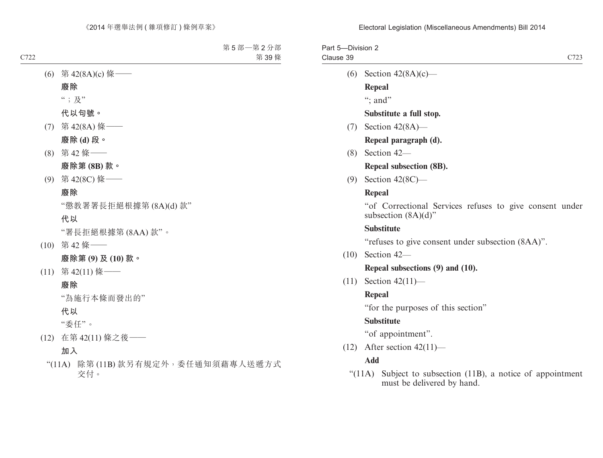| Part 5-Division 2 |                           |      |
|-------------------|---------------------------|------|
| Clause 39         |                           | C723 |
|                   | (6) Section $42(8A)(c)$ — |      |

**Repeal**

": and"

**Substitute a full stop.**

(7) Section 42(8A)—

**Repeal paragraph (d).**

(8) Section 42—

**Repeal subsection (8B).**

(9) Section 42(8C)—

#### **Repeal**

"of Correctional Services refuses to give consent under subsection  $(8A)(d)$ "

#### **Substitute**

"refuses to give consent under subsection (8AA)".

(10) Section 42—

#### **Repeal subsections (9) and (10).**

(11) Section 42(11)—

#### **Repeal**

"for the purposes of this section"

#### **Substitute**

"of appointment".

(12) After section  $42(11)$ —

### **Add**

"(11A) Subject to subsection (11B), a notice of appointment must be delivered by hand.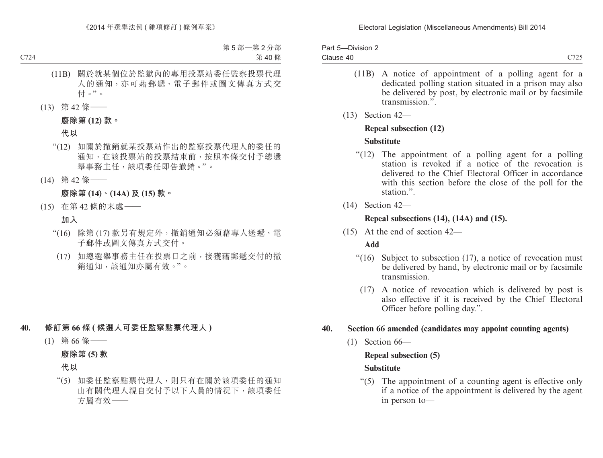| Part 5-Division 2 |  |
|-------------------|--|
| Clause 40         |  |

C725

- (11B) A notice of appointment of a polling agent for a dedicated polling station situated in a prison may also be delivered by post, by electronic mail or by facsimile transmission<sup>"</sup>.
- (13) Section 42—

#### **Repeal subsection (12)**

### **Substitute**

- "(12) The appointment of a polling agent for a polling station is revoked if a notice of the revocation is delivered to the Chief Electoral Officer in accordance with this section before the close of the poll for the station.".
- (14) Section 42—

# **Repeal subsections (14), (14A) and (15).**

(15) At the end of section 42—

# **Add**

- "(16) Subject to subsection (17), a notice of revocation must be delivered by hand, by electronic mail or by facsimile transmission.
	- (17) A notice of revocation which is delivered by post is also effective if it is received by the Chief Electoral Officer before polling day.".

# **40. Section 66 amended (candidates may appoint counting agents)**

(1) Section 66—

# **Repeal subsection (5)**

# **Substitute**

"(5) The appointment of a counting agent is effective only if a notice of the appointment is delivered by the agent in person to—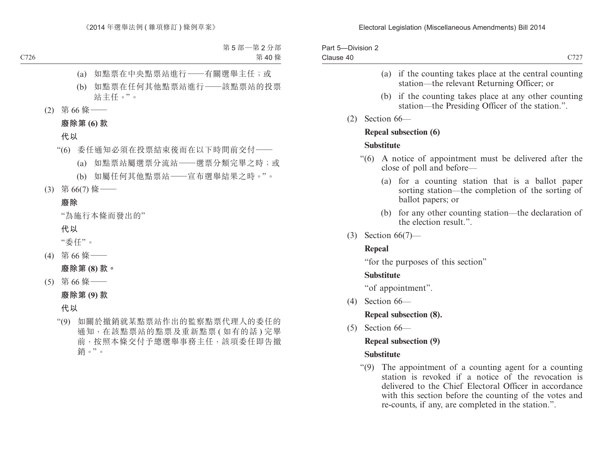| Part 5-Division 2 |  |
|-------------------|--|
| Clause 40         |  |

- (a) if the counting takes place at the central counting station—the relevant Returning Officer; or
- (b) if the counting takes place at any other counting station—the Presiding Officer of the station.".
- (2) Section 66—

#### **Repeal subsection (6)**

#### **Substitute**

- "(6) A notice of appointment must be delivered after the close of poll and before—
	- (a) for a counting station that is a ballot paper sorting station—the completion of the sorting of ballot papers; or
	- (b) for any other counting station—the declaration of the election result.".
- (3) Section 66(7)—

# **Repeal**

"for the purposes of this section"

### **Substitute**

"of appointment".

(4) Section 66—

# **Repeal subsection (8).**

(5) Section 66—

# **Repeal subsection (9)**

# **Substitute**

"(9) The appointment of a counting agent for a counting station is revoked if a notice of the revocation is delivered to the Chief Electoral Officer in accordance with this section before the counting of the votes and re-counts, if any, are completed in the station.".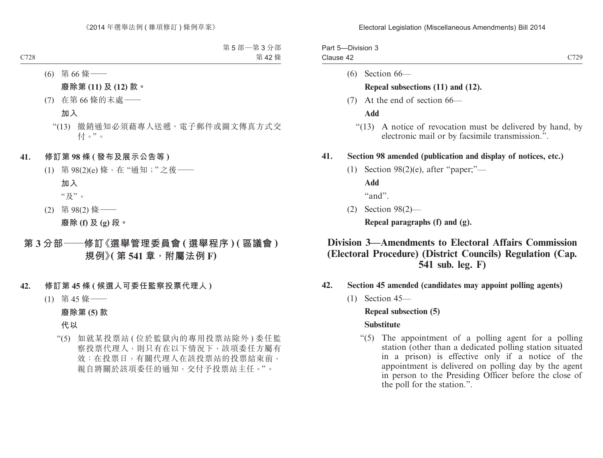| Part 5-Division 3 |      |
|-------------------|------|
| Clause 42         | C720 |

(6) Section 66—

#### **Repeal subsections (11) and (12).**

(7) At the end of section 66—

**Add**

"(13) A notice of revocation must be delivered by hand, by electronic mail or by facsimile transmission.".

#### **41. Section 98 amended (publication and display of notices, etc.)**

(1) Section 98(2)(e), after "paper;"—

**Add**

"and".

(2) Section 98(2)—

**Repeal paragraphs (f) and (g).**

# **Division 3—Amendments to Electoral Affairs Commission (Electoral Procedure) (District Councils) Regulation (Cap. 541 sub. leg. F)**

- **42. Section 45 amended (candidates may appoint polling agents)**
	- (1) Section 45—

**Repeal subsection (5)**

#### **Substitute**

"(5) The appointment of a polling agent for a polling station (other than a dedicated polling station situated in a prison) is effective only if a notice of the appointment is delivered on polling day by the agent in person to the Presiding Officer before the close of the poll for the station.".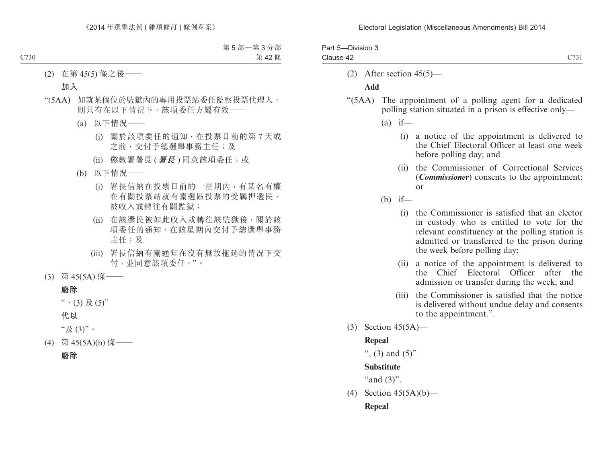| Part 5-Division 3 |      |
|-------------------|------|
| Clause 42         | C731 |

(2) After section 45(5)—

#### **Add**

- "(5AA) The appointment of a polling agent for a dedicated polling station situated in a prison is effective only—
	- $(a)$  if—
		- (i) a notice of the appointment is delivered to the Chief Electoral Officer at least one week before polling day; and
		- (ii) the Commissioner of Correctional Services (*Commissioner*) consents to the appointment; or
	- $(b)$  if—
		- (i) the Commissioner is satisfied that an elector in custody who is entitled to vote for the relevant constituency at the polling station is admitted or transferred to the prison during the week before polling day;
		- (ii) a notice of the appointment is delivered to the Chief Electoral Officer after the admission or transfer during the week; and
		- (iii) the Commissioner is satisfied that the notice is delivered without undue delay and consents to the appointment.".
- (3) Section 45(5A)—

### **Repeal**

```
", (3) and (5)"
```
#### **Substitute**

"and  $(3)$ ".

(4) Section 45(5A)(b)— **Repeal**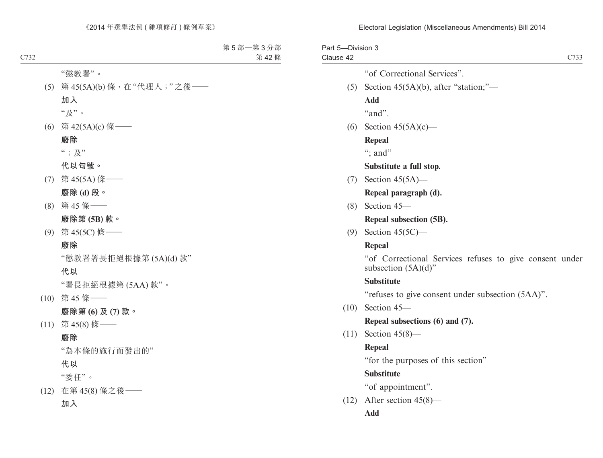| Part 5-Division 3<br>Clause 42 | C733                                                                              |
|--------------------------------|-----------------------------------------------------------------------------------|
|                                | "of Correctional Services".                                                       |
| (5)                            | Section $45(5A)(b)$ , after "station;"—                                           |
|                                | <b>Add</b>                                                                        |
|                                | "and".                                                                            |
| (6)                            | Section $45(5A)(c)$ —                                                             |
|                                | <b>Repeal</b>                                                                     |
|                                | "; and"                                                                           |
|                                | Substitute a full stop.                                                           |
| (7)                            | Section $45(5A)$ —                                                                |
|                                | Repeal paragraph (d).                                                             |
|                                | $(8)$ Section 45-                                                                 |
|                                | Repeal subsection (5B).                                                           |
| (9)                            | Section $45(5C)$ —                                                                |
|                                | Repeal                                                                            |
|                                | "of Correctional Services refuses to give consent under<br>subsection $(5A)(d)$ " |
|                                | <b>Substitute</b>                                                                 |
|                                | "refuses to give consent under subsection (5AA)".                                 |
| (10)                           | Section 45-                                                                       |
|                                | Repeal subsections (6) and (7).                                                   |
| (11)                           | Section $45(8)$ —                                                                 |
|                                | <b>Repeal</b>                                                                     |
|                                | "for the purposes of this section"                                                |
|                                | <b>Substitute</b>                                                                 |
|                                | "of appointment".                                                                 |
| (12)                           | After section $45(8)$ —                                                           |
|                                | Add                                                                               |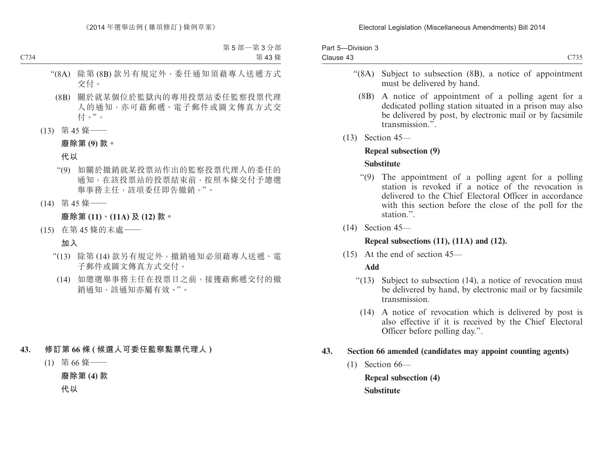| Part 5-Division 3 |                  |
|-------------------|------------------|
| Clause 43         | C <sub>735</sub> |

- "(8A) Subject to subsection (8B), a notice of appointment must be delivered by hand.
	- (8B) A notice of appointment of a polling agent for a dedicated polling station situated in a prison may also be delivered by post, by electronic mail or by facsimile transmission.".
- (13) Section 45—

#### **Repeal subsection (9)**

#### **Substitute**

- "(9) The appointment of a polling agent for a polling station is revoked if a notice of the revocation is delivered to the Chief Electoral Officer in accordance with this section before the close of the poll for the station.".
- (14) Section 45—

### **Repeal subsections (11), (11A) and (12).**

(15) At the end of section 45—

### **Add**

- "(13) Subject to subsection (14), a notice of revocation must be delivered by hand, by electronic mail or by facsimile transmission.
	- (14) A notice of revocation which is delivered by post is also effective if it is received by the Chief Electoral Officer before polling day.".

#### **43. Section 66 amended (candidates may appoint counting agents)**

 $(1)$  Section 66—

**Repeal subsection (4) Substitute**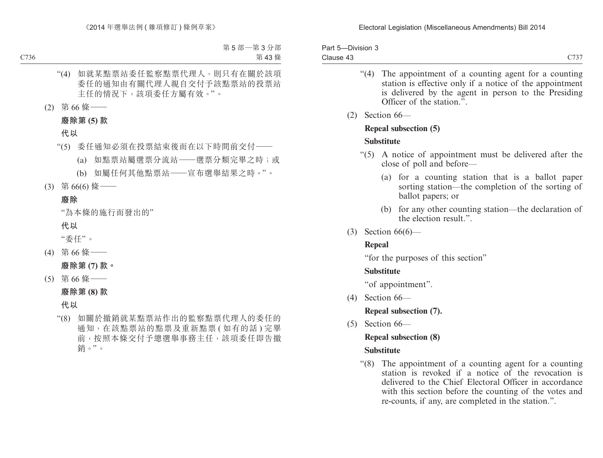| Part 5-Division 3 |      |
|-------------------|------|
| Clause 43         | C737 |

- "(4) The appointment of a counting agent for a counting station is effective only if a notice of the appointment is delivered by the agent in person to the Presiding Officer of the station."
- (2) Section 66—

# **Repeal subsection (5)**

# **Substitute**

- "(5) A notice of appointment must be delivered after the close of poll and before—
	- (a) for a counting station that is a ballot paper sorting station—the completion of the sorting of ballot papers; or
	- (b) for any other counting station—the declaration of the election result."
- (3) Section 66(6)—

# **Repeal**

"for the purposes of this section"

# **Substitute**

"of appointment".

(4) Section 66—

**Repeal subsection (7).**

 $(5)$  Section  $66-$ 

# **Repeal subsection (8)**

# **Substitute**

"(8) The appointment of a counting agent for a counting station is revoked if a notice of the revocation is delivered to the Chief Electoral Officer in accordance with this section before the counting of the votes and re-counts, if any, are completed in the station.".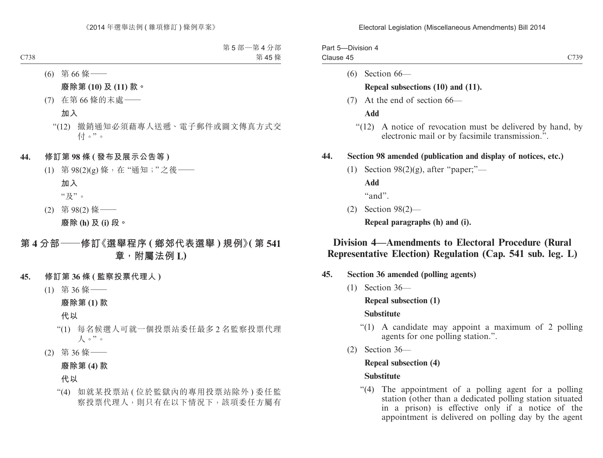| Part 5-Division 4 |      |
|-------------------|------|
| Clause 45         | C730 |

(6) Section 66—

#### **Repeal subsections (10) and (11).**

(7) At the end of section 66—

**Add**

"(12) A notice of revocation must be delivered by hand, by electronic mail or by facsimile transmission.".

#### **44. Section 98 amended (publication and display of notices, etc.)**

(1) Section  $98(2)(g)$ , after "paper;"—

**Add**

"and".

(2) Section 98(2)—

**Repeal paragraphs (h) and (i).**

# **Division 4—Amendments to Electoral Procedure (Rural Representative Election) Regulation (Cap. 541 sub. leg. L)**

- **45. Section 36 amended (polling agents)**
	- (1) Section 36—

**Repeal subsection (1)**

#### **Substitute**

- "(1) A candidate may appoint a maximum of 2 polling agents for one polling station.".
- (2) Section 36—

# **Repeal subsection (4)**

#### **Substitute**

"(4) The appointment of a polling agent for a polling station (other than a dedicated polling station situated in a prison) is effective only if a notice of the appointment is delivered on polling day by the agent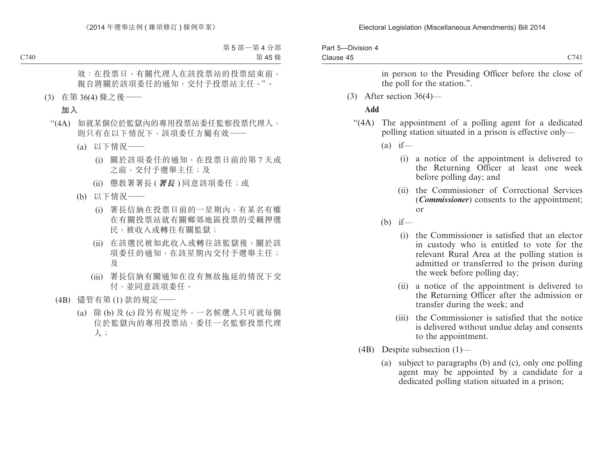| Part 5-Division 4 |      |
|-------------------|------|
| Clause 45         | C741 |

in person to the Presiding Officer before the close of the poll for the station.".

(3) After section 36(4)—

#### **Add**

- "(4A) The appointment of a polling agent for a dedicated polling station situated in a prison is effective only—
	- $(a)$  if—
		- (i) a notice of the appointment is delivered to the Returning Officer at least one week before polling day; and
		- (ii) the Commissioner of Correctional Services (*Commissioner*) consents to the appointment; or
	- (b) if—
		- (i) the Commissioner is satisfied that an elector in custody who is entitled to vote for the relevant Rural Area at the polling station is admitted or transferred to the prison during the week before polling day;
		- (ii) a notice of the appointment is delivered to the Returning Officer after the admission or transfer during the week; and
		- (iii) the Commissioner is satisfied that the notice is delivered without undue delay and consents to the appointment.
	- (4B) Despite subsection (1)—
		- (a) subject to paragraphs (b) and (c), only one polling agent may be appointed by a candidate for a dedicated polling station situated in a prison;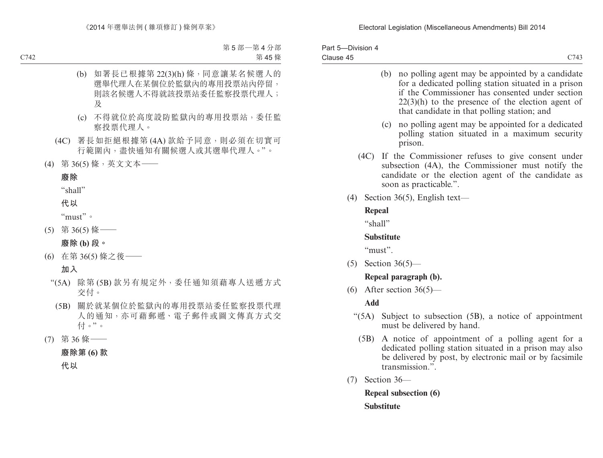| Part 5-Division 4 |      |
|-------------------|------|
| Clause 45         | C743 |

(b) no polling agent may be appointed by a candidate for a dedicated polling station situated in a prison if the Commissioner has consented under section  $22(3)$ (h) to the presence of the election agent of that candidate in that polling station; and (c) no polling agent may be appointed for a dedicated polling station situated in a maximum security prison. (4C) If the Commissioner refuses to give consent under subsection (4A), the Commissioner must notify the candidate or the election agent of the candidate as soon as practicable.". (4) Section 36(5), English text— **Repeal**

"shall"

#### **Substitute**

"must".

(5) Section 36(5)—

#### **Repeal paragraph (b).**

(6) After section  $36(5)$ —

**Add**

- "(5A) Subject to subsection (5B), a notice of appointment must be delivered by hand.
	- (5B) A notice of appointment of a polling agent for a dedicated polling station situated in a prison may also be delivered by post, by electronic mail or by facsimile transmission.".
- (7) Section 36—

**Repeal subsection (6) Substitute**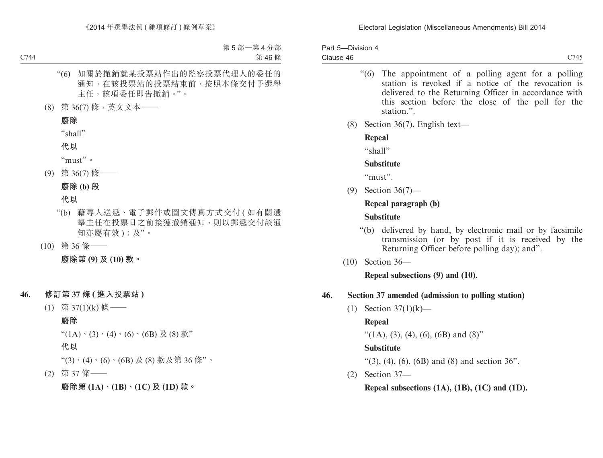| Part 5-Division 4 |      |
|-------------------|------|
| Clause 46         | C745 |

- "(6) The appointment of a polling agent for a polling station is revoked if a notice of the revocation is delivered to the Returning Officer in accordance with this section before the close of the poll for the station<sup>"</sup>.
- (8) Section 36(7), English text—

**Repeal**

 $``$ shall"

#### **Substitute**

"must".

(9) Section 36(7)—

### **Repeal paragraph (b)**

#### **Substitute**

- "(b) delivered by hand, by electronic mail or by facsimile transmission (or by post if it is received by the Returning Officer before polling day); and".
- (10) Section 36—

**Repeal subsections (9) and (10).**

# **46. Section 37 amended (admission to polling station)**

(1) Section 37(1)(k)—

# **Repeal**

"(1A), (3), (4), (6), (6B) and (8)"

# **Substitute**

"(3), (4), (6), (6B) and (8) and section  $36$ ".

(2) Section 37—

**Repeal subsections (1A), (1B), (1C) and (1D).**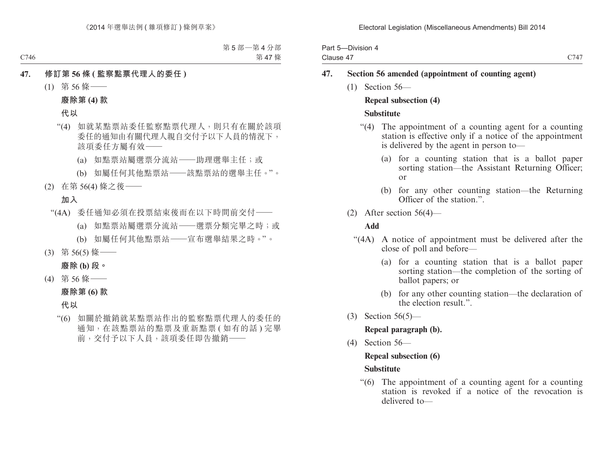| Part 5-Division 4 |      |
|-------------------|------|
| Clause 47         | C747 |

- **47. Section 56 amended (appointment of counting agent)**
	- (1) Section 56—

### **Repeal subsection (4)**

#### **Substitute**

- "(4) The appointment of a counting agent for a counting station is effective only if a notice of the appointment is delivered by the agent in person to—
	- (a) for a counting station that is a ballot paper sorting station—the Assistant Returning Officer; or
	- (b) for any other counting station—the Returning Officer of the station."
- (2) After section 56(4)—

#### **Add**

- "(4A) A notice of appointment must be delivered after the close of poll and before—
	- (a) for a counting station that is a ballot paper sorting station—the completion of the sorting of ballot papers; or
	- (b) for any other counting station—the declaration of the election result.".
- (3) Section 56(5)—

#### **Repeal paragraph (b).**

(4) Section 56—

# **Repeal subsection (6)**

#### **Substitute**

"(6) The appointment of a counting agent for a counting station is revoked if a notice of the revocation is delivered to—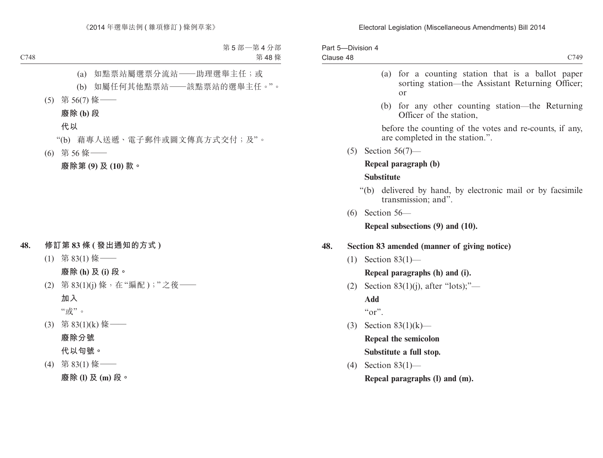| Part 5-Division 4 |  |  |   |      |
|-------------------|--|--|---|------|
| Clause 48         |  |  |   | C749 |
|                   |  |  | . |      |

- (a) for a counting station that is a ballot paper sorting station—the Assistant Returning Officer; or
- (b) for any other counting station—the Returning Officer of the station,

before the counting of the votes and re-counts, if any, are completed in the station.".

(5) Section 56(7)—

#### **Repeal paragraph (b)**

#### **Substitute**

- "(b) delivered by hand, by electronic mail or by facsimile transmission; and".
- (6) Section 56—

**Repeal subsections (9) and (10).**

#### **48. Section 83 amended (manner of giving notice)**

(1) Section 83(1)—

#### **Repeal paragraphs (h) and (i).**

(2) Section  $83(1)(i)$ , after "lots);"—

**Add**

 $``or"$ .

(3) Section 83(1)(k)—

**Repeal the semicolon**

**Substitute a full stop.**

(4) Section 83(1)—

**Repeal paragraphs (l) and (m).**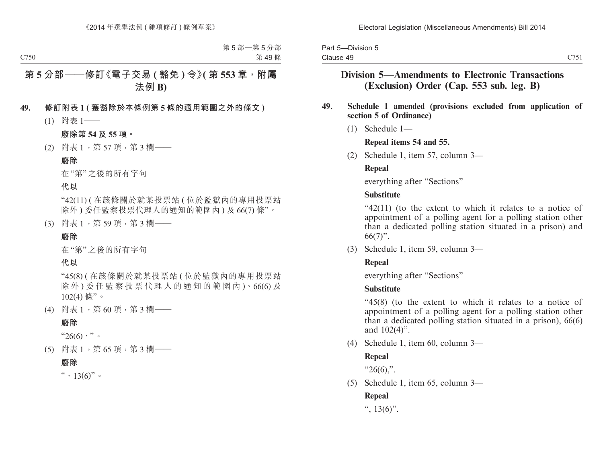| Part 5-Division 5 |  |
|-------------------|--|
| Clause 49         |  |

# **Division 5—Amendments to Electronic Transactions (Exclusion) Order (Cap. 553 sub. leg. B)**

#### **49. Schedule 1 amended (provisions excluded from application of section 5 of Ordinance)**

(1) Schedule 1—

#### **Repeal items 54 and 55.**

(2) Schedule 1, item 57, column 3—

#### **Repeal**

everything after "Sections"

#### **Substitute**

"42(11) (to the extent to which it relates to a notice of appointment of a polling agent for a polling station other than a dedicated polling station situated in a prison) and  $66(7)$ ".

(3) Schedule 1, item 59, column 3—

#### **Repeal**

everything after "Sections"

### **Substitute**

"45(8) (to the extent to which it relates to a notice of appointment of a polling agent for a polling station other than a dedicated polling station situated in a prison), 66(6) and 102(4)".

(4) Schedule 1, item 60, column 3—

### **Repeal**

 $"26(6)."$ 

(5) Schedule 1, item 65, column 3—

# **Repeal**

```
\degree, 13(6)".
```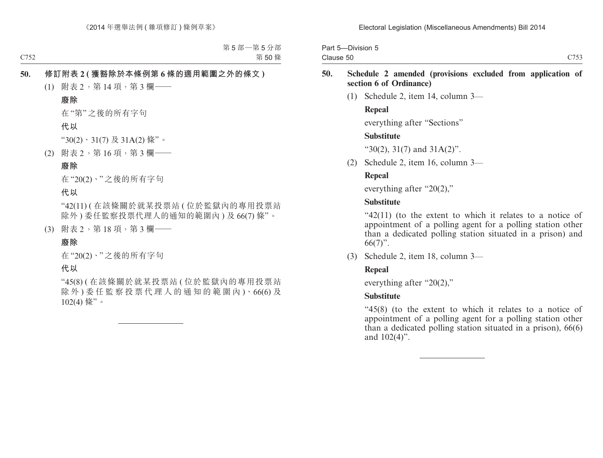| Part 5-Division 5 |  |
|-------------------|--|
| Clause 50         |  |

(1) Schedule 2, item 14, column 3—

#### **Repeal**

everything after "Sections"

### **Substitute**

"30(2), 31(7) and 31A(2)".

(2) Schedule 2, item 16, column 3—

# **Repeal**

everything after "20(2),"

### **Substitute**

"42(11) (to the extent to which it relates to a notice of appointment of a polling agent for a polling station other than a dedicated polling station situated in a prison) and  $66(7)$ ".

(3) Schedule 2, item 18, column 3—

# **Repeal**

everything after "20(2),"

# **Substitute**

"45(8) (to the extent to which it relates to a notice of appointment of a polling agent for a polling station other than a dedicated polling station situated in a prison), 66(6) and 102(4)".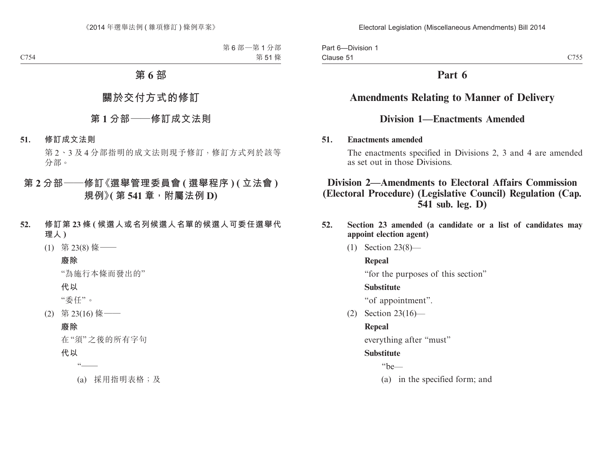Part 6—Division 1 Clause 51

# **Part 6**

# **Amendments Relating to Manner of Delivery**

# **Division 1—Enactments Amended**

#### **51. Enactments amended**

The enactments specified in Divisions 2, 3 and 4 are amended as set out in those Divisions.

# **Division 2—Amendments to Electoral Affairs Commission (Electoral Procedure) (Legislative Council) Regulation (Cap. 541 sub. leg. D)**

- **52. Section 23 amended (a candidate or a list of candidates may appoint election agent)**
	- (1) Section 23(8)—

### **Repeal**

"for the purposes of this section"

### **Substitute**

"of appointment".

(2) Section 23(16)—

# **Repeal**

everything after "must"

### **Substitute**

"be—

(a) in the specified form; and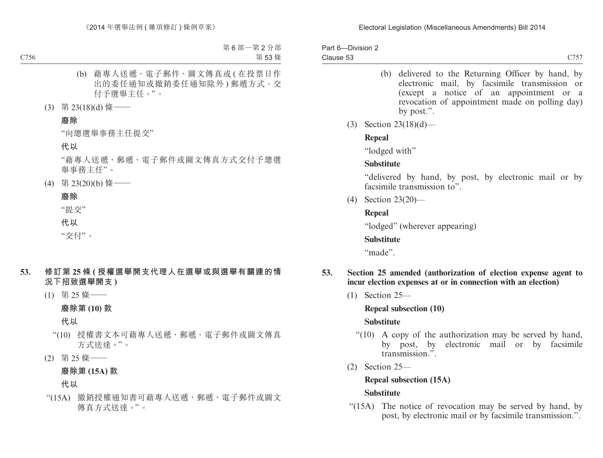Part 6—Division 2 Clause 53

- (b) delivered to the Returning Officer by hand, by electronic mail, by facsimile transmission or (except a notice of an appointment or a revocation of appointment made on polling day) by post.".
- (3) Section 23(18)(d)—

#### **Repeal**

"lodged with"

#### **Substitute**

"delivered by hand, by post, by electronic mail or by facsimile transmission to".

(4) Section 23(20)—

### **Repeal**

"lodged" (wherever appearing)

### **Substitute**

"made".

#### **53. Section 25 amended (authorization of election expense agent to incur election expenses at or in connection with an election)**

(1) Section 25—

### **Repeal subsection (10)**

### **Substitute**

- "(10) A copy of the authorization may be served by hand, by post, by electronic mail or by facsimile transmission.".
- (2) Section 25—

### **Repeal subsection (15A)**

### **Substitute**

"(15A) The notice of revocation may be served by hand, by post, by electronic mail or by facsimile transmission.".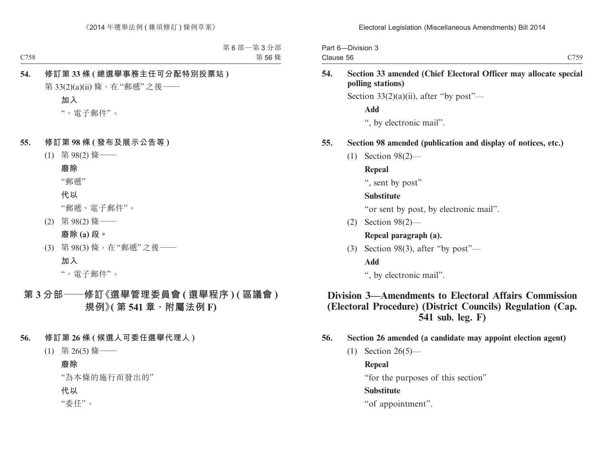| Part 6-Division 3 |      |
|-------------------|------|
| Clause 56         | C759 |

**54. Section 33 amended (Chief Electoral Officer may allocate special polling stations)**

Section  $33(2)(a)(ii)$ , after "by post"—

**Add**

", by electronic mail".

#### **55. Section 98 amended (publication and display of notices, etc.)**

(1) Section 98(2)—

**Repeal**

", sent by post"

#### **Substitute**

"or sent by post, by electronic mail".

(2) Section 98(2)—

# **Repeal paragraph (a).**

(3) Section 98(3), after "by post"—

### **Add**

", by electronic mail".

# **Division 3—Amendments to Electoral Affairs Commission (Electoral Procedure) (District Councils) Regulation (Cap. 541 sub. leg. F)**

- **56. Section 26 amended (a candidate may appoint election agent)**
	- $(1)$  Section 26(5)—

### **Repeal**

"for the purposes of this section"

# **Substitute**

"of appointment".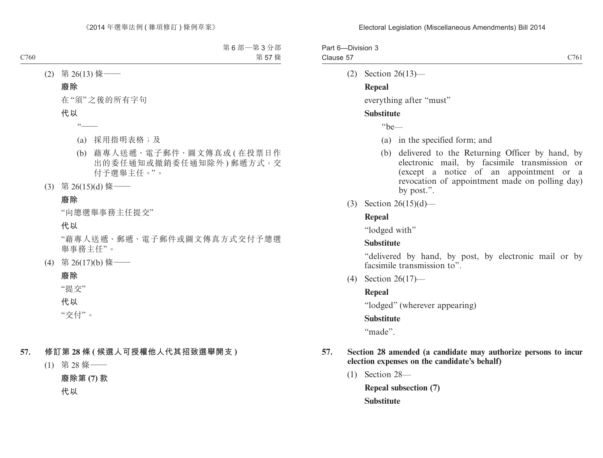| Part 6-Division 3 |      |
|-------------------|------|
| Clause 57         | C761 |

(2) Section 26(13)—

#### **Repeal**

everything after "must"

#### **Substitute**

"be—

- (a) in the specified form; and
- (b) delivered to the Returning Officer by hand, by electronic mail, by facsimile transmission or (except a notice of an appointment or a revocation of appointment made on polling day) by post.".
- (3) Section 26(15)(d)—

#### **Repeal**

"lodged with"

### **Substitute**

"delivered by hand, by post, by electronic mail or by facsimile transmission to".

(4) Section 26(17)—

#### **Repeal**

"lodged" (wherever appearing)

### **Substitute**

"made".

#### **57. Section 28 amended (a candidate may authorize persons to incur election expenses on the candidate's behalf)**

(1) Section 28—

**Repeal subsection (7) Substitute**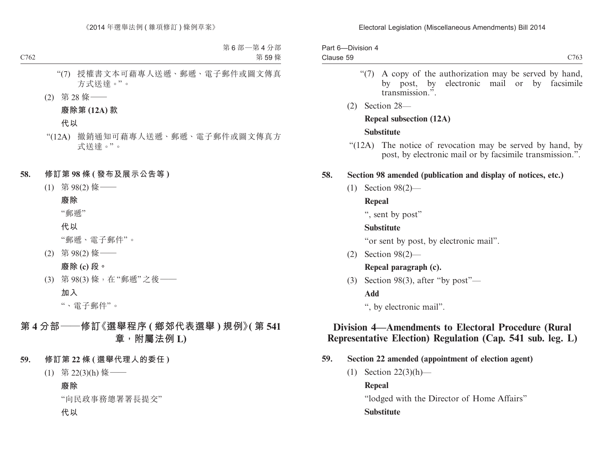#### Electoral Legislation (Miscellaneous Amendments) Bill 2014

| Part 6-Division 4 |                  |
|-------------------|------------------|
| Clause 59         | C <sub>763</sub> |

- "(7) A copy of the authorization may be served by hand, by post, by electronic mail or by facsimile transmission.".
- (2) Section 28—

#### **Repeal subsection (12A)**

#### **Substitute**

"(12A) The notice of revocation may be served by hand, by post, by electronic mail or by facsimile transmission.".

#### **58. Section 98 amended (publication and display of notices, etc.)**

(1) Section 98(2)—

#### **Repeal**

", sent by post"

#### **Substitute**

"or sent by post, by electronic mail".

(2) Section 98(2)—

# **Repeal paragraph (c).**

(3) Section 98(3), after "by post"—

### **Add**

", by electronic mail".

# **Division 4—Amendments to Electoral Procedure (Rural Representative Election) Regulation (Cap. 541 sub. leg. L)**

- **59. Section 22 amended (appointment of election agent)**
	- (1) Section 22(3)(h)—

**Repeal**

"lodged with the Director of Home Affairs"

### **Substitute**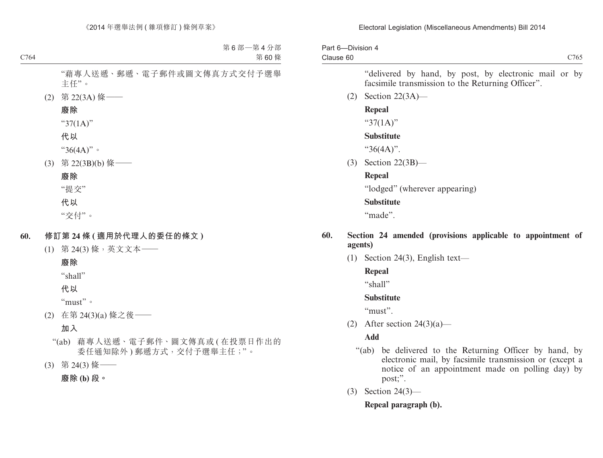Part 6—Division 4 Clause 60

C<sub>765</sub>

"delivered by hand, by post, by electronic mail or by facsimile transmission to the Returning Officer".

(2) Section 22(3A)—

#### **Repeal**

" $37(1A)$ "

#### **Substitute**

"36(4A)".

(3) Section 22(3B)—

#### **Repeal**

"lodged" (wherever appearing)

#### **Substitute**

"made".

#### **60. Section 24 amended (provisions applicable to appointment of agents)**

(1) Section 24(3), English text—

#### **Repeal**

"shall"

#### **Substitute**

"must".

(2) After section  $24(3)(a)$ —

### **Add**

- "(ab) be delivered to the Returning Officer by hand, by electronic mail, by facsimile transmission or (except a notice of an appointment made on polling day) by post;".
- (3) Section 24(3)—

### **Repeal paragraph (b).**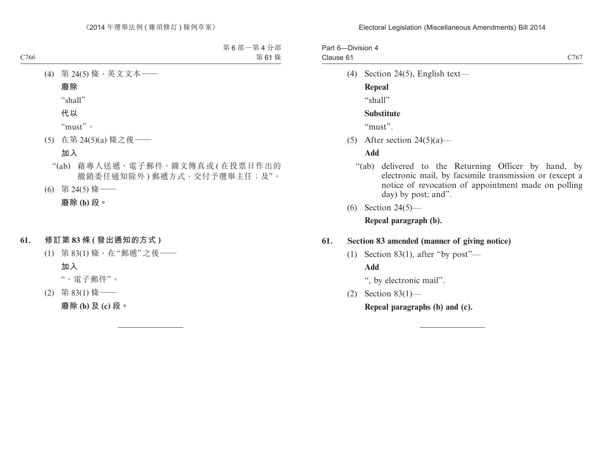Part 6—Division 4 Clause 61

(4) Section 24(5), English text—

#### **Repeal**

 $``$ shall"

#### **Substitute**

"must".

(5) After section  $24(5)(a)$ —

#### **Add**

- "(ab) delivered to the Returning Officer by hand, by electronic mail, by facsimile transmission or (except a notice of revocation of appointment made on polling day) by post; and".
- (6) Section 24(5)—

#### **Repeal paragraph (b).**

#### **61. Section 83 amended (manner of giving notice)**

(1) Section 83(1), after "by post"—

#### **Add**

", by electronic mail".

(2) Section 83(1)—

**Repeal paragraphs (b) and (c).**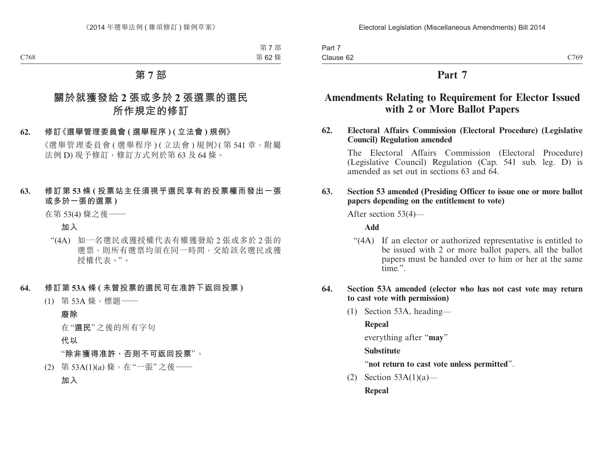Part 7 Clause 62

# **Part 7**

# **Amendments Relating to Requirement for Elector Issued with 2 or More Ballot Papers**

**62. Electoral Affairs Commission (Electoral Procedure) (Legislative Council) Regulation amended**

The Electoral Affairs Commission (Electoral Procedure) (Legislative Council) Regulation (Cap. 541 sub. leg. D) is amended as set out in sections 63 and 64.

#### **63. Section 53 amended (Presiding Officer to issue one or more ballot papers depending on the entitlement to vote)**

After section 53(4)—

**Add**

"(4A) If an elector or authorized representative is entitled to be issued with 2 or more ballot papers, all the ballot papers must be handed over to him or her at the same time.".

#### **64. Section 53A amended (elector who has not cast vote may return to cast vote with permission)**

(1) Section 53A, heading—

**Repeal**

everything after "**may**"

### **Substitute**

### "**not return to cast vote unless permitted**".

(2) Section 53A(1)(a)—

**Repeal**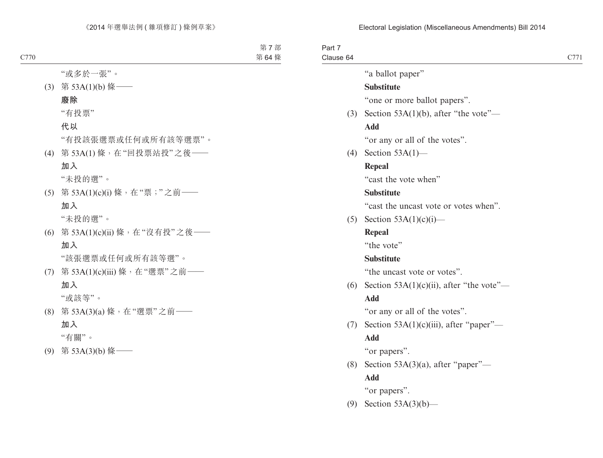Part 7 Clause 64

"a ballot paper"

# **Substitute**

"one or more ballot papers".

(3) Section 53A(1)(b), after "the vote"—

#### **Add**

"or any or all of the votes".

(4) Section 53A(1)—

#### **Repeal**

"cast the vote when"

#### **Substitute**

"cast the uncast vote or votes when".

(5) Section  $53A(1)(c)(i)$ —

#### **Repeal**

"the vote"

#### **Substitute**

"the uncast vote or votes".

(6) Section  $53A(1)(c)(ii)$ , after "the vote"—

#### **Add**

"or any or all of the votes".

(7) Section  $53A(1)(c)(iii)$ , after "paper"— **Add**

"or papers".

(8) Section  $53A(3)(a)$ , after "paper"—

### **Add**

"or papers".

(9) Section 53A(3)(b)—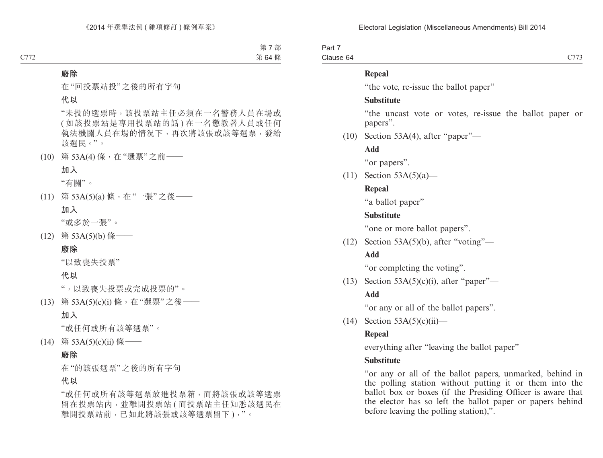Part 7 Clause 64

#### **Repeal**

"the vote, re-issue the ballot paper"

#### **Substitute**

"the uncast vote or votes, re-issue the ballot paper or papers".

(10) Section 53A(4), after "paper"—

**Add**

"or papers".

(11) Section  $53A(5)(a)$ —

#### **Repeal**

"a ballot paper"

#### **Substitute**

"one or more ballot papers".

 $(12)$  Section 53A(5)(b), after "voting"—

#### **Add**

"or completing the voting".

(13) Section  $53A(5)(c)(i)$ , after "paper"—

#### **Add**

"or any or all of the ballot papers".

 $(14)$  Section 53A(5)(c)(ii)—

#### **Repeal**

everything after "leaving the ballot paper"

#### **Substitute**

"or any or all of the ballot papers, unmarked, behind in the polling station without putting it or them into the ballot box or boxes (if the Presiding Officer is aware that the elector has so left the ballot paper or papers behind before leaving the polling station),".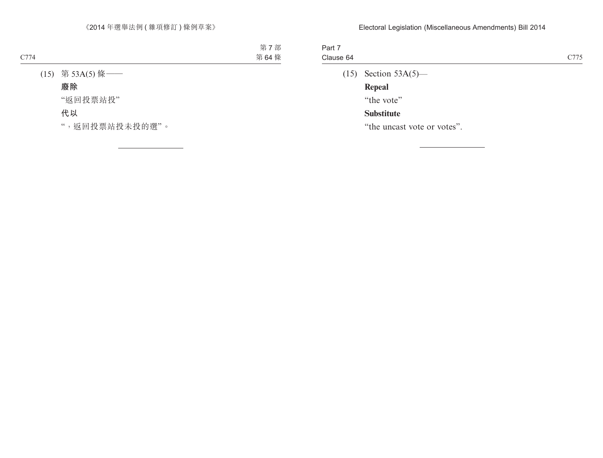| Part 7<br>Clause 64 |                        | C <sub>775</sub> |
|---------------------|------------------------|------------------|
|                     | $(15)$ Section 53A(5)— |                  |
|                     | Repeal                 |                  |

"the vote"

# **Substitute**

"the uncast vote or votes".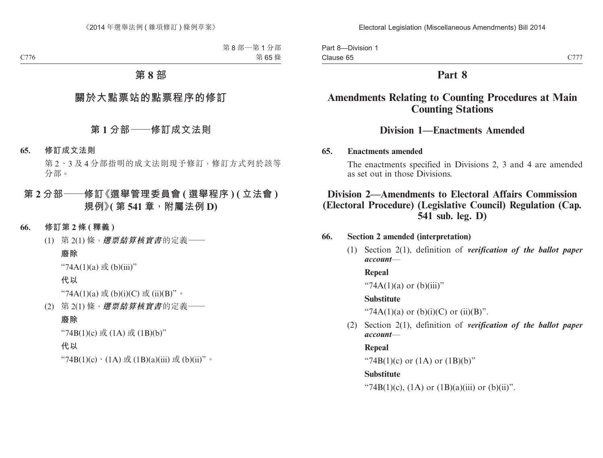# **Part 8**

# **Amendments Relating to Counting Procedures at Main Counting Stations**

# **Division 1—Enactments Amended**

#### **65. Enactments amended**

The enactments specified in Divisions 2, 3 and 4 are amended as set out in those Divisions.

# **Division 2—Amendments to Electoral Affairs Commission (Electoral Procedure) (Legislative Council) Regulation (Cap. 541 sub. leg. D)**

### **66. Section 2 amended (interpretation)**

(1) Section 2(1), definition of *verification of the ballot paper account*—

### **Repeal**

"74A(1)(a) or (b)(iii)"

### **Substitute**

"74A(1)(a) or (b)(i)(C) or (ii)(B)".

(2) Section 2(1), definition of *verification of the ballot paper account*—

### **Repeal**

"74B(1)(c) or  $(1A)$  or  $(1B)(b)$ "

### **Substitute**

"74B(1)(c), (1A) or (1B)(a)(iii) or (b)(ii)".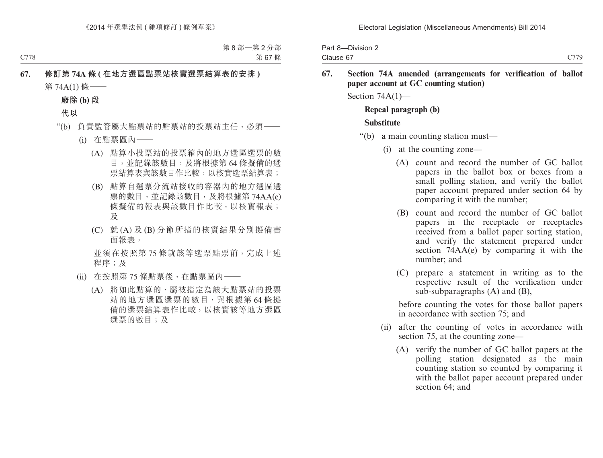| Part 8-Division 2 |      |
|-------------------|------|
| Clause 67         | C779 |

#### **67. Section 74A amended (arrangements for verification of ballot paper account at GC counting station)**

Section 74A(1)—

#### **Repeal paragraph (b)**

#### **Substitute**

- "(b) a main counting station must—
	- (i) at the counting zone—
		- (A) count and record the number of GC ballot papers in the ballot box or boxes from a small polling station, and verify the ballot paper account prepared under section 64 by comparing it with the number;
		- (B) count and record the number of GC ballot papers in the receptacle or receptacles received from a ballot paper sorting station, and verify the statement prepared under section 74AA(e) by comparing it with the number; and
		- (C) prepare a statement in writing as to the respective result of the verification under sub-subparagraphs (A) and (B),

before counting the votes for those ballot papers in accordance with section 75; and

- (ii) after the counting of votes in accordance with section 75, at the counting zone—
	- (A) verify the number of GC ballot papers at the polling station designated as the main counting station so counted by comparing it with the ballot paper account prepared under section 64; and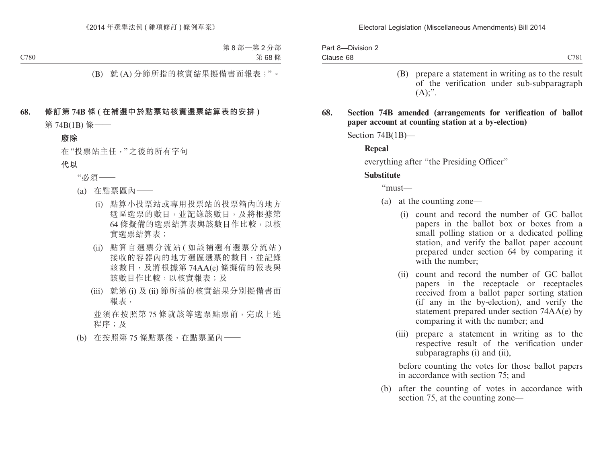Part 8—Division 2 Clause 68

- C781
- (B) prepare a statement in writing as to the result of the verification under sub-subparagraph  $(A)$ :".
- **68. Section 74B amended (arrangements for verification of ballot paper account at counting station at a by-election)**

Section 74B(1B)—

#### **Repeal**

everything after "the Presiding Officer"

#### **Substitute**

"must—

- (a) at the counting zone—
	- (i) count and record the number of GC ballot papers in the ballot box or boxes from a small polling station or a dedicated polling station, and verify the ballot paper account prepared under section 64 by comparing it with the number;
	- (ii) count and record the number of GC ballot papers in the receptacle or receptacles received from a ballot paper sorting station (if any in the by-election), and verify the statement prepared under section 74AA(e) by comparing it with the number; and
	- (iii) prepare a statement in writing as to the respective result of the verification under subparagraphs (i) and (ii),

before counting the votes for those ballot papers in accordance with section 75; and

(b) after the counting of votes in accordance with section 75, at the counting zone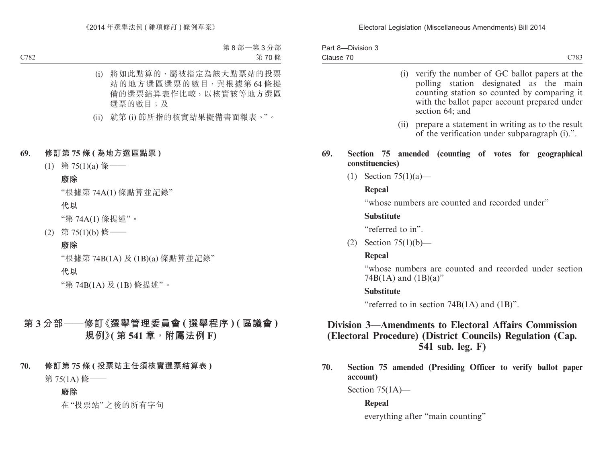Part 8—Division 3 Clause 70 C783

- (i) verify the number of GC ballot papers at the polling station designated as the main counting station so counted by comparing it with the ballot paper account prepared under section 64; and
- (ii) prepare a statement in writing as to the result of the verification under subparagraph (i).".

#### **69. Section 75 amended (counting of votes for geographical constituencies)**

(1) Section 75(1)(a)—

#### **Repeal**

"whose numbers are counted and recorded under"

### **Substitute**

"referred to in".

(2) Section 75(1)(b)—

# **Repeal**

"whose numbers are counted and recorded under section 74B $(1A)$  and  $(1B)(a)$ "

### **Substitute**

"referred to in section 74B(1A) and (1B)".

# **Division 3—Amendments to Electoral Affairs Commission (Electoral Procedure) (District Councils) Regulation (Cap. 541 sub. leg. F)**

**70. Section 75 amended (Presiding Officer to verify ballot paper account)**

Section 75(1A)—

# **Repeal**

everything after "main counting"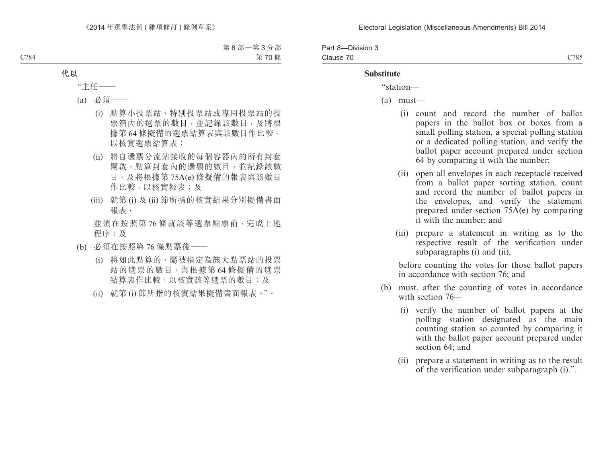| Part 8-Division 3 |      |
|-------------------|------|
| Clause 70         | C785 |

#### **Substitute**

"station—

- (a) must—
	- (i) count and record the number of ballot papers in the ballot box or boxes from a small polling station, a special polling station or a dedicated polling station, and verify the ballot paper account prepared under section 64 by comparing it with the number;
	- (ii) open all envelopes in each receptacle received from a ballot paper sorting station, count and record the number of ballot papers in the envelopes, and verify the statement prepared under section 75A(e) by comparing it with the number; and
	- (iii) prepare a statement in writing as to the respective result of the verification under subparagraphs (i) and (ii),

before counting the votes for those ballot papers in accordance with section 76; and

- (b) must, after the counting of votes in accordance with section 76—
	- (i) verify the number of ballot papers at the polling station designated as the main counting station so counted by comparing it with the ballot paper account prepared under section 64; and
	- (ii) prepare a statement in writing as to the result of the verification under subparagraph (i).".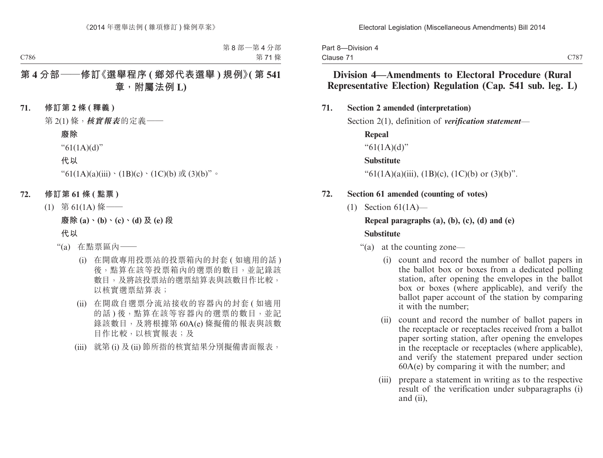| Part 8-Division 4 |  |
|-------------------|--|
| Clause 71         |  |

# **Division 4—Amendments to Electoral Procedure (Rural Representative Election) Regulation (Cap. 541 sub. leg. L)**

#### **71. Section 2 amended (interpretation)**

Section 2(1), definition of *verification statement*—

**Repeal**

"61(1A)(d)"

#### **Substitute**

"61(1A)(a)(iii), (1B)(c), (1C)(b) or (3)(b)".

#### **72. Section 61 amended (counting of votes)**

(1) Section 61(1A)—

#### **Repeal paragraphs (a), (b), (c), (d) and (e)**

#### **Substitute**

"(a) at the counting zone—

- (i) count and record the number of ballot papers in the ballot box or boxes from a dedicated polling station, after opening the envelopes in the ballot box or boxes (where applicable), and verify the ballot paper account of the station by comparing it with the number;
- (ii) count and record the number of ballot papers in the receptacle or receptacles received from a ballot paper sorting station, after opening the envelopes in the receptacle or receptacles (where applicable), and verify the statement prepared under section 60A(e) by comparing it with the number; and
- (iii) prepare a statement in writing as to the respective result of the verification under subparagraphs (i) and (ii),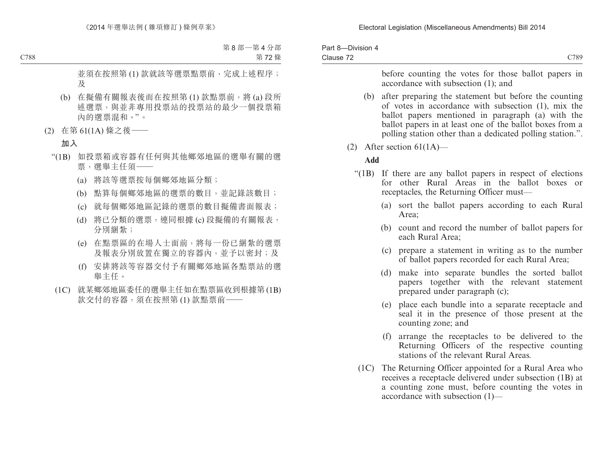| Part 8-Division 4 |  |
|-------------------|--|
| Clause 72         |  |

before counting the votes for those ballot papers in accordance with subsection (1); and

- (b) after preparing the statement but before the counting of votes in accordance with subsection (1), mix the ballot papers mentioned in paragraph (a) with the ballot papers in at least one of the ballot boxes from a polling station other than a dedicated polling station.".
- (2) After section 61(1A)—

#### **Add**

- "(1B) If there are any ballot papers in respect of elections for other Rural Areas in the ballot boxes or receptacles, the Returning Officer must—
	- (a) sort the ballot papers according to each Rural Area;
	- (b) count and record the number of ballot papers for each Rural Area;
	- (c) prepare a statement in writing as to the number of ballot papers recorded for each Rural Area;
	- (d) make into separate bundles the sorted ballot papers together with the relevant statement prepared under paragraph (c);
	- (e) place each bundle into a separate receptacle and seal it in the presence of those present at the counting zone; and
	- (f) arrange the receptacles to be delivered to the Returning Officers of the respective counting stations of the relevant Rural Areas.
	- (1C) The Returning Officer appointed for a Rural Area who receives a receptacle delivered under subsection (1B) at a counting zone must, before counting the votes in accordance with subsection (1)—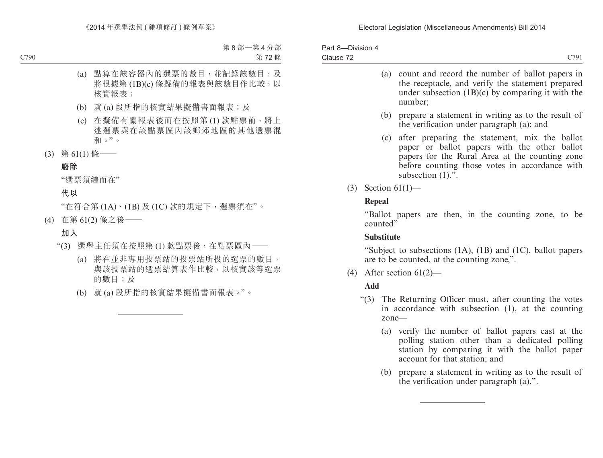| Part 8-Division 4 |                  |
|-------------------|------------------|
| Clause 72         | C <sub>791</sub> |
|                   |                  |

- (a) count and record the number of ballot papers in the receptacle, and verify the statement prepared under subsection  $(1B)(c)$  by comparing it with the number; (b) prepare a statement in writing as to the result of the verification under paragraph (a); and (c) after preparing the statement, mix the ballot
	- paper or ballot papers with the other ballot papers for the Rural Area at the counting zone before counting those votes in accordance with subsection  $(1)$ .".
- (3) Section 61(1)—

#### **Repeal**

"Ballot papers are then, in the counting zone, to be counted"

### **Substitute**

"Subject to subsections (1A), (1B) and (1C), ballot papers are to be counted, at the counting zone,".

(4) After section  $61(2)$ —

# **Add**

- "(3) The Returning Officer must, after counting the votes in accordance with subsection (1), at the counting zone—
	- (a) verify the number of ballot papers cast at the polling station other than a dedicated polling station by comparing it with the ballot paper account for that station; and
	- (b) prepare a statement in writing as to the result of the verification under paragraph (a).".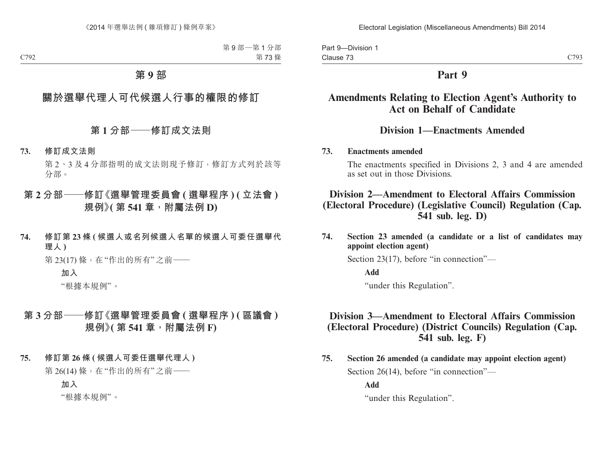# **Part 9**

# **Amendments Relating to Election Agent's Authority to Act on Behalf of Candidate**

# **Division 1—Enactments Amended**

### **73. Enactments amended**

The enactments specified in Divisions 2, 3 and 4 are amended as set out in those Divisions.

## **Division 2—Amendment to Electoral Affairs Commission (Electoral Procedure) (Legislative Council) Regulation (Cap. 541 sub. leg. D)**

**74. Section 23 amended (a candidate or a list of candidates may appoint election agent)**

Section 23(17), before "in connection"—

**Add**

"under this Regulation".

# **Division 3—Amendment to Electoral Affairs Commission (Electoral Procedure) (District Councils) Regulation (Cap. 541 sub. leg. F)**

**75. Section 26 amended (a candidate may appoint election agent)** Section 26(14), before "in connection"—

**Add**

"under this Regulation".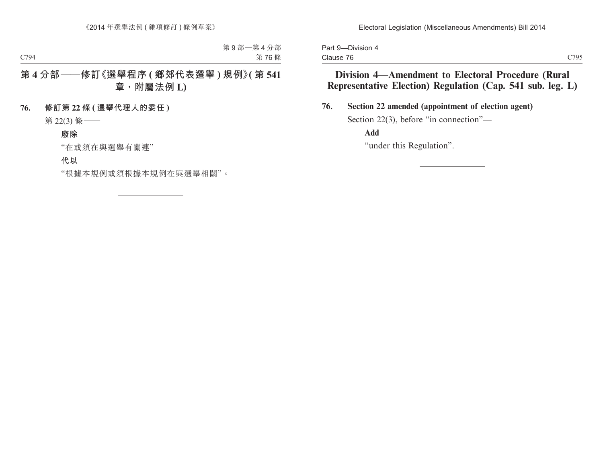Part 9—Division 4 Clause 76

**76. Section 22 amended (appointment of election agent)**

Section 22(3), before "in connection"—

**Add**

"under this Regulation".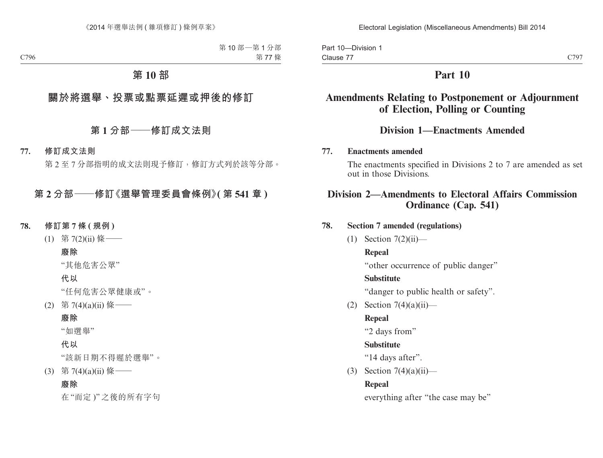Part 10—Division 1 Clause 77

C797

# **Part 10**

# **Amendments Relating to Postponement or Adjournment of Election, Polling or Counting**

## **Division 1—Enactments Amended**

#### **77. Enactments amended**

The enactments specified in Divisions 2 to 7 are amended as set out in those Divisions.

## **Division 2—Amendments to Electoral Affairs Commission Ordinance (Cap. 541)**

#### **78. Section 7 amended (regulations)**

 $(1)$  Section 7 $(2)(ii)$ —

#### **Repeal**

"other occurrence of public danger"

#### **Substitute**

"danger to public health or safety".

(2) Section  $7(4)(a)(ii)$ —

### **Repeal**

"2 days from"

#### **Substitute**

"14 days after".

(3) Section  $7(4)(a)(ii)$ —

### **Repeal**

everything after "the case may be"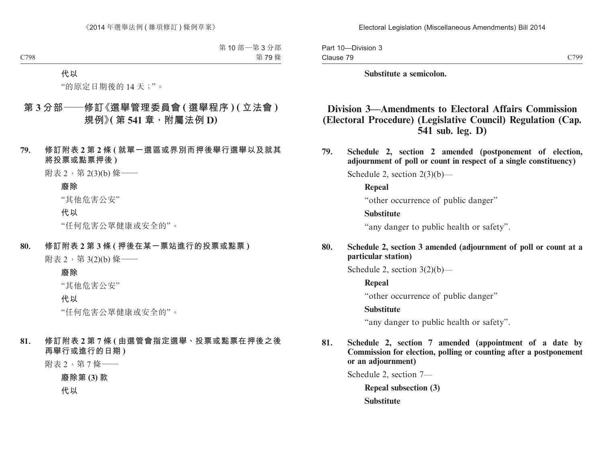Part 10—Division 3 Clause 79

C799

**Substitute a semicolon.**

# **Division 3—Amendments to Electoral Affairs Commission (Electoral Procedure) (Legislative Council) Regulation (Cap. 541 sub. leg. D)**

**79. Schedule 2, section 2 amended (postponement of election, adjournment of poll or count in respect of a single constituency)**

Schedule 2, section 2(3)(b)—

**Repeal**

"other occurrence of public danger"

#### **Substitute**

"any danger to public health or safety".

### **80. Schedule 2, section 3 amended (adjournment of poll or count at a particular station)**

Schedule 2, section 3(2)(b)—

**Repeal**

"other occurrence of public danger"

#### **Substitute**

"any danger to public health or safety".

**81. Schedule 2, section 7 amended (appointment of a date by Commission for election, polling or counting after a postponement or an adjournment)**

Schedule 2, section 7—

**Repeal subsection (3)**

**Substitute**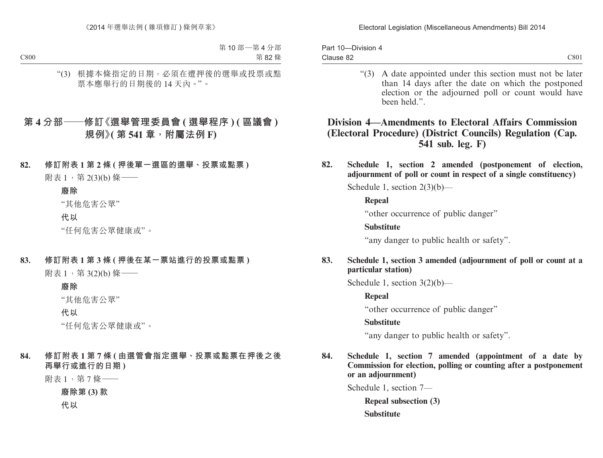| Part 10-Division 4 |      |
|--------------------|------|
| Clause 82          | C801 |

"(3) A date appointed under this section must not be later than 14 days after the date on which the postponed election or the adjourned poll or count would have been held."

## **Division 4—Amendments to Electoral Affairs Commission (Electoral Procedure) (District Councils) Regulation (Cap. 541 sub. leg. F)**

**82. Schedule 1, section 2 amended (postponement of election, adjournment of poll or count in respect of a single constituency)**

Schedule 1, section  $2(3)(b)$ —

**Repeal**

"other occurrence of public danger"

**Substitute**

"any danger to public health or safety".

### **83. Schedule 1, section 3 amended (adjournment of poll or count at a particular station)**

Schedule 1, section  $3(2)(b)$ —

**Repeal**

"other occurrence of public danger"

## **Substitute**

"any danger to public health or safety".

**84. Schedule 1, section 7 amended (appointment of a date by Commission for election, polling or counting after a postponement or an adjournment)**

Schedule 1, section 7—

**Repeal subsection (3) Substitute**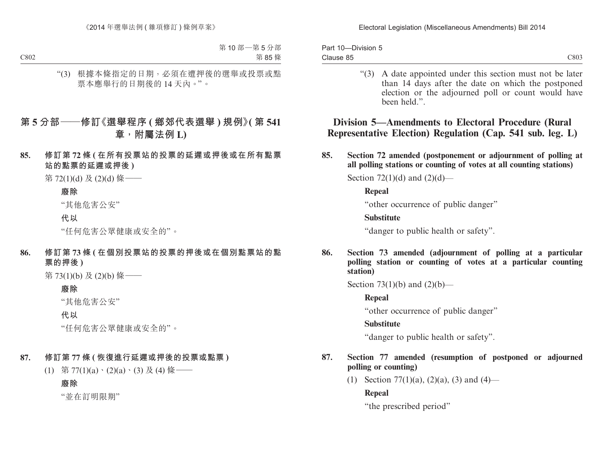| Part 10-Division 5 |  |
|--------------------|--|
| Clause 85          |  |

"(3) A date appointed under this section must not be later than 14 days after the date on which the postponed election or the adjourned poll or count would have been held."

**Division 5—Amendments to Electoral Procedure (Rural Representative Election) Regulation (Cap. 541 sub. leg. L)**

**85. Section 72 amended (postponement or adjournment of polling at all polling stations or counting of votes at all counting stations)**

Section 72(1)(d) and  $(2)(d)$ —

#### **Repeal**

"other occurrence of public danger"

#### **Substitute**

"danger to public health or safety".

**86. Section 73 amended (adjournment of polling at a particular polling station or counting of votes at a particular counting station)**

Section 73(1)(b) and  $(2)(b)$ —

### **Repeal**

"other occurrence of public danger"

### **Substitute**

"danger to public health or safety".

- **87. Section 77 amended (resumption of postponed or adjourned polling or counting)**
	- (1) Section 77(1)(a), (2)(a), (3) and (4)—

### **Repeal**

"the prescribed period"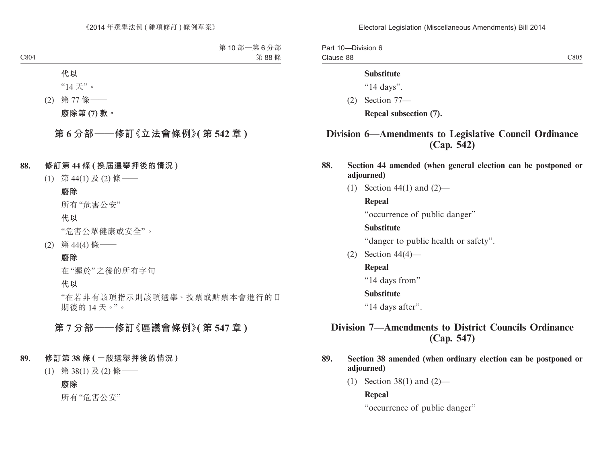Part 10—Division 6 Clause 88

C805

#### **Substitute**

"14 days".

(2) Section 77—

**Repeal subsection (7).**

# **Division 6—Amendments to Legislative Council Ordinance (Cap. 542)**

- **88. Section 44 amended (when general election can be postponed or adjourned)**
	- (1) Section 44(1) and (2)—

#### **Repeal**

"occurrence of public danger"

### **Substitute**

"danger to public health or safety".

(2) Section 44(4)—

### **Repeal**

"14 days from"

#### **Substitute**

"14 days after".

## **Division 7—Amendments to District Councils Ordinance (Cap. 547)**

- **89. Section 38 amended (when ordinary election can be postponed or adjourned)**
	- (1) Section 38(1) and (2)—

#### **Repeal**

"occurrence of public danger"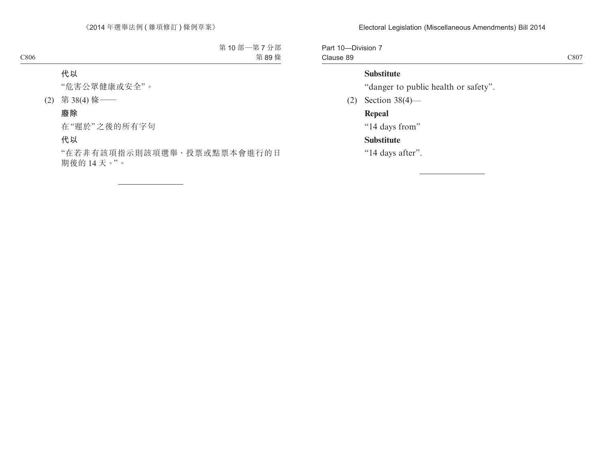Part 10—Division 7 Clause 89

C807

### **Substitute**

"danger to public health or safety".

(2) Section 38(4)—

## **Repeal**

"14 days from"

## **Substitute**

"14 days after".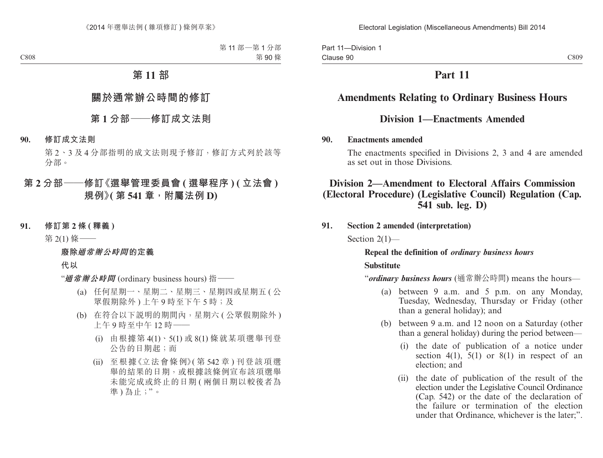Part 11—Division 1 Clause 90

# **Part 11**

# **Amendments Relating to Ordinary Business Hours**

## **Division 1—Enactments Amended**

#### **90. Enactments amended**

The enactments specified in Divisions 2, 3 and 4 are amended as set out in those Divisions.

## **Division 2—Amendment to Electoral Affairs Commission (Electoral Procedure) (Legislative Council) Regulation (Cap. 541 sub. leg. D)**

### **91. Section 2 amended (interpretation)**

Section 2(1)—

## **Repeal the definition of** *ordinary business hours* **Substitute**

"*ordinary business hours* (通常辦公時間) means the hours—

- (a) between 9 a.m. and 5 p.m. on any Monday, Tuesday, Wednesday, Thursday or Friday (other than a general holiday); and
- (b) between 9 a.m. and 12 noon on a Saturday (other than a general holiday) during the period between—
	- (i) the date of publication of a notice under section 4(1),  $5(1)$  or 8(1) in respect of an election; and
	- (ii) the date of publication of the result of the election under the Legislative Council Ordinance (Cap. 542) or the date of the declaration of the failure or termination of the election under that Ordinance, whichever is the later;".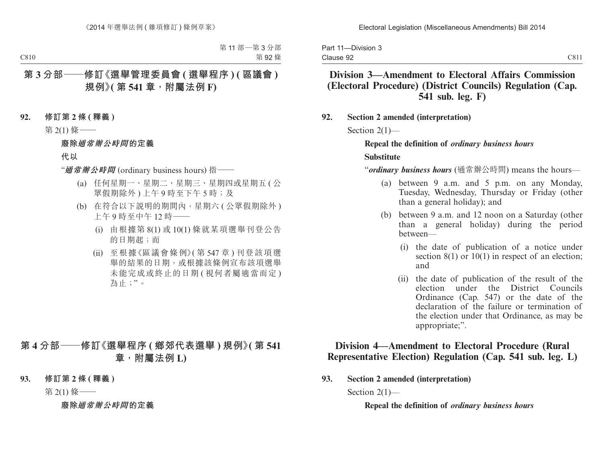Part 11—Division 3 Clause 92

## **Division 3—Amendment to Electoral Affairs Commission (Electoral Procedure) (District Councils) Regulation (Cap. 541 sub. leg. F)**

### **92. Section 2 amended (interpretation)**

Section 2(1)—

# **Repeal the definition of** *ordinary business hours* **Substitute**

"*ordinary business hours* (通常辦公時間) means the hours—

- (a) between 9 a.m. and 5 p.m. on any Monday, Tuesday, Wednesday, Thursday or Friday (other than a general holiday); and
- (b) between 9 a.m. and 12 noon on a Saturday (other than a general holiday) during the period between—
	- (i) the date of publication of a notice under section  $8(1)$  or  $10(1)$  in respect of an election; and
	- (ii) the date of publication of the result of the election under the District Councils Ordinance (Cap. 547) or the date of the declaration of the failure or termination of the election under that Ordinance, as may be appropriate;".

## **Division 4—Amendment to Electoral Procedure (Rural Representative Election) Regulation (Cap. 541 sub. leg. L)**

**93. Section 2 amended (interpretation)**

Section 2(1)—

**Repeal the definition of** *ordinary business hours*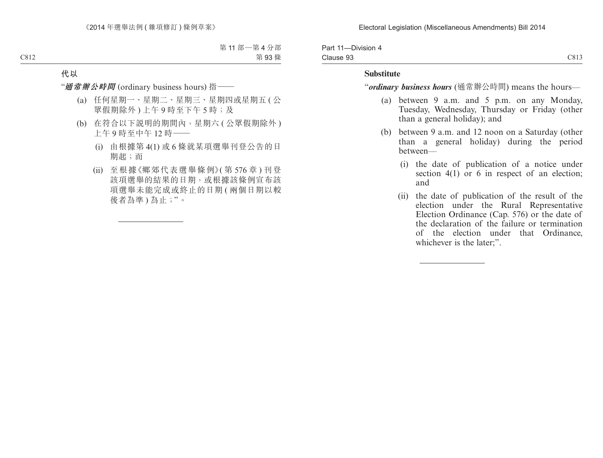| Part 11-Division 4 |      |
|--------------------|------|
| Clause 93          | C813 |

#### **Substitute**

"*ordinary business hours* (通常辦公時間) means the hours—

- (a) between 9 a.m. and 5 p.m. on any Monday, Tuesday, Wednesday, Thursday or Friday (other than a general holiday); and
- (b) between 9 a.m. and 12 noon on a Saturday (other than a general holiday) during the period between—
	- (i) the date of publication of a notice under section 4(1) or 6 in respect of an election; and
	- (ii) the date of publication of the result of the election under the Rural Representative Election Ordinance (Cap. 576) or the date of the declaration of the failure or termination of the election under that Ordinance, whichever is the later;".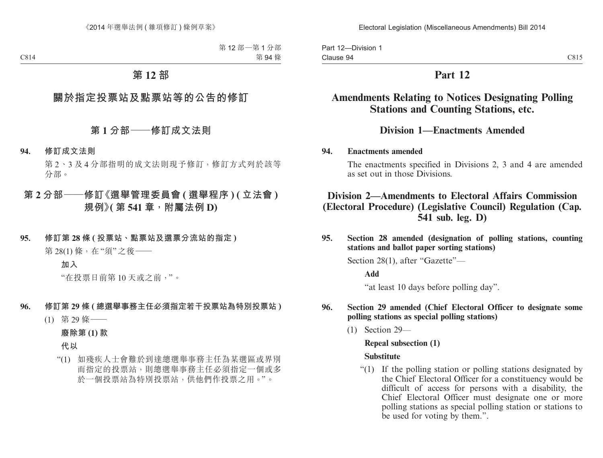# **Part 12**

# **Amendments Relating to Notices Designating Polling Stations and Counting Stations, etc.**

## **Division 1—Enactments Amended**

### **94. Enactments amended**

The enactments specified in Divisions 2, 3 and 4 are amended as set out in those Divisions.

# **Division 2—Amendments to Electoral Affairs Commission (Electoral Procedure) (Legislative Council) Regulation (Cap. 541 sub. leg. D)**

**95. Section 28 amended (designation of polling stations, counting stations and ballot paper sorting stations)**

Section 28(1), after "Gazette"—

#### **Add**

"at least 10 days before polling day".

### **96. Section 29 amended (Chief Electoral Officer to designate some polling stations as special polling stations)**

(1) Section 29—

# **Repeal subsection (1)**

### **Substitute**

"(1) If the polling station or polling stations designated by the Chief Electoral Officer for a constituency would be difficult of access for persons with a disability, the Chief Electoral Officer must designate one or more polling stations as special polling station or stations to be used for voting by them.".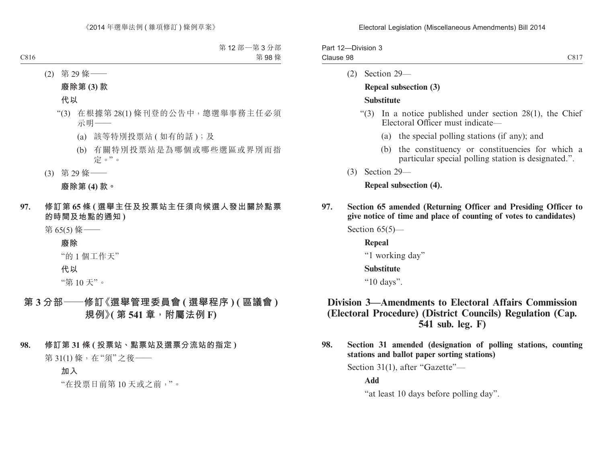| Part 12-Division 3 |      |
|--------------------|------|
| Clause 98          | C817 |

(2) Section 29—

## **Repeal subsection (3) Substitute**

- "(3) In a notice published under section 28(1), the Chief Electoral Officer must indicate—
	- (a) the special polling stations (if any); and
	- (b) the constituency or constituencies for which a particular special polling station is designated.".
- (3) Section 29—

### **Repeal subsection (4).**

**97. Section 65 amended (Returning Officer and Presiding Officer to give notice of time and place of counting of votes to candidates)**

Section 65(5)—

#### **Repeal**

"1 working day"

#### **Substitute**

"10 days".

## **Division 3—Amendments to Electoral Affairs Commission (Electoral Procedure) (District Councils) Regulation (Cap. 541 sub. leg. F)**

**98. Section 31 amended (designation of polling stations, counting stations and ballot paper sorting stations)**

Section 31(1), after "Gazette"—

**Add**

"at least 10 days before polling day".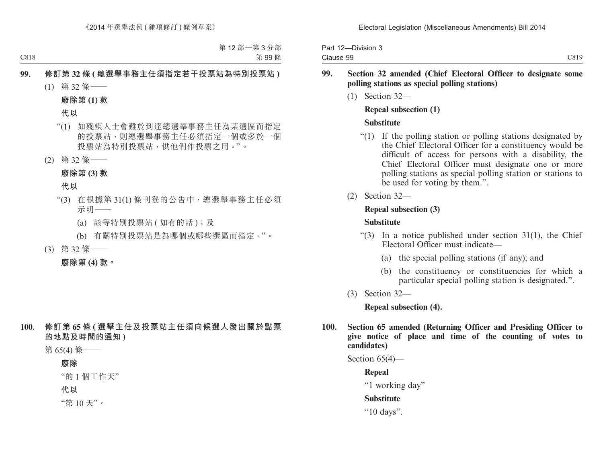| Part 12-Division 3 |      |
|--------------------|------|
| Clause 99          | C819 |

### **99. Section 32 amended (Chief Electoral Officer to designate some polling stations as special polling stations)**

(1) Section 32—

#### **Repeal subsection (1)**

#### **Substitute**

- "(1) If the polling station or polling stations designated by the Chief Electoral Officer for a constituency would be difficult of access for persons with a disability, the Chief Electoral Officer must designate one or more polling stations as special polling station or stations to be used for voting by them.".
- (2) Section 32—

### **Repeal subsection (3)**

### **Substitute**

- "(3) In a notice published under section  $31(1)$ , the Chief Electoral Officer must indicate—
	- (a) the special polling stations (if any); and
	- (b) the constituency or constituencies for which a particular special polling station is designated.".
- (3) Section 32—

**Repeal subsection (4).**

**100. Section 65 amended (Returning Officer and Presiding Officer to give notice of place and time of the counting of votes to candidates)**

Section 65(4)—

**Repeal**

"1 working day"

## **Substitute**

"10 days".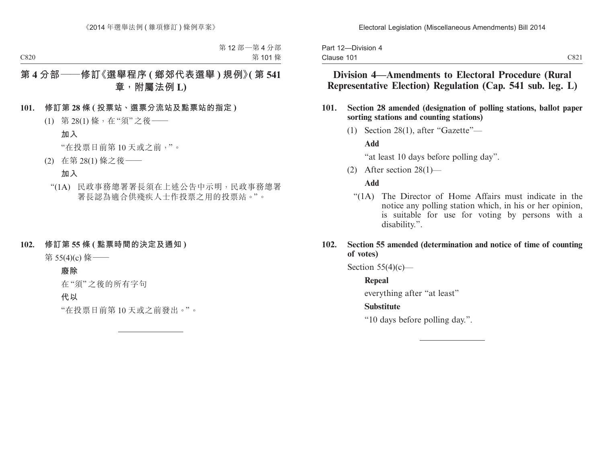|            | Part 12-Division 4 |  |
|------------|--------------------|--|
| Clause 101 |                    |  |

- **101. Section 28 amended (designation of polling stations, ballot paper sorting stations and counting stations)**
	- (1) Section 28(1), after "Gazette"—

### **Add**

"at least 10 days before polling day".

(2) After section 28(1)—

### **Add**

"(1A) The Director of Home Affairs must indicate in the notice any polling station which, in his or her opinion, is suitable for use for voting by persons with a disability.".

### **102. Section 55 amended (determination and notice of time of counting of votes)**

Section  $55(4)(c)$ —

## **Repeal**

everything after "at least"

### **Substitute**

"10 days before polling day.".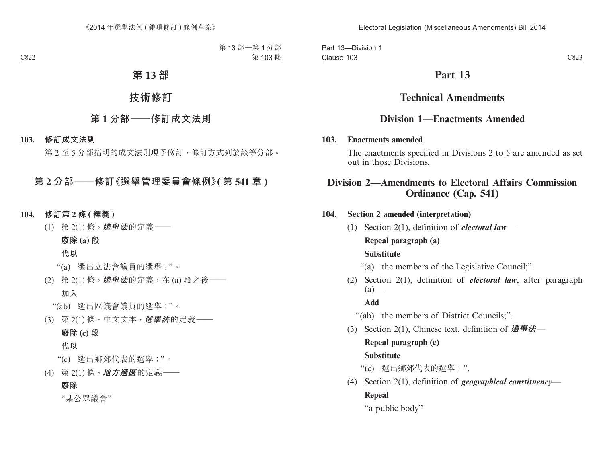Part 13—Division 1 Clause 103

# **Part 13**

# **Technical Amendments**

## **Division 1—Enactments Amended**

### **103. Enactments amended**

The enactments specified in Divisions 2 to 5 are amended as set out in those Divisions.

## **Division 2—Amendments to Electoral Affairs Commission Ordinance (Cap. 541)**

### **104. Section 2 amended (interpretation)**

(1) Section 2(1), definition of *electoral law*— **Repeal paragraph (a) Substitute**

"(a) the members of the Legislative Council;".

(2) Section 2(1), definition of *electoral law*, after paragraph  $(a)$ —

**Add**

"(ab) the members of District Councils;".

(3) Section 2(1), Chinese text, definition of **選舉法**—

## **Repeal paragraph (c)**

### **Substitute**

"(c) 選出鄉郊代表的選舉;".

(4) Section 2(1), definition of *geographical constituency*— **Repeal**

"a public body"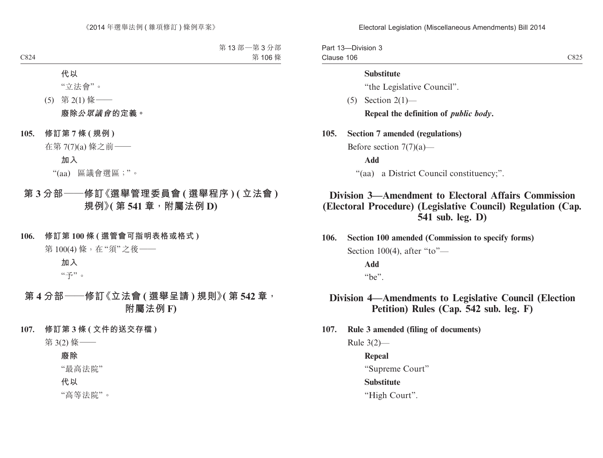Electoral Legislation (Miscellaneous Amendments) Bill 2014

Part 13—Division 3 Clause 106

#### **Substitute**

"the Legislative Council".

 $(5)$  Section  $2(1)$ —

**Repeal the definition of** *public body***.**

**105. Section 7 amended (regulations)**

Before section 7(7)(a)—

**Add**

"(aa) a District Council constituency;".

## **Division 3—Amendment to Electoral Affairs Commission (Electoral Procedure) (Legislative Council) Regulation (Cap. 541 sub. leg. D)**

**106. Section 100 amended (Commission to specify forms)** Section 100(4), after "to"—

> **Add** "be".

## **Division 4—Amendments to Legislative Council (Election Petition) Rules (Cap. 542 sub. leg. F)**

**107. Rule 3 amended (filing of documents)**

Rule 3(2)—

**Repeal** "Supreme Court" **Substitute** "High Court".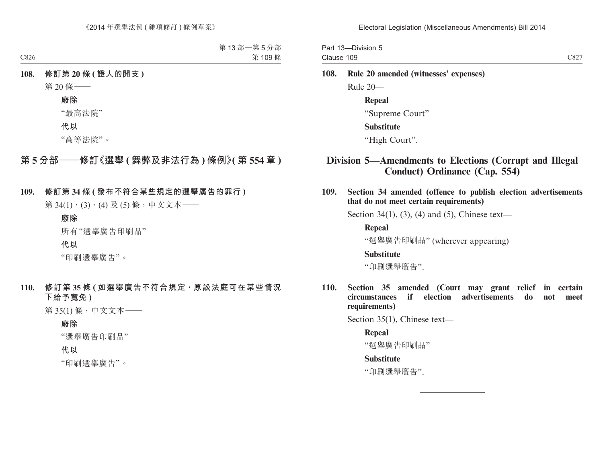Part 13—Division 5 Clause 109

# **108. Rule 20 amended (witnesses' expenses)** Rule 20— **Repeal** "Supreme Court" **Substitute**

"High Court".

## **Division 5—Amendments to Elections (Corrupt and Illegal Conduct) Ordinance (Cap. 554)**

**109. Section 34 amended (offence to publish election advertisements that do not meet certain requirements)**

Section 34(1), (3), (4) and (5), Chinese text—

**Repeal**

"選舉廣告印刷品" (wherever appearing)

#### **Substitute**

"印刷選舉廣告".

**110. Section 35 amended (Court may grant relief in certain circumstances if election advertisements do not meet requirements)**

Section 35(1), Chinese text—

#### **Repeal**

"選舉廣告印刷品"

#### **Substitute**

"印刷選舉廣告".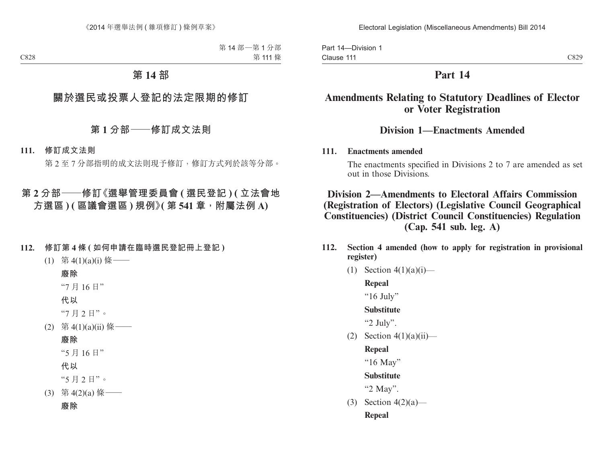Part 14—Division 1 Clause 111

## **Part 14**

# **Amendments Relating to Statutory Deadlines of Elector or Voter Registration**

## **Division 1—Enactments Amended**

### **111. Enactments amended**

The enactments specified in Divisions 2 to 7 are amended as set out in those Divisions.

**Division 2—Amendments to Electoral Affairs Commission (Registration of Electors) (Legislative Council Geographical Constituencies) (District Council Constituencies) Regulation (Cap. 541 sub. leg. A)**

- **112. Section 4 amended (how to apply for registration in provisional register)**
	- (1) Section  $4(1)(a)(i)$ —

**Repeal**

" $16$  July"

**Substitute**

"2 July".

(2) Section  $4(1)(a)(ii)$ —

**Repeal**

"16 May"

**Substitute**

"2 May".

(3) Section 4(2)(a)— **Repeal**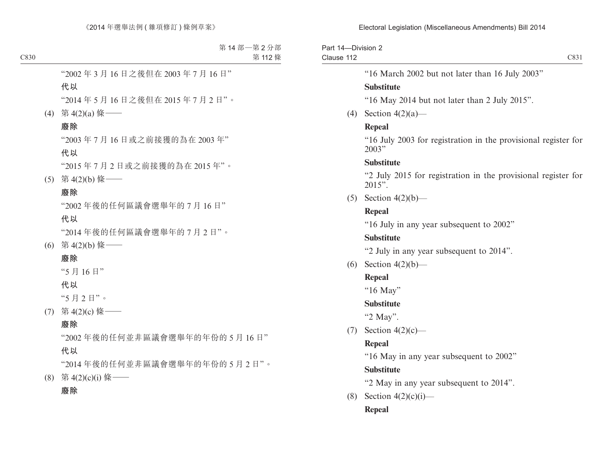Part 14—Division 2 Clause 112

"16 March 2002 but not later than 16 July 2003"

### **Substitute**

"16 May 2014 but not later than 2 July 2015".

(4) Section 4(2)(a)—

### **Repeal**

"16 July 2003 for registration in the provisional register for 2003"

### **Substitute**

"2 July 2015 for registration in the provisional register for 2015".

(5) Section  $4(2)(b)$ —

### **Repeal**

"16 July in any year subsequent to 2002"

### **Substitute**

"2 July in any year subsequent to 2014".

(6) Section  $4(2)(b)$ —

## **Repeal**

"16 May"

### **Substitute**

"2 May".

 $(7)$  Section  $4(2)(c)$ —

## **Repeal**

"16 May in any year subsequent to 2002"

## **Substitute**

"2 May in any year subsequent to 2014".

(8) Section  $4(2)(c)(i)$ —

## **Repeal**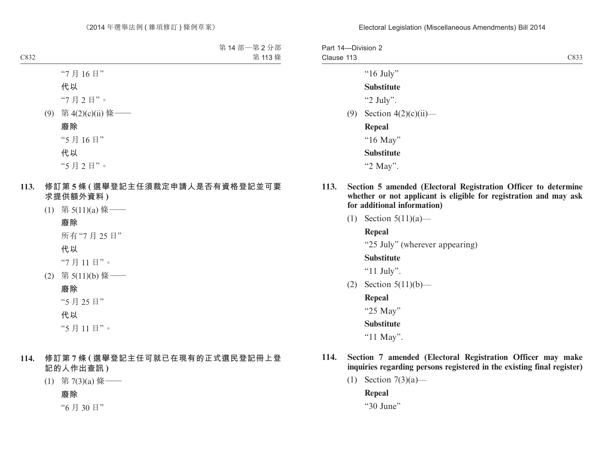| Part 14-Division 2<br>Clause 113 |                         | C833 |
|----------------------------------|-------------------------|------|
|                                  | " $16$ July"            |      |
|                                  | <b>Substitute</b>       |      |
|                                  | "2 July".               |      |
| (9)                              | Section $4(2)(c)(ii)$ — |      |
|                                  | Repeal                  |      |
|                                  | "16 May"                |      |
|                                  | <b>Substitute</b>       |      |
|                                  | "2 May".                |      |
|                                  |                         |      |

- **113. Section 5 amended (Electoral Registration Officer to determine whether or not applicant is eligible for registration and may ask for additional information)**
	- (1) Section 5(11)(a)—

**Repeal**

"25 July" (wherever appearing)

### **Substitute**

"11 July".

(2) Section 5(11)(b)—

**Repeal**

"25 May"

### **Substitute**

"11 May".

- **114. Section 7 amended (Electoral Registration Officer may make inquiries regarding persons registered in the existing final register)**
	- (1) Section 7(3)(a)—

**Repeal**

"30 June"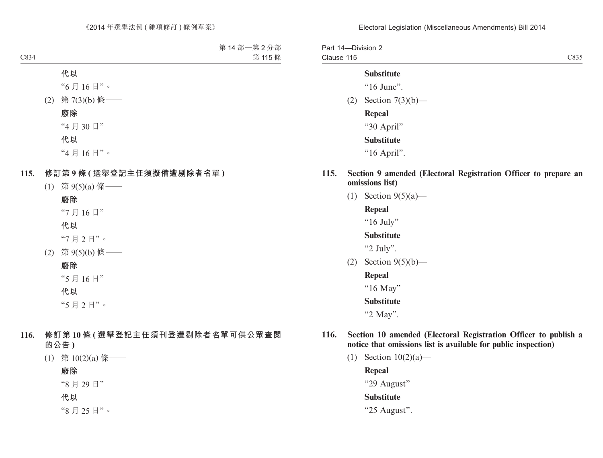Part 14—Division 2 Clause 115 C835

#### **Substitute**

"16 June".

(2) Section 7(3)(b)—

**Repeal** "30 April"

#### **Substitute**

"16 April".

- **115. Section 9 amended (Electoral Registration Officer to prepare an omissions list)**
	- (1) Section 9(5)(a)—

**Repeal**

"16 July"

#### **Substitute**

"2 July".

(2) Section 9(5)(b)—

**Repeal**

"16 May"

**Substitute**

"2 May".

- **116. Section 10 amended (Electoral Registration Officer to publish a notice that omissions list is available for public inspection)**
	- (1) Section 10(2)(a)—

**Repeal** "29 August" **Substitute** "25 August".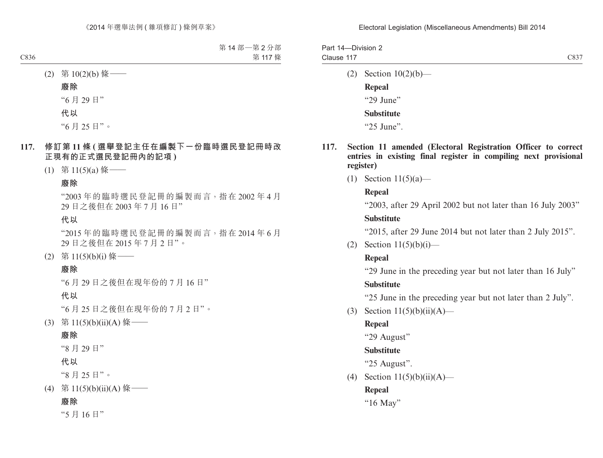| Part 14-Division 2 |      |
|--------------------|------|
| Clause 117         | C837 |

(2) Section 10(2)(b)—

**Repeal** "29 June" **Substitute**

"25 June".

- **117. Section 11 amended (Electoral Registration Officer to correct entries in existing final register in compiling next provisional register)**
	- (1) Section 11(5)(a)—

### **Repeal**

"2003, after 29 April 2002 but not later than 16 July 2003" **Substitute**

"2015, after 29 June 2014 but not later than 2 July 2015".

(2) Section  $11(5)(b)(i)$ —

## **Repeal**

"29 June in the preceding year but not later than 16 July" **Substitute**

"25 June in the preceding year but not later than 2 July".

(3) Section  $11(5)(b)(ii)(A)$ —

## **Repeal**

"29 August"

## **Substitute**

"25 August".

(4) Section  $11(5)(b)(ii)(A)$ —

## **Repeal**

"16 May"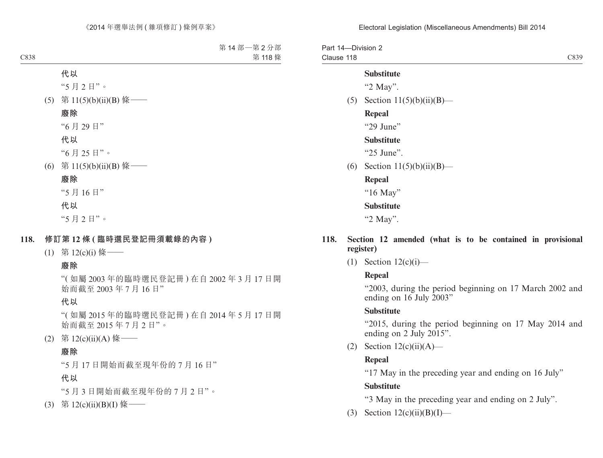Part 14—Division 2 Clause 118

C839

#### **Substitute**

"2 May".

(5) Section  $11(5)(b)(ii)(B)$ —

#### **Repeal**

"29 June"

#### **Substitute**

"25 June".

(6) Section  $11(5)(b)(ii)(B)$ —

**Repeal** "16 May" **Substitute** "2 May".

#### **118. Section 12 amended (what is to be contained in provisional register)**

 $(1)$  Section  $12(c)(i)$ —

#### **Repeal**

"2003, during the period beginning on 17 March 2002 and ending on 16 July 2003"

#### **Substitute**

"2015, during the period beginning on 17 May 2014 and ending on 2 July 2015".

(2) Section  $12(c)(ii)(A)$ —

#### **Repeal**

"17 May in the preceding year and ending on 16 July"

#### **Substitute**

"3 May in the preceding year and ending on 2 July".

(3) Section  $12(c)(ii)(B)(I)$ —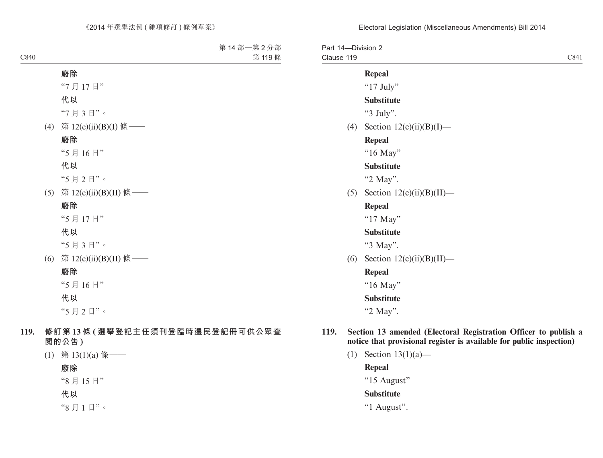| Part 14-Division 2<br>Clause 119 |                              | C841 |
|----------------------------------|------------------------------|------|
|                                  | <b>Repeal</b>                |      |
|                                  | " $17$ July"                 |      |
|                                  | <b>Substitute</b>            |      |
|                                  | "3 July".                    |      |
| (4)                              | Section $12(c)(ii)(B)(I)$ —  |      |
|                                  | <b>Repeal</b>                |      |
|                                  | "16 May"                     |      |
|                                  | <b>Substitute</b>            |      |
|                                  | "2 May".                     |      |
| (5)                              | Section $12(c)(ii)(B)(II)$ — |      |
|                                  | <b>Repeal</b>                |      |
|                                  | "17 May"                     |      |
|                                  | <b>Substitute</b>            |      |
|                                  | "3 May".                     |      |
| (6)                              | Section $12(c)(ii)(B)(II)$ — |      |
|                                  | <b>Repeal</b>                |      |
|                                  | "16 May"                     |      |
|                                  | <b>Substitute</b>            |      |
|                                  | "2 May".                     |      |

- **notice that provisional register is available for public inspection)**
	- (1) Section 13(1)(a)—

**Repeal**

"15 August"

## **Substitute**

"1 August".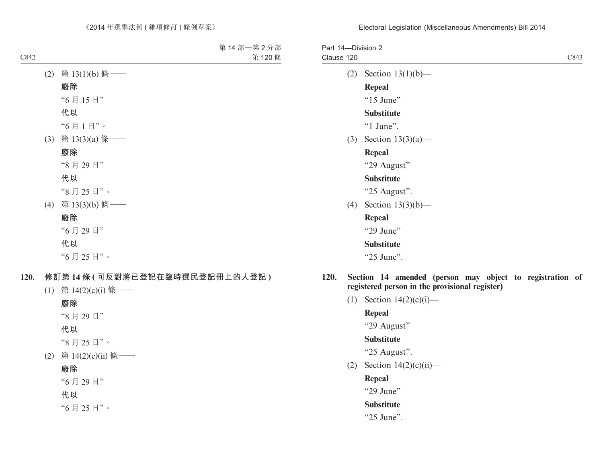| Part 14-Division 2<br>Clause 120 |                          | C843 |
|----------------------------------|--------------------------|------|
| (2)                              | Section $13(1)(b)$ —     |      |
|                                  | <b>Repeal</b>            |      |
|                                  | "15 June"                |      |
|                                  | <b>Substitute</b>        |      |
|                                  | " $1$ June".             |      |
|                                  | (3) Section $13(3)(a)$ — |      |
|                                  | <b>Repeal</b>            |      |
|                                  | "29 August"              |      |
|                                  | <b>Substitute</b>        |      |
|                                  | "25 August".             |      |
| (4)                              | Section $13(3)(b)$ —     |      |
|                                  | <b>Repeal</b>            |      |
|                                  | "29 June"                |      |
|                                  | <b>Substitute</b>        |      |
|                                  | "25 June".               |      |
|                                  |                          |      |

- **120. Section 14 amended (person may object to registration of registered person in the provisional register)**
	- (1) Section  $14(2)(c)(i)$ —

**Repeal**

"29 August"

## **Substitute**

"25 August".

(2) Section  $14(2)(c)(ii)$ —

**Repeal**

"29 June"

### **Substitute**

"25 June".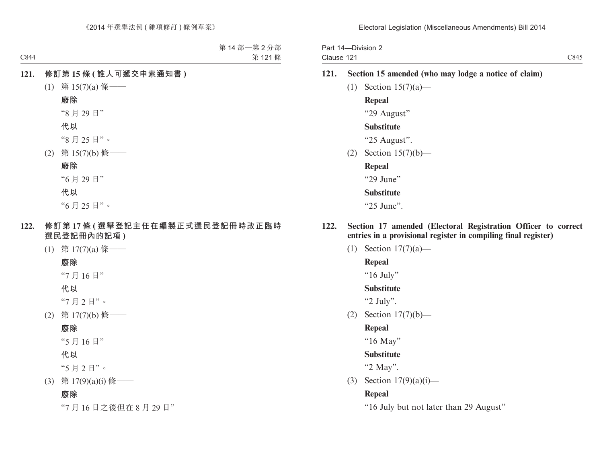Part 14—Division 2 Clause 121

- **121. Section 15 amended (who may lodge a notice of claim)**
	- (1) Section  $15(7)(a)$  **Repeal** "29 August" **Substitute**

"25 August".

- (2) Section 15(7)(b)—
	- **Repeal**

"29 June"

#### **Substitute**

"25 June".

- **122. Section 17 amended (Electoral Registration Officer to correct entries in a provisional register in compiling final register)**
	- (1) Section 17(7)(a)—

### **Repeal**

"16 July"

#### **Substitute**

"2 July".

(2) Section 17(7)(b)—

#### **Repeal**

"16 May"

#### **Substitute**

"2 May".

(3) Section 17(9)(a)(i)—

#### **Repeal**

"16 July but not later than 29 August"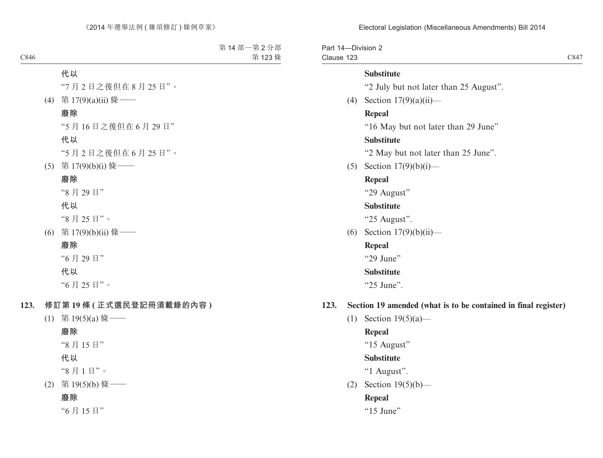Electoral Legislation (Miscellaneous Amendments) Bill 2014

Part 14—Division 2 Clause 123

C847

#### **Substitute**

"2 July but not later than 25 August".

(4) Section 17(9)(a)(ii)—

#### **Repeal**

"16 May but not later than 29 June"

#### **Substitute**

"2 May but not later than 25 June".

(5) Section 17(9)(b)(i)—

## **Repeal**

"29 August"

#### **Substitute**

"25 August".

(6) Section 17(9)(b)(ii)—

### **Repeal**

"29 June"

#### **Substitute**

"25 June".

### **123. Section 19 amended (what is to be contained in final register)**

(1) Section 19(5)(a)—

### **Repeal**

"15 August"

### **Substitute**

"1 August".

(2) Section 19(5)(b)—

### **Repeal**

" $15$  June"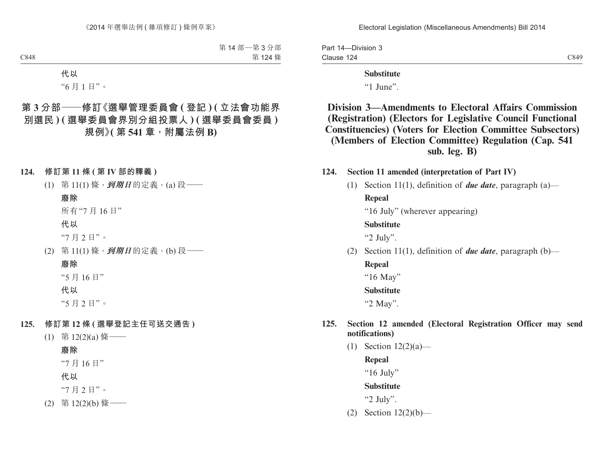Part 14—Division 3 Clause 124

C849

#### **Substitute**

"1 June".

## **Division 3—Amendments to Electoral Affairs Commission (Registration) (Electors for Legislative Council Functional Constituencies) (Voters for Election Committee Subsectors) (Members of Election Committee) Regulation (Cap. 541 sub. leg. B)**

#### **124. Section 11 amended (interpretation of Part IV)**

(1) Section 11(1), definition of *due date*, paragraph (a)—

**Repeal**

"16 July" (wherever appearing)

### **Substitute**

"2 July".

(2) Section 11(1), definition of *due date*, paragraph (b)—

# **Repeal**

"16 May"

**Substitute**

"2 May".

### **125. Section 12 amended (Electoral Registration Officer may send notifications)**

(1) Section  $12(2)(a)$ —

**Repeal**

"16 July"

#### **Substitute**

"2 July".

(2) Section 12(2)(b)—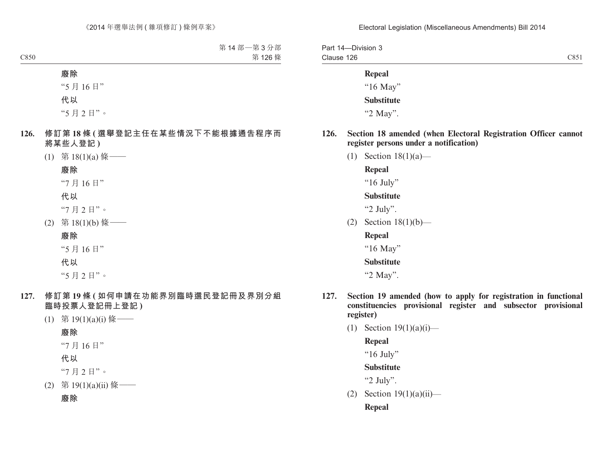| Part 14-Division 3 |      |
|--------------------|------|
| Clause 126         | C851 |

### **Repeal**

"16 May" **Substitute** "2 May".

- **126. Section 18 amended (when Electoral Registration Officer cannot register persons under a notification)**
	- (1) Section 18(1)(a)—

**Repeal**

"16 July"

**Substitute**

"2 July".

- (2) Section 18(1)(b)—
	- **Repeal**

"16 May"

**Substitute**

"2 May".

- **127. Section 19 amended (how to apply for registration in functional constituencies provisional register and subsector provisional register)**
	- (1) Section  $19(1)(a)(i)$ —

**Repeal**

" $16$  July"

**Substitute**

"2 July".

(2) Section  $19(1)(a)(ii)$ —

**Repeal**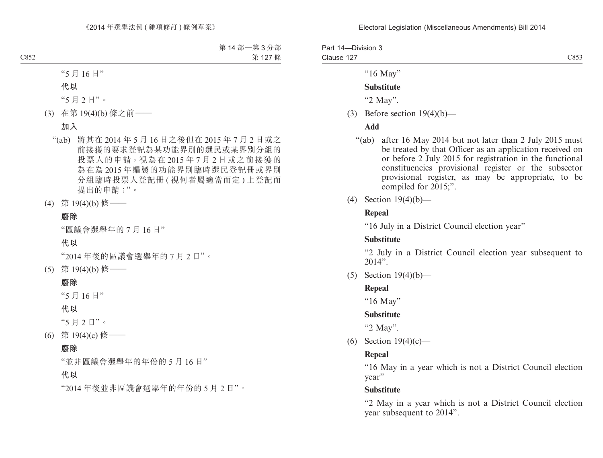| Part 14-Division 3 |      |
|--------------------|------|
| Clause 127         | C853 |

"16 May"

#### **Substitute**

"2 May".

(3) Before section  $19(4)(b)$ —

#### **Add**

- "(ab) after 16 May 2014 but not later than 2 July 2015 must be treated by that Officer as an application received on or before 2 July 2015 for registration in the functional constituencies provisional register or the subsector provisional register, as may be appropriate, to be compiled for 2015;".
- (4) Section 19(4)(b)—

#### **Repeal**

"16 July in a District Council election year"

#### **Substitute**

"2 July in a District Council election year subsequent to  $2014"$ .

(5) Section 19(4)(b)—

#### **Repeal**

"16 May"

#### **Substitute**

"2 May".

(6) Section 19(4)(c)—

#### **Repeal**

"16 May in a year which is not a District Council election year"

#### **Substitute**

"2 May in a year which is not a District Council election year subsequent to 2014".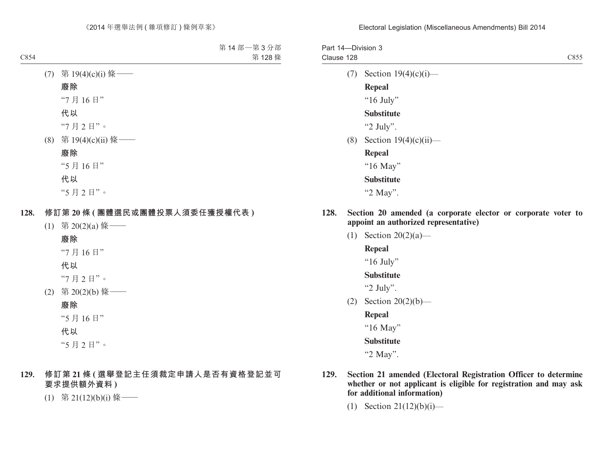Part 14—Division 3 Clause 128 C855

(7) Section  $19(4)(c)(i)$ — **Repeal**

" $16$  July"

### **Substitute**

"2 July".

 $(8)$  Section  $19(4)(c)(ii)$ —

**Repeal**

"16 May"

### **Substitute**

"2 May".

- **128. Section 20 amended (a corporate elector or corporate voter to appoint an authorized representative)**
	- (1) Section 20(2)(a)—

**Repeal**

"16 July"

**Substitute**

"2 July".

(2) Section 20(2)(b)—

**Repeal**

"16 May"

### **Substitute**

"2 May".

- **129. Section 21 amended (Electoral Registration Officer to determine whether or not applicant is eligible for registration and may ask for additional information)**
	- (1) Section 21(12)(b)(i)—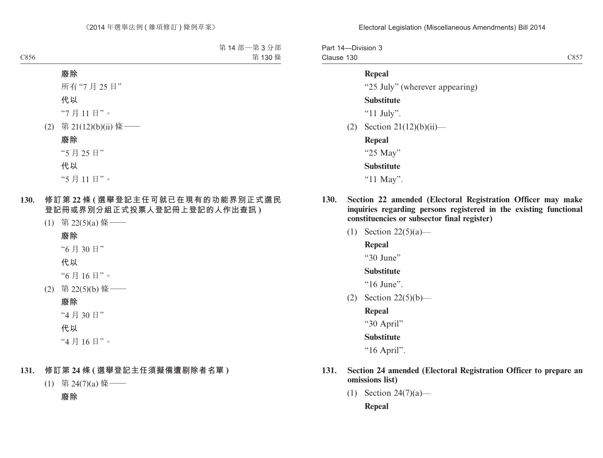Part 14—Division 3 Clause 130

#### **Repeal**

"25 July" (wherever appearing)

**Substitute**

"11 July".

(2) Section  $21(12)(b)(ii)$ —

**Repeal** "25 May"

**Substitute**

"11 May".

- **130. Section 22 amended (Electoral Registration Officer may make inquiries regarding persons registered in the existing functional constituencies or subsector final register)**
	- (1) Section 22(5)(a)—

**Repeal**

"30 June"

#### **Substitute**

"16 June".

- (2) Section 22(5)(b)—
	- **Repeal**

"30 April"

#### **Substitute**

"16 April".

- **131. Section 24 amended (Electoral Registration Officer to prepare an omissions list)**
	- (1) Section 24(7)(a)— **Repeal**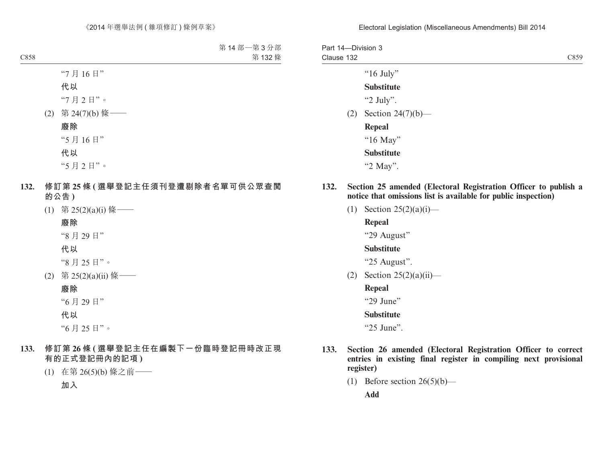| Part 14-Division 3<br>Clause 132 |                      | C859 |
|----------------------------------|----------------------|------|
|                                  | " $16$ July"         |      |
|                                  | <b>Substitute</b>    |      |
|                                  | "2 July".            |      |
| (2)                              | Section $24(7)(b)$ — |      |
|                                  | Repeal               |      |
|                                  | "16 May"             |      |
|                                  | <b>Substitute</b>    |      |
|                                  | "2 May".             |      |

- **132. Section 25 amended (Electoral Registration Officer to publish a notice that omissions list is available for public inspection)**
	- (1) Section  $25(2)(a)(i)$ —

**Repeal**

"29 August"

#### **Substitute**

"25 August".

(2) Section  $25(2)(a)(ii)$ —

#### **Repeal**

"29 June"

#### **Substitute**

"25 June".

- **133. Section 26 amended (Electoral Registration Officer to correct entries in existing final register in compiling next provisional register)**
	- (1) Before section  $26(5)(b)$ —

**Add**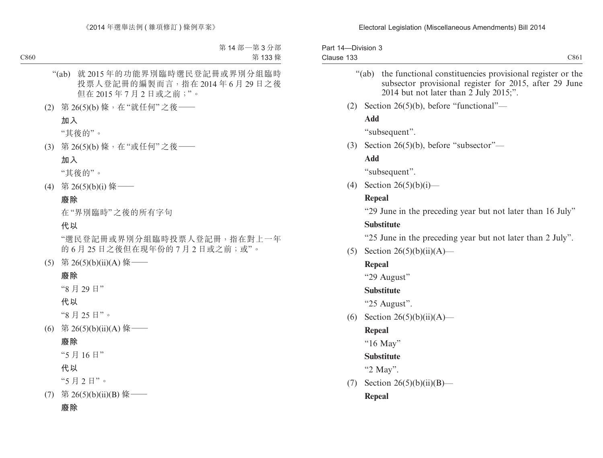| Part 14-Division 3<br>Clause 133 | C861                                                                                                                                                                      |  |
|----------------------------------|---------------------------------------------------------------------------------------------------------------------------------------------------------------------------|--|
|                                  | " $(ab)$<br>the functional constituencies provisional register or the<br>subsector provisional register for 2015, after 29 June<br>2014 but not later than 2 July 2015;". |  |
| (2)                              | Section 26(5)(b), before "functional"—                                                                                                                                    |  |
|                                  | <b>Add</b>                                                                                                                                                                |  |
|                                  | "subsequent".                                                                                                                                                             |  |
| (3)                              | Section 26(5)(b), before "subsector"—                                                                                                                                     |  |
|                                  | <b>Add</b>                                                                                                                                                                |  |
|                                  | "subsequent".                                                                                                                                                             |  |
| (4)                              | Section $26(5)(b)(i)$ —                                                                                                                                                   |  |
|                                  | <b>Repeal</b>                                                                                                                                                             |  |
|                                  | "29 June in the preceding year but not later than 16 July"                                                                                                                |  |
|                                  | <b>Substitute</b>                                                                                                                                                         |  |
|                                  | "25 June in the preceding year but not later than 2 July".                                                                                                                |  |
| (5)                              | Section 26(5)(b)(ii)(A)—                                                                                                                                                  |  |
|                                  | Repeal                                                                                                                                                                    |  |
|                                  | "29 August"                                                                                                                                                               |  |
|                                  | <b>Substitute</b>                                                                                                                                                         |  |
|                                  | "25 August".                                                                                                                                                              |  |
| (6)                              | Section 26(5)(b)(ii)(A)—                                                                                                                                                  |  |
|                                  | <b>Repeal</b>                                                                                                                                                             |  |
|                                  | "16 May"                                                                                                                                                                  |  |
|                                  | <b>Substitute</b>                                                                                                                                                         |  |
|                                  | "2 May".                                                                                                                                                                  |  |
| (7)                              | Section $26(5)(b)(ii)(B)$ —                                                                                                                                               |  |
|                                  | <b>Repeal</b>                                                                                                                                                             |  |
|                                  |                                                                                                                                                                           |  |
|                                  |                                                                                                                                                                           |  |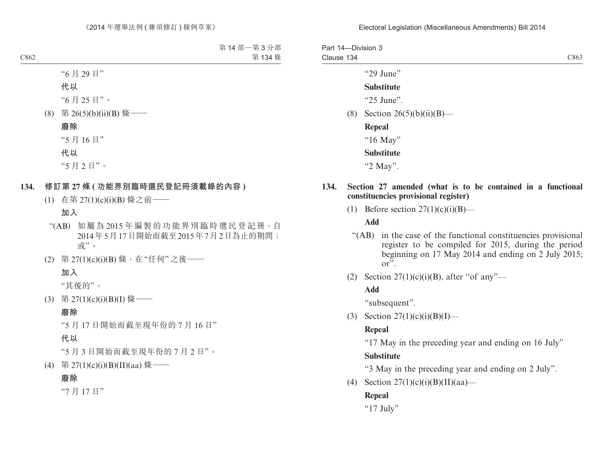Part 14—Division 3 Clause 134 C863

"29 June"

### **Substitute**

" $25$  Iune".

(8) Section  $26(5)(b)(ii)(B)$ —

**Repeal** "16 May" **Substitute** "2 May".

#### **134. Section 27 amended (what is to be contained in a functional constituencies provisional register)**

(1) Before section  $27(1)(c)(i)(B)$ —

#### **Add**

- "(AB) in the case of the functional constituencies provisional register to be compiled for 2015, during the period beginning on 17 May 2014 and ending on 2 July 2015; or".
- (2) Section  $27(1)(c)(i)(B)$ , after "of any"—

#### **Add**

"subsequent".

(3) Section  $27(1)(c)(i)(B)(I)$ —

### **Repeal**

"17 May in the preceding year and ending on 16 July"

### **Substitute**

"3 May in the preceding year and ending on 2 July".

(4) Section  $27(1)(c)(i)(B)(II)(aa)$ —

## **Repeal**

" $17$  July"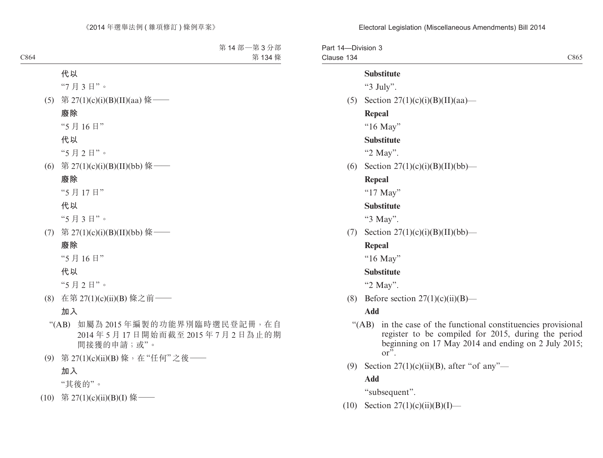Part 14—Division 3 Clause 134 C865 **Substitute**

"3 July".

(5) Section  $27(1)(c)(i)(B)(II)(aa)$ —

#### **Repeal**

"16 May"

### **Substitute**

"2 May".

(6) Section  $27(1)(c)(i)(B)(II)(bb)$ —

#### **Repeal**

"17 May"

#### **Substitute**

"3 May".

(7) Section  $27(1)(c)(i)(B)(II)(bb)$ —

#### **Repeal**

"16 May"

#### **Substitute**

"2 May".

(8) Before section  $27(1)(c)(ii)(B)$ —

#### **Add**

- "(AB) in the case of the functional constituencies provisional register to be compiled for 2015, during the period beginning on 17 May 2014 and ending on 2 July 2015; or".
- (9) Section  $27(1)(c)(ii)(B)$ , after "of any"—

#### **Add**

"subsequent".

(10) Section  $27(1)(c)(ii)(B)(I)$ —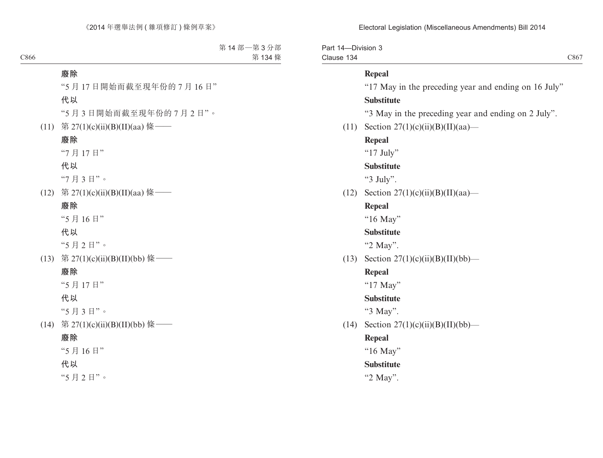Electoral Legislation (Miscellaneous Amendments) Bill 2014

Part 14—Division 3 Clause 134

## **Repeal**

"17 May in the preceding year and ending on 16 July" **Substitute**

"3 May in the preceding year and ending on 2 July".

(11) Section  $27(1)(c)(ii)(B)(II)(aa)$ —

#### **Repeal**

"17 July"

#### **Substitute**

"3 July".

(12) Section  $27(1)(c)(ii)(B)(II)(aa)$ —

#### **Repeal**

"16 May"

#### **Substitute**

"2 May".

(13) Section  $27(1)(c)(ii)(B)(II)(bb)$ —

#### **Repeal**

"17 May"

### **Substitute**

"3 May".

(14) Section  $27(1)(c)(ii)(B)(II)(bb)$ —

#### **Repeal**

"16 May"

#### **Substitute**

"2 May".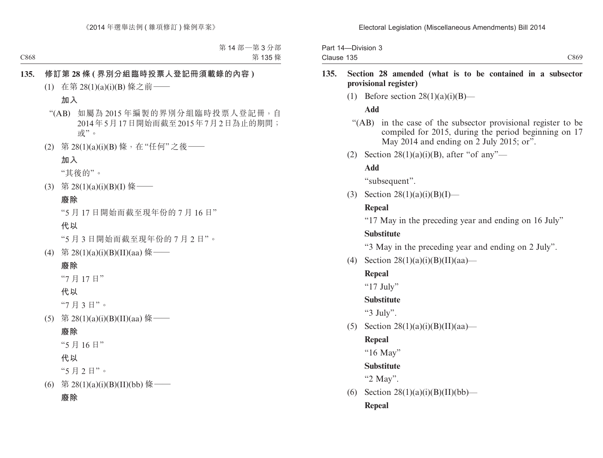Part 14—Division 3 Clause 135

### **135. Section 28 amended (what is to be contained in a subsector provisional register)**

(1) Before section  $28(1)(a)(i)(B)$ —

# **Add**

"(AB) in the case of the subsector provisional register to be compiled for 2015, during the period beginning on 17 May 2014 and ending on  $\overline{2}$  July 2015; or".

C869

(2) Section  $28(1)(a)(i)(B)$ , after "of any"—

# **Add**

"subsequent".

(3) Section  $28(1)(a)(i)(B)(I)$ —

# **Repeal**

"17 May in the preceding year and ending on 16 July"

# **Substitute**

"3 May in the preceding year and ending on 2 July".

(4) Section  $28(1)(a)(i)(B)(II)(aa)$ —

# **Repeal**

"17 July"

# **Substitute**

" $3$  July".

(5) Section  $28(1)(a)(i)(B)(II)(aa)$ —

# **Repeal**

"16 May"

# **Substitute**

"2 May".

(6) Section  $28(1)(a)(i)(B)(II)(bb)$ — **Repeal**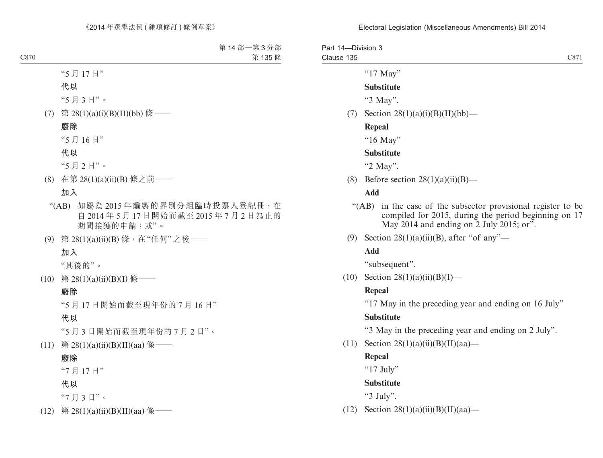| Part 14-Division 3 |                                    |      |
|--------------------|------------------------------------|------|
| Clause 135         |                                    | C871 |
|                    | "17 May"                           |      |
|                    | <b>Substitute</b>                  |      |
|                    | "3 May".                           |      |
| (7)                | Section $28(1)(a)(i)(B)(II)(bb)$ — |      |
|                    | <b>Repeal</b>                      |      |

"16 May"

#### **Substitute**

"2 May".

(8) Before section  $28(1)(a)(ii)(B)$ —

### **Add**

- "(AB) in the case of the subsector provisional register to be compiled for 2015, during the period beginning on 17 May 2014 and ending on 2 July 2015; or".
- (9) Section  $28(1)(a)(ii)(B)$ , after "of any"—

# **Add**

"subsequent".

(10) Section  $28(1)(a)(ii)(B)(I)$ —

#### **Repeal**

"17 May in the preceding year and ending on 16 July"

#### **Substitute**

"3 May in the preceding year and ending on 2 July".

(11) Section  $28(1)(a)(ii)(B)(II)(aa)$ —

#### **Repeal**

"17 July"

**Substitute**

"3 July".

(12) Section  $28(1)(a)(ii)(B)(II)(aa)$ —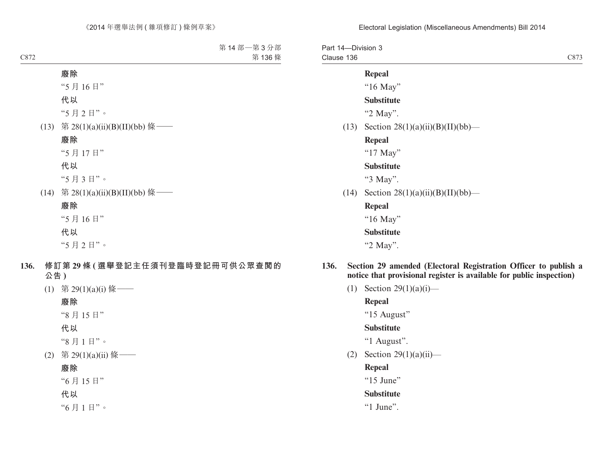| Part 14-Division 3<br>Clause 136 | C873                                                                                                                                    |
|----------------------------------|-----------------------------------------------------------------------------------------------------------------------------------------|
|                                  | Repeal                                                                                                                                  |
|                                  | " $16$ May"                                                                                                                             |
|                                  | <b>Substitute</b>                                                                                                                       |
|                                  | "2 May".                                                                                                                                |
|                                  | (13) Section $28(1)(a)(ii)(B)(II)(bb)$ —                                                                                                |
|                                  | Repeal                                                                                                                                  |
|                                  | " $17$ May"                                                                                                                             |
|                                  | <b>Substitute</b>                                                                                                                       |
|                                  | "3 May".                                                                                                                                |
|                                  | (14) Section $28(1)(a)(ii)(B)(II)(bb)$ —                                                                                                |
|                                  | <b>Repeal</b>                                                                                                                           |
|                                  | " $16$ May"                                                                                                                             |
|                                  | <b>Substitute</b>                                                                                                                       |
|                                  | "2 May".                                                                                                                                |
| 136.                             | Section 29 amended (Electoral Registration Officer to publish a<br>notice that provisional register is available for public inspection) |

(1) Section  $29(1)(a)(i)$ —

**Repeal**

"15 August"

## **Substitute**

"1 August".

(2) Section 29(1)(a)(ii)—

# **Repeal**

" $15$  June"

# **Substitute**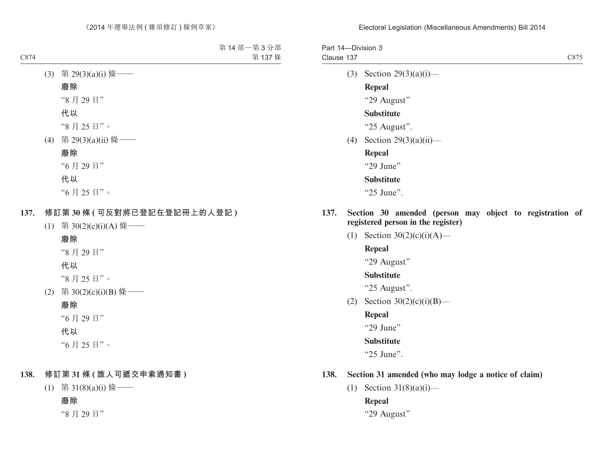Part 14—Division 3 Clause 137 C875

(3) Section 29(3)(a)(i)—

### **Repeal**

"29 August"

## **Substitute**

"25 August".

 $(4)$  Section 29 $(3)(a)(ii)$ —

**Repeal**

"29 June"

## **Substitute**

"25 June".

- **137. Section 30 amended (person may object to registration of registered person in the register)**
	- (1) Section  $30(2)(c)(i)(A)$ —

### **Repeal**

"29 August"

### **Substitute**

"25 August".

(2) Section  $30(2)(c)(i)(B)$ —

**Repeal**

"29 June"

### **Substitute**

"25 June".

### **138. Section 31 amended (who may lodge a notice of claim)**

(1) Section  $31(8)(a)(i)$ —

## **Repeal**

"29 August"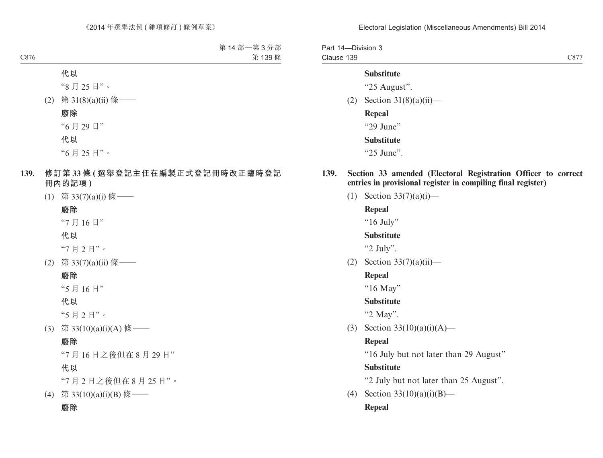Electoral Legislation (Miscellaneous Amendments) Bill 2014

Part 14—Division 3 Clause 139

C877

#### **Substitute**

"25 August".

 $(2)$  Section 31(8)(a)(ii)—

**Repeal** "29 June" **Substitute**

- "25 June".
- **139. Section 33 amended (Electoral Registration Officer to correct entries in provisional register in compiling final register)**
	- (1) Section  $33(7)(a)(i)$ —

**Repeal**

"16 July"

#### **Substitute**

"2 July".

(2) Section  $33(7)(a)(ii)$ —

### **Repeal**

"16 May"

#### **Substitute**

"2 May".

(3) Section  $33(10)(a)(i)(A)$ —

#### **Repeal**

"16 July but not later than 29 August"

#### **Substitute**

"2 July but not later than 25 August".

(4) Section  $33(10)(a)(i)(B)$ —

### **Repeal**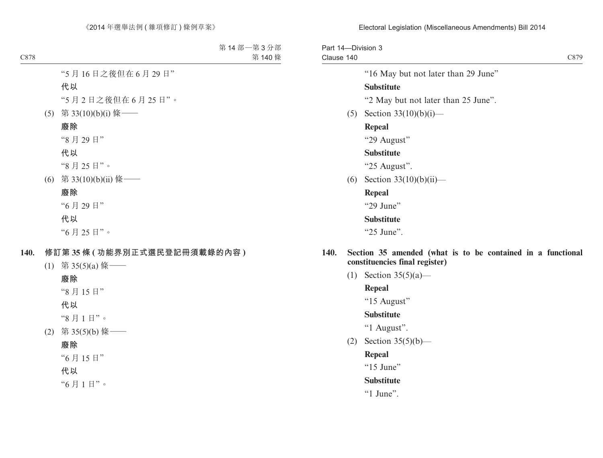Part 14—Division 3 Clause 140

C879

"16 May but not later than 29 June"

### **Substitute**

"2 May but not later than 25 June".

(5) Section  $33(10)(b)(i)$ —

### **Repeal**

"29 August"

#### **Substitute**

"25 August".

(6) Section  $33(10)(b)(ii)$ —

#### **Repeal**

"29 June"

### **Substitute**

"25 June".

- **140. Section 35 amended (what is to be contained in a functional constituencies final register)**
	- (1) Section 35(5)(a)—

## **Repeal**

"15 August"

### **Substitute**

"1 August".

(2) Section 35(5)(b)—

### **Repeal**

"15 June"

### **Substitute**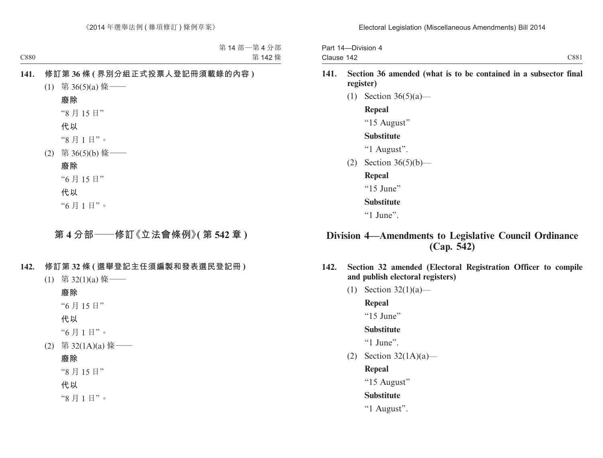Part 14—Division 4 Clause 142 C881

- **141. Section 36 amended (what is to be contained in a subsector final register)**
	- (1) Section 36(5)(a)—

## **Repeal**

"15 August"

### **Substitute**

"1 August".

- (2) Section 36(5)(b)—
	- **Repeal**
	- "15 June"

### **Substitute**

 $"1$  June".

# **Division 4—Amendments to Legislative Council Ordinance (Cap. 542)**

- **142. Section 32 amended (Electoral Registration Officer to compile and publish electoral registers)**
	- (1) Section 32(1)(a)—

**Repeal**

 $415$  June"

# **Substitute**

"1 June".

(2) Section 32(1A)(a)—

**Repeal**

"15 August"

# **Substitute**

"1 August".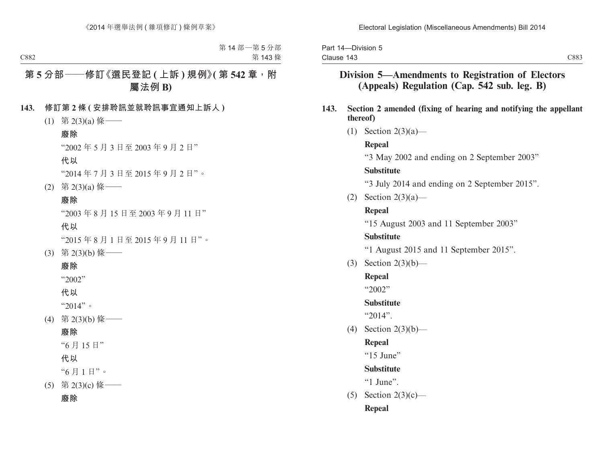Part 14—Division 5 Clause 143

# **Division 5—Amendments to Registration of Electors (Appeals) Regulation (Cap. 542 sub. leg. B)**

## **143. Section 2 amended (fixing of hearing and notifying the appellant thereof)**

(1) Section 2(3)(a)—

# **Repeal**

"3 May 2002 and ending on 2 September 2003"

# **Substitute**

"3 July 2014 and ending on 2 September 2015".

(2) Section  $2(3)(a)$ —

# **Repeal**

"15 August 2003 and 11 September 2003"

# **Substitute**

"1 August 2015 and 11 September 2015".

(3) Section 2(3)(b)—

# **Repeal**

"2002"

# **Substitute**

"2014".

(4) Section 2(3)(b)—

# **Repeal**

"15 June"

# **Substitute**

 $"1$  June".

 $(5)$  Section 2(3)(c)—

# **Repeal**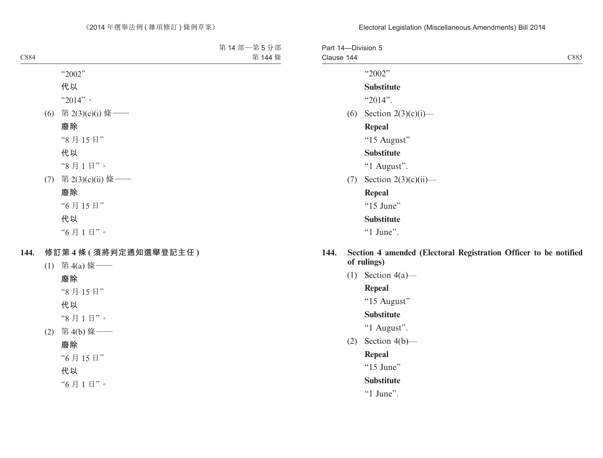#### Electoral Legislation (Miscellaneous Amendments) Bill 2014

| Part 14-Division 5<br>Clause 144 |                         | C885 |
|----------------------------------|-------------------------|------|
|                                  |                         |      |
|                                  | "2002"                  |      |
|                                  | <b>Substitute</b>       |      |
|                                  | " $2014$ ".             |      |
| (6)                              | Section $2(3)(c)(i)$ —  |      |
|                                  | Repeal                  |      |
|                                  | "15 August"             |      |
|                                  | <b>Substitute</b>       |      |
|                                  | "1 August".             |      |
| (7)                              | Section $2(3)(c)(ii)$ — |      |
|                                  | <b>Repeal</b>           |      |
|                                  | "15 June"               |      |
|                                  | <b>Substitute</b>       |      |
|                                  | " $1$ June".            |      |
|                                  |                         |      |

## **144. Section 4 amended (Electoral Registration Officer to be notified of rulings)**

(1) Section  $4(a)$ —

# **Repeal**

"15 August"

# **Substitute**

"1 August".

(2) Section  $4(b)$ —

### **Repeal**

"15 June"

# **Substitute**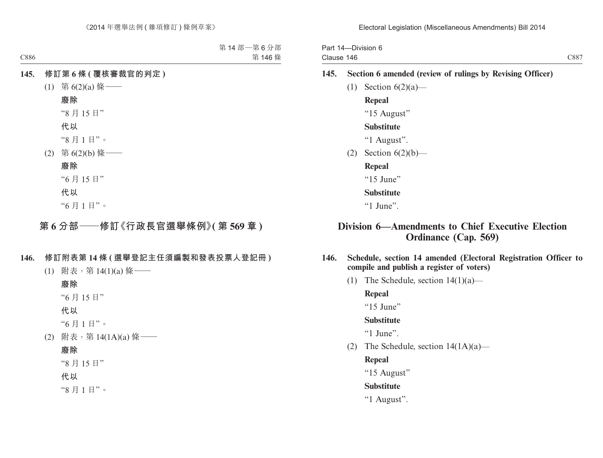Part 14—Division 6 Clause 146

### **145. Section 6 amended (review of rulings by Revising Officer)**

(1) Section  $6(2)(a)$ —

**Repeal**

"15 August"

#### **Substitute**

"1 August".

(2) Section 6(2)(b)—

**Repeal**

"15 June"

#### **Substitute**

 $"1$  June".

# **Division 6—Amendments to Chief Executive Election Ordinance (Cap. 569)**

- **146. Schedule, section 14 amended (Electoral Registration Officer to compile and publish a register of voters)**
	- (1) The Schedule, section  $14(1)(a)$ —

**Repeal**

"15 June"

**Substitute**

 $"1$  June".

(2) The Schedule, section  $14(1A)(a)$ —

### **Repeal**

"15 August"

### **Substitute**

"1 August".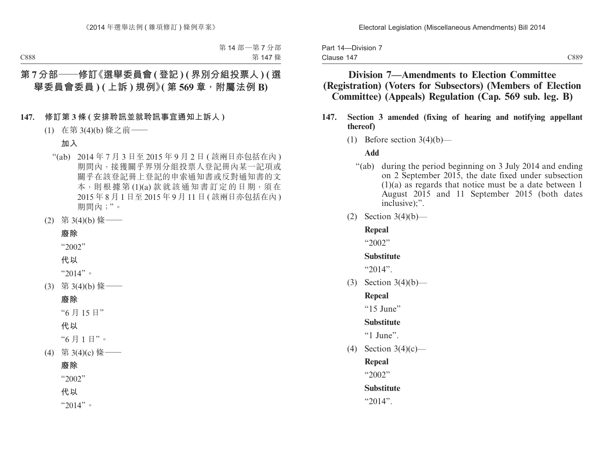| Part 14-Division 7 |  |
|--------------------|--|
| Clause 147         |  |

# **Division 7—Amendments to Election Committee (Registration) (Voters for Subsectors) (Members of Election Committee) (Appeals) Regulation (Cap. 569 sub. leg. B)**

- **147. Section 3 amended (fixing of hearing and notifying appellant thereof)**
	- (1) Before section  $3(4)(b)$ —

#### **Add**

- "(ab) during the period beginning on 3 July 2014 and ending on 2 September 2015, the date fixed under subsection (1)(a) as regards that notice must be a date between 1 August 2015 and 11 September 2015 (both dates inclusive):".
- (2) Section 3(4)(b)—

#### **Repeal**

"2002"

### **Substitute**

"2014".

(3) Section 3(4)(b)—

#### **Repeal**

"15 June"

### **Substitute**

 $"1$  June".

(4) Section 3(4)(c)—

**Repeal**

 $42002"$ 

### **Substitute**

"2014".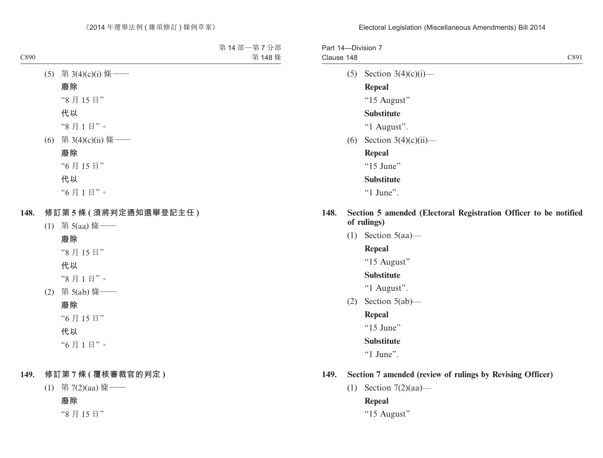## Part 14—Division 7 Clause 148 C891

(5) Section  $3(4)(c)(i)$ —

# **Repeal**

"15 August"

## **Substitute**

- "1 August".
- (6) Section 3(4)(c)(ii)—

## **Repeal**

"15 June"

# **Substitute**

 $"1$  June".

- **148. Section 5 amended (Electoral Registration Officer to be notified of rulings)**
	- (1) Section  $5(aa)$ —

# **Repeal**

"15 August"

## **Substitute**

"1 August".

(2) Section 5(ab)—

# **Repeal**

"15 June"

# **Substitute**

"1 June".

# **149. Section 7 amended (review of rulings by Revising Officer)**

(1) Section 7(2)(aa)—

# **Repeal**

"15 August"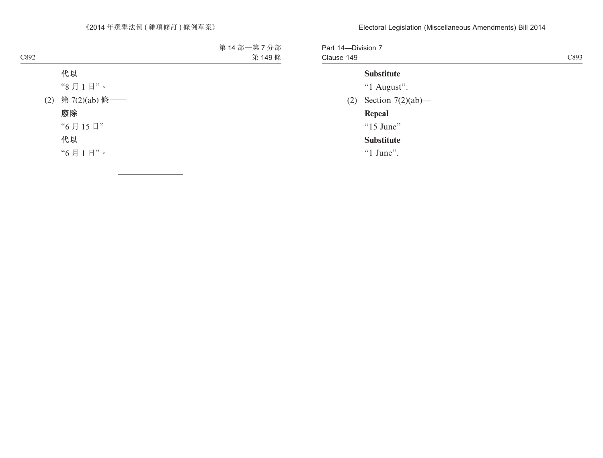Part 14—Division 7 Clause 149 C893

## **Substitute**

"1 August".

(2) Section 7(2)(ab)—

# **Repeal**

"15 June"

# **Substitute**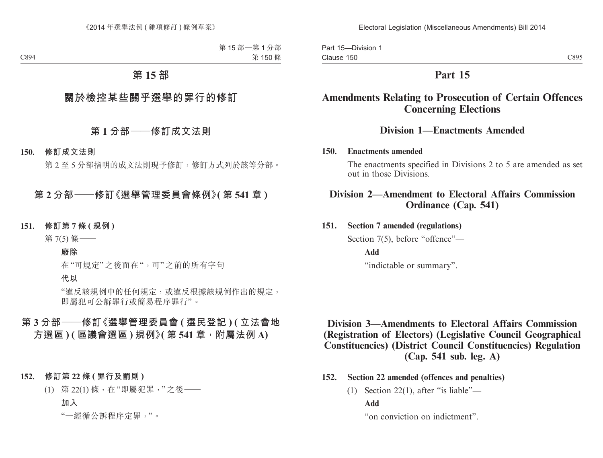Part 15—Division 1 Clause 150

C895

# **Part 15**

# **Amendments Relating to Prosecution of Certain Offences Concerning Elections**

# **Division 1—Enactments Amended**

### **150. Enactments amended**

The enactments specified in Divisions 2 to 5 are amended as set out in those Divisions.

# **Division 2—Amendment to Electoral Affairs Commission Ordinance (Cap. 541)**

# **151. Section 7 amended (regulations)**

Section 7(5), before "offence"—

**Add**

"indictable or summary".

# **Division 3—Amendments to Electoral Affairs Commission (Registration of Electors) (Legislative Council Geographical Constituencies) (District Council Constituencies) Regulation (Cap. 541 sub. leg. A)**

- **152. Section 22 amended (offences and penalties)**
	- (1) Section 22(1), after "is liable"—

# **Add**

"on conviction on indictment".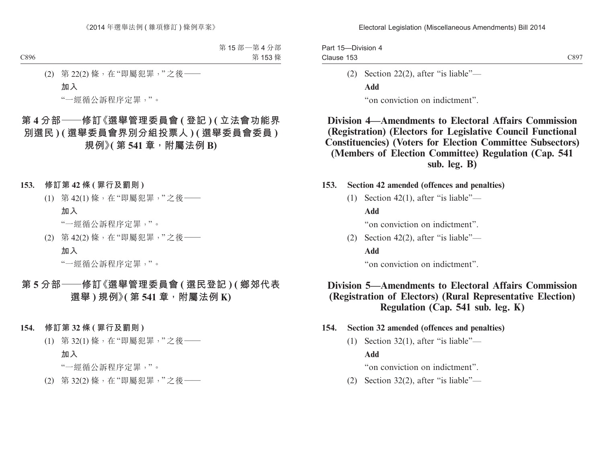Part 15—Division 4 Clause 153

(2) Section 22(2), after "is liable"—

**Add**

"on conviction on indictment".

# **Division 4—Amendments to Electoral Affairs Commission (Registration) (Electors for Legislative Council Functional Constituencies) (Voters for Election Committee Subsectors) (Members of Election Committee) Regulation (Cap. 541 sub. leg. B)**

- **153. Section 42 amended (offences and penalties)**
	- (1) Section 42(1), after "is liable"—

**Add**

"on conviction on indictment".

(2) Section 42(2), after "is liable"— **Add**

"on conviction on indictment".

# **Division 5—Amendments to Electoral Affairs Commission (Registration of Electors) (Rural Representative Election) Regulation (Cap. 541 sub. leg. K)**

- **154. Section 32 amended (offences and penalties)**
	- (1) Section 32(1), after "is liable"—

**Add**

"on conviction on indictment".

(2) Section 32(2), after "is liable"—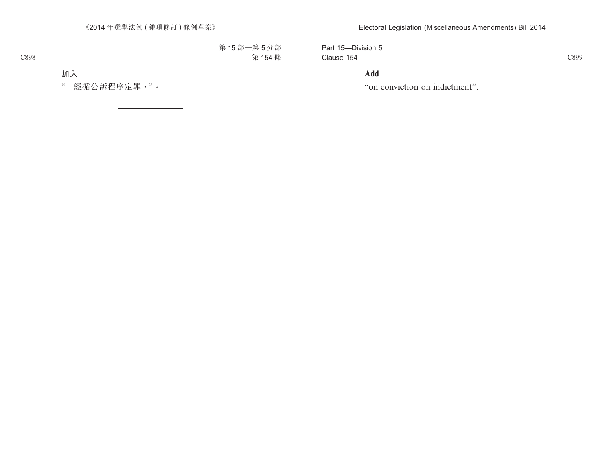Part 15—Division 5 Clause 154

C899

# **Add**

"on conviction on indictment".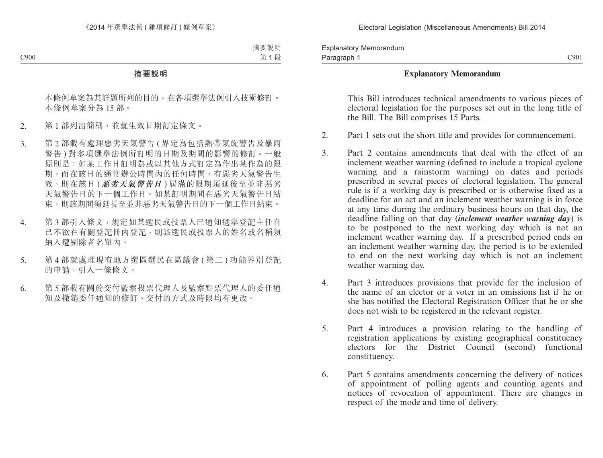Explanatory Memorandum Paragraph 1

### **Explanatory Memorandum**

This Bill introduces technical amendments to various pieces of electoral legislation for the purposes set out in the long title of the Bill. The Bill comprises 15 Parts.

- 2. Part 1 sets out the short title and provides for commencement.
- 3. Part 2 contains amendments that deal with the effect of an inclement weather warning (defined to include a tropical cyclone warning and a rainstorm warning) on dates and periods prescribed in several pieces of electoral legislation. The general rule is if a working day is prescribed or is otherwise fixed as a deadline for an act and an inclement weather warning is in force at any time during the ordinary business hours on that day, the deadline falling on that day (*inclement weather warning day*) is to be postponed to the next working day which is not an inclement weather warning day. If a prescribed period ends on an inclement weather warning day, the period is to be extended to end on the next working day which is not an inclement weather warning day.
- 4. Part 3 introduces provisions that provide for the inclusion of the name of an elector or a voter in an omissions list if he or she has notified the Electoral Registration Officer that he or she does not wish to be registered in the relevant register.
- 5. Part 4 introduces a provision relating to the handling of registration applications by existing geographical constituency electors for the District Council (second) functional constituency.
- 6. Part 5 contains amendments concerning the delivery of notices of appointment of polling agents and counting agents and notices of revocation of appointment. There are changes in respect of the mode and time of delivery.